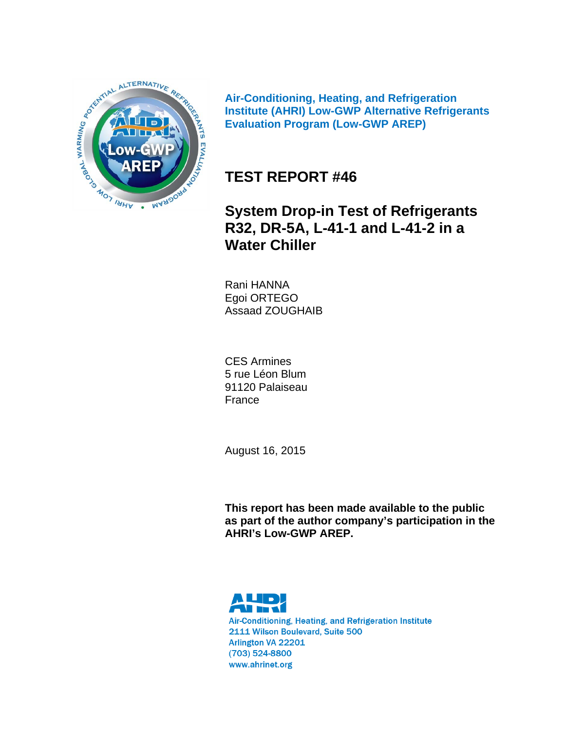

**Air-Conditioning, Heating, and Refrigeration Institute (AHRI) Low-GWP Alternative Refrigerants Evaluation Program (Low-GWP AREP)** 

# **TEST REPORT #46**

**System Drop-in Test of Refrigerants R32, DR-5A, L-41-1 and L-41-2 in a Water Chiller**

Rani HANNA Egoi ORTEGO Assaad ZOUGHAIB

CES Armines 5 rue Léon Blum 91120 Palaiseau France

August 16, 2015

**This report has been made available to the public as part of the author company's participation in the AHRI's Low-GWP AREP.** 



Air-Conditioning, Heating, and Refrigeration Institute 2111 Wilson Boulevard, Suite 500 Arlington VA 22201 (703) 524-8800 www.ahrinet.org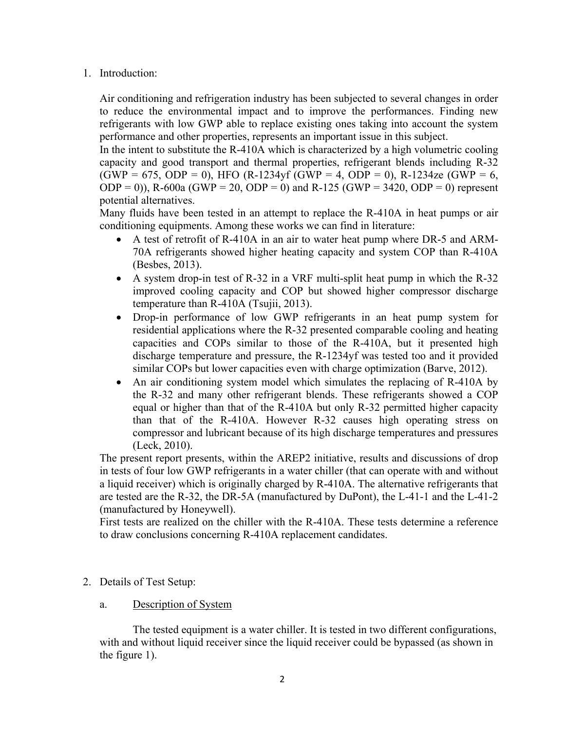## 1. Introduction:

Air conditioning and refrigeration industry has been subjected to several changes in order to reduce the environmental impact and to improve the performances. Finding new refrigerants with low GWP able to replace existing ones taking into account the system performance and other properties, represents an important issue in this subject.

In the intent to substitute the R-410A which is characterized by a high volumetric cooling capacity and good transport and thermal properties, refrigerant blends including R-32  $(GWP = 675, ODP = 0)$ , HFO  $(R-1234y f (GWP = 4, ODP = 0)$ , R-1234ze  $(GWP = 6,$ ODP = 0)), R-600a (GWP = 20, ODP = 0) and R-125 (GWP = 3420, ODP = 0) represent potential alternatives.

Many fluids have been tested in an attempt to replace the R-410A in heat pumps or air conditioning equipments. Among these works we can find in literature:

- A test of retrofit of R-410A in an air to water heat pump where DR-5 and ARM-70A refrigerants showed higher heating capacity and system COP than R-410A (Besbes, 2013).
- A system drop-in test of R-32 in a VRF multi-split heat pump in which the R-32 improved cooling capacity and COP but showed higher compressor discharge temperature than R-410A (Tsujii, 2013).
- Drop-in performance of low GWP refrigerants in an heat pump system for residential applications where the R-32 presented comparable cooling and heating capacities and COPs similar to those of the R-410A, but it presented high discharge temperature and pressure, the R-1234yf was tested too and it provided similar COPs but lower capacities even with charge optimization (Barve, 2012).
- An air conditioning system model which simulates the replacing of R-410A by the R-32 and many other refrigerant blends. These refrigerants showed a COP equal or higher than that of the R-410A but only R-32 permitted higher capacity than that of the R-410A. However R-32 causes high operating stress on compressor and lubricant because of its high discharge temperatures and pressures (Leck, 2010).

The present report presents, within the AREP2 initiative, results and discussions of drop in tests of four low GWP refrigerants in a water chiller (that can operate with and without a liquid receiver) which is originally charged by R-410A. The alternative refrigerants that are tested are the R-32, the DR-5A (manufactured by DuPont), the L-41-1 and the L-41-2 (manufactured by Honeywell).

First tests are realized on the chiller with the R-410A. These tests determine a reference to draw conclusions concerning R-410A replacement candidates.

- 2. Details of Test Setup:
	- a. Description of System

The tested equipment is a water chiller. It is tested in two different configurations, with and without liquid receiver since the liquid receiver could be bypassed (as shown in the figure 1).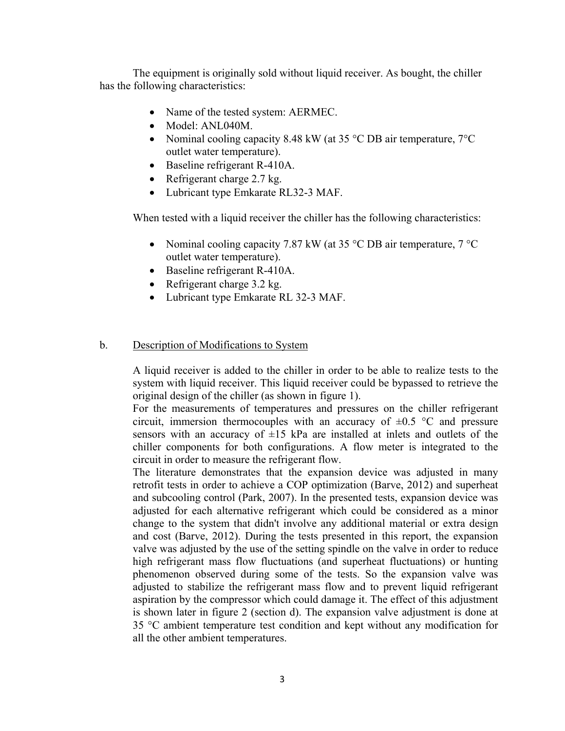The equipment is originally sold without liquid receiver. As bought, the chiller has the following characteristics:

- Name of the tested system: AERMEC.
- Model: ANL040M.
- Nominal cooling capacity 8.48 kW (at 35 °C DB air temperature, 7°C outlet water temperature).
- Baseline refrigerant R-410A.
- Refrigerant charge 2.7 kg.
- Lubricant type Emkarate RL32-3 MAF.

When tested with a liquid receiver the chiller has the following characteristics:

- Nominal cooling capacity 7.87 kW (at 35  $\degree$ C DB air temperature, 7  $\degree$ C outlet water temperature).
- Baseline refrigerant R-410A.
- Refrigerant charge 3.2 kg.
- Lubricant type Emkarate RL 32-3 MAF.

### b. Description of Modifications to System

A liquid receiver is added to the chiller in order to be able to realize tests to the system with liquid receiver. This liquid receiver could be bypassed to retrieve the original design of the chiller (as shown in figure 1).

For the measurements of temperatures and pressures on the chiller refrigerant circuit, immersion thermocouples with an accuracy of  $\pm 0.5$  °C and pressure sensors with an accuracy of  $\pm 15$  kPa are installed at inlets and outlets of the chiller components for both configurations. A flow meter is integrated to the circuit in order to measure the refrigerant flow.

The literature demonstrates that the expansion device was adjusted in many retrofit tests in order to achieve a COP optimization (Barve, 2012) and superheat and subcooling control (Park, 2007). In the presented tests, expansion device was adjusted for each alternative refrigerant which could be considered as a minor change to the system that didn't involve any additional material or extra design and cost (Barve, 2012). During the tests presented in this report, the expansion valve was adjusted by the use of the setting spindle on the valve in order to reduce high refrigerant mass flow fluctuations (and superheat fluctuations) or hunting phenomenon observed during some of the tests. So the expansion valve was adjusted to stabilize the refrigerant mass flow and to prevent liquid refrigerant aspiration by the compressor which could damage it. The effect of this adjustment is shown later in figure 2 (section d). The expansion valve adjustment is done at 35 °C ambient temperature test condition and kept without any modification for all the other ambient temperatures.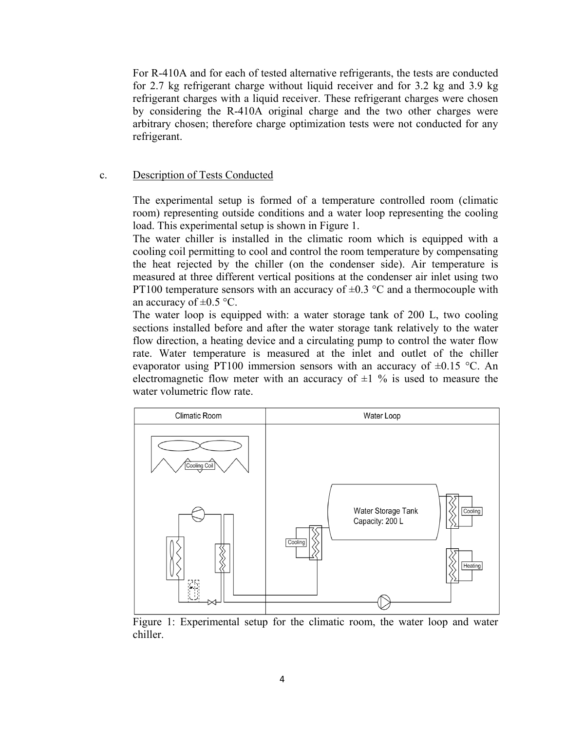For R-410A and for each of tested alternative refrigerants, the tests are conducted for 2.7 kg refrigerant charge without liquid receiver and for 3.2 kg and 3.9 kg refrigerant charges with a liquid receiver. These refrigerant charges were chosen by considering the R-410A original charge and the two other charges were arbitrary chosen; therefore charge optimization tests were not conducted for any refrigerant.

### c. Description of Tests Conducted

The experimental setup is formed of a temperature controlled room (climatic room) representing outside conditions and a water loop representing the cooling load. This experimental setup is shown in Figure 1.

The water chiller is installed in the climatic room which is equipped with a cooling coil permitting to cool and control the room temperature by compensating the heat rejected by the chiller (on the condenser side). Air temperature is measured at three different vertical positions at the condenser air inlet using two PT100 temperature sensors with an accuracy of  $\pm 0.3$  °C and a thermocouple with an accuracy of  $\pm 0.5$  °C.

The water loop is equipped with: a water storage tank of 200 L, two cooling sections installed before and after the water storage tank relatively to the water flow direction, a heating device and a circulating pump to control the water flow rate. Water temperature is measured at the inlet and outlet of the chiller evaporator using PT100 immersion sensors with an accuracy of  $\pm 0.15$  °C. An electromagnetic flow meter with an accuracy of  $\pm 1$  % is used to measure the water volumetric flow rate.



Figure 1: Experimental setup for the climatic room, the water loop and water chiller.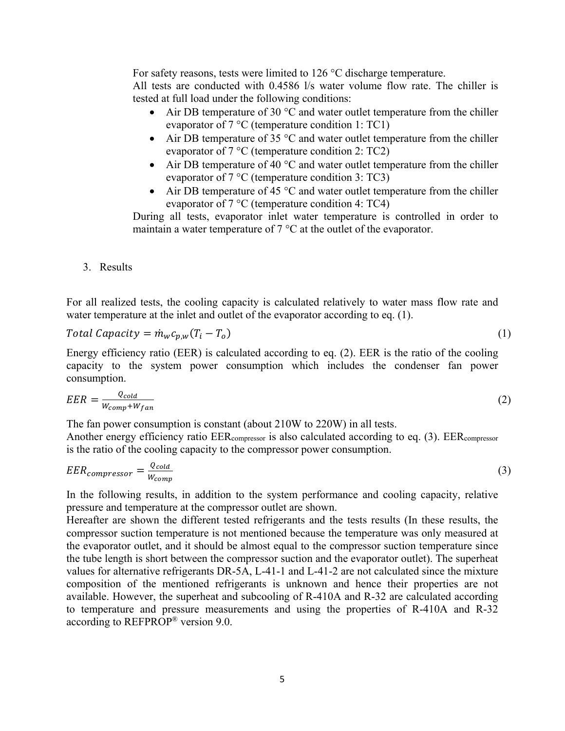For safety reasons, tests were limited to 126 °C discharge temperature. All tests are conducted with 0.4586 l/s water volume flow rate. The chiller is

tested at full load under the following conditions:

- Air DB temperature of 30  $\degree$ C and water outlet temperature from the chiller evaporator of 7 °C (temperature condition 1: TC1)
- Air DB temperature of 35  $\degree$ C and water outlet temperature from the chiller evaporator of 7 °C (temperature condition 2: TC2)
- Air DB temperature of 40  $\degree$ C and water outlet temperature from the chiller evaporator of 7 °C (temperature condition 3: TC3)
- Air DB temperature of 45  $\degree$ C and water outlet temperature from the chiller evaporator of 7 °C (temperature condition 4: TC4)

During all tests, evaporator inlet water temperature is controlled in order to maintain a water temperature of 7 °C at the outlet of the evaporator.

3. Results

For all realized tests, the cooling capacity is calculated relatively to water mass flow rate and water temperature at the inlet and outlet of the evaporator according to eq. (1).

$$
Total Capacity = \dot{m}_w c_{p,w} (T_i - T_o)
$$
\n<sup>(1)</sup>

Energy efficiency ratio (EER) is calculated according to eq. (2). EER is the ratio of the cooling capacity to the system power consumption which includes the condenser fan power consumption.

$$
EER = \frac{Q_{cold}}{W_{comp} + W_{fan}}
$$
 (2)

The fan power consumption is constant (about 210W to 220W) in all tests. Another energy efficiency ratio EERcompressor is also calculated according to eq. (3). EERcompressor is the ratio of the cooling capacity to the compressor power consumption.

$$
EER_{compression} = \frac{Q_{cold}}{W_{comp}} \tag{3}
$$

In the following results, in addition to the system performance and cooling capacity, relative pressure and temperature at the compressor outlet are shown.

Hereafter are shown the different tested refrigerants and the tests results (In these results, the compressor suction temperature is not mentioned because the temperature was only measured at the evaporator outlet, and it should be almost equal to the compressor suction temperature since the tube length is short between the compressor suction and the evaporator outlet). The superheat values for alternative refrigerants DR-5A, L-41-1 and L-41-2 are not calculated since the mixture composition of the mentioned refrigerants is unknown and hence their properties are not available. However, the superheat and subcooling of R-410A and R-32 are calculated according to temperature and pressure measurements and using the properties of R-410A and R-32 according to REFPROP® version 9.0.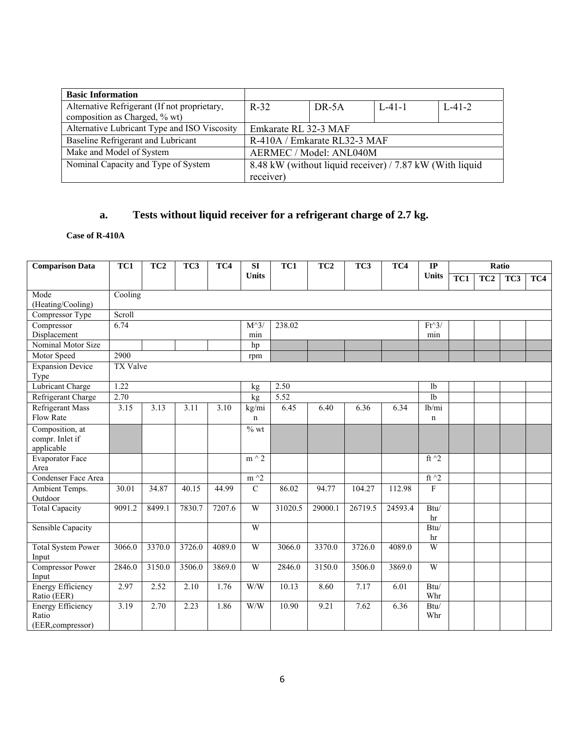| <b>Basic Information</b>                     |                      |                              |                                                          |              |
|----------------------------------------------|----------------------|------------------------------|----------------------------------------------------------|--------------|
| Alternative Refrigerant (If not proprietary, | $R-32$               | DR-5A                        | $L - 41 - 1$                                             | $L - 41 - 2$ |
| composition as Charged, % wt)                |                      |                              |                                                          |              |
| Alternative Lubricant Type and ISO Viscosity | Emkarate RL 32-3 MAF |                              |                                                          |              |
| Baseline Refrigerant and Lubricant           |                      | R-410A / Emkarate RL32-3 MAF |                                                          |              |
| Make and Model of System                     |                      | AERMEC / Model: ANL040M      |                                                          |              |
| Nominal Capacity and Type of System          |                      |                              | 8.48 kW (without liquid receiver) / 7.87 kW (With liquid |              |
|                                              | receiver)            |                              |                                                          |              |

# **a. Tests without liquid receiver for a refrigerant charge of 2.7 kg.**

### **Case of R-410A**

| <b>Comparison Data</b>                  | TC1             | TC <sub>2</sub> | TC3    | TC4    | $\overline{\text{SI}}$ | TC1     | TC <sub>2</sub> | TC3     | TC4     | $\overline{IP}$ |                  | Ratio |     |     |
|-----------------------------------------|-----------------|-----------------|--------|--------|------------------------|---------|-----------------|---------|---------|-----------------|------------------|-------|-----|-----|
|                                         |                 |                 |        |        | <b>Units</b>           |         |                 |         |         | <b>Units</b>    | $\overline{TC1}$ | TC2   | TC3 | TC4 |
| Mode                                    | Cooling         |                 |        |        |                        |         |                 |         |         |                 |                  |       |     |     |
| (Heating/Cooling)                       | Scroll          |                 |        |        |                        |         |                 |         |         |                 |                  |       |     |     |
| Compressor Type<br>Compressor           | 6.74            |                 |        |        | $M^{\wedge}3$          | 238.02  |                 |         |         | $Ft^3/$         |                  |       |     |     |
| Displacement                            |                 |                 |        |        | min                    |         |                 |         |         | min             |                  |       |     |     |
| Nominal Motor Size                      |                 |                 |        |        | hp                     |         |                 |         |         |                 |                  |       |     |     |
| Motor Speed                             | 2900            |                 |        |        | rpm                    |         |                 |         |         |                 |                  |       |     |     |
| <b>Expansion Device</b><br>Type         | <b>TX Valve</b> |                 |        |        |                        |         |                 |         |         |                 |                  |       |     |     |
| <b>Lubricant Charge</b>                 | 1.22            |                 |        |        | kg                     | 2.50    |                 |         |         | 1 <sub>b</sub>  |                  |       |     |     |
| Refrigerant Charge                      | 2.70            |                 |        |        | kg                     | 5.52    |                 |         |         | 1 <sub>b</sub>  |                  |       |     |     |
| <b>Refrigerant Mass</b>                 | 3.15            | 3.13            | 3.11   | 3.10   | kg/mi                  | 6.45    | 6.40            | 6.36    | 6.34    | lb/min          |                  |       |     |     |
| Flow Rate                               |                 |                 |        |        | $\mathbf n$            |         |                 |         |         | $\mathbf n$     |                  |       |     |     |
| Composition, at                         |                 |                 |        |        | $%$ wt                 |         |                 |         |         |                 |                  |       |     |     |
| compr. Inlet if                         |                 |                 |        |        |                        |         |                 |         |         |                 |                  |       |     |     |
| applicable                              |                 |                 |        |        |                        |         |                 |         |         |                 |                  |       |     |     |
| <b>Evaporator Face</b><br>Area          |                 |                 |        |        | $m \wedge 2$           |         |                 |         |         | ft $\hat{}$ 2   |                  |       |     |     |
| Condenser Face Area                     |                 |                 |        |        | $m^2$                  |         |                 |         |         | ft $\sqrt{2}$   |                  |       |     |     |
| Ambient Temps.                          | 30.01           | 34.87           | 40.15  | 44.99  | $\overline{C}$         | 86.02   | 94.77           | 104.27  | 112.98  | ${\bf F}$       |                  |       |     |     |
| Outdoor                                 |                 |                 |        |        |                        |         |                 |         |         |                 |                  |       |     |     |
| <b>Total Capacity</b>                   | 9091.2          | 8499.1          | 7830.7 | 7207.6 | $\overline{W}$         | 31020.5 | 29000.1         | 26719.5 | 24593.4 | Btu/            |                  |       |     |     |
|                                         |                 |                 |        |        |                        |         |                 |         |         | hr              |                  |       |     |     |
| <b>Sensible Capacity</b>                |                 |                 |        |        | W                      |         |                 |         |         | Btu/            |                  |       |     |     |
|                                         |                 |                 |        |        |                        |         |                 |         |         | hr              |                  |       |     |     |
| <b>Total System Power</b><br>Input      | 3066.0          | 3370.0          | 3726.0 | 4089.0 | $\overline{W}$         | 3066.0  | 3370.0          | 3726.0  | 4089.0  | W               |                  |       |     |     |
| <b>Compressor Power</b>                 | 2846.0          | 3150.0          | 3506.0 | 3869.0 | W                      | 2846.0  | 3150.0          | 3506.0  | 3869.0  | W               |                  |       |     |     |
| Input                                   |                 |                 |        |        |                        |         |                 |         |         |                 |                  |       |     |     |
| <b>Energy Efficiency</b><br>Ratio (EER) | 2.97            | 2.52            | 2.10   | 1.76   | W/W                    | 10.13   | 8.60            | 7.17    | 6.01    | Btu/<br>Whr     |                  |       |     |     |
| <b>Energy Efficiency</b>                | 3.19            | 2.70            | 2.23   | 1.86   | W/W                    | 10.90   | 9.21            | 7.62    | 6.36    | Btu/            |                  |       |     |     |
| Ratio                                   |                 |                 |        |        |                        |         |                 |         |         | Whr             |                  |       |     |     |
| (EER, compressor)                       |                 |                 |        |        |                        |         |                 |         |         |                 |                  |       |     |     |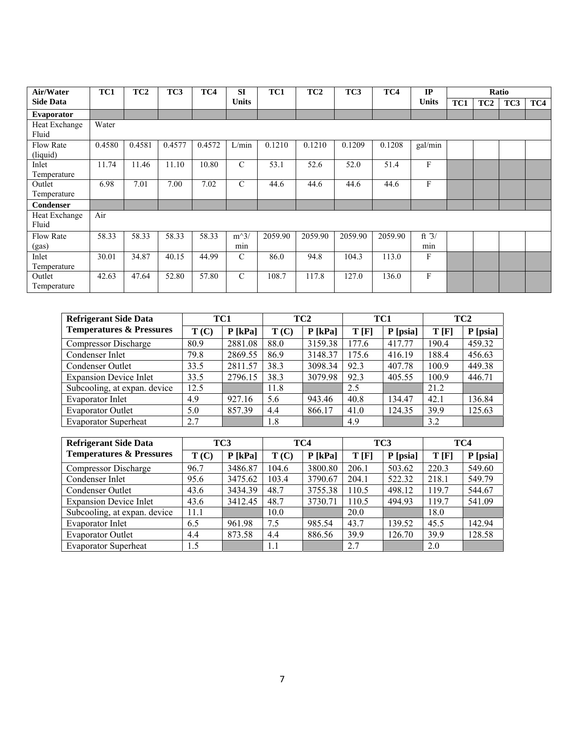| Air/Water                    | TC1    | TC <sub>2</sub> | TC3    | TC4    | <b>SI</b>     | TC1     | TC <sub>2</sub> | TC <sub>3</sub> | TC4     | IP             |     |                 | Ratio |     |
|------------------------------|--------|-----------------|--------|--------|---------------|---------|-----------------|-----------------|---------|----------------|-----|-----------------|-------|-----|
| <b>Side Data</b>             |        |                 |        |        | <b>Units</b>  |         |                 |                 |         | <b>Units</b>   | TC1 | TC <sub>2</sub> | TC3   | TC4 |
| <b>Evaporator</b>            |        |                 |        |        |               |         |                 |                 |         |                |     |                 |       |     |
| Heat Exchange<br>Fluid       | Water  |                 |        |        |               |         |                 |                 |         |                |     |                 |       |     |
| <b>Flow Rate</b><br>(liquid) | 0.4580 | 0.4581          | 0.4577 | 0.4572 | L/min         | 0.1210  | 0.1210          | 0.1209          | 0.1208  | gal/min        |     |                 |       |     |
| Inlet<br>Temperature         | 11.74  | 11.46           | 11.10  | 10.80  | $\mathcal{C}$ | 53.1    | 52.6            | 52.0            | 51.4    | F              |     |                 |       |     |
| Outlet<br>Temperature        | 6.98   | 7.01            | 7.00   | 7.02   | $\mathcal{C}$ | 44.6    | 44.6            | 44.6            | 44.6    | F              |     |                 |       |     |
| Condenser                    |        |                 |        |        |               |         |                 |                 |         |                |     |                 |       |     |
| Heat Exchange<br>Fluid       | Air    |                 |        |        |               |         |                 |                 |         |                |     |                 |       |     |
| <b>Flow Rate</b><br>(gas)    | 58.33  | 58.33           | 58.33  | 58.33  | $m^3/$<br>min | 2059.90 | 2059.90         | 2059.90         | 2059.90 | ft $3/$<br>min |     |                 |       |     |
| Inlet<br>Temperature         | 30.01  | 34.87           | 40.15  | 44.99  | $\mathcal{C}$ | 86.0    | 94.8            | 104.3           | 113.0   | F              |     |                 |       |     |
| Outlet<br>Temperature        | 42.63  | 47.64           | 52.80  | 57.80  | $\mathcal{C}$ | 108.7   | 117.8           | 127.0           | 136.0   | F              |     |                 |       |     |

| <b>Refrigerant Side Data</b>        | TC1  |           | TC <sub>2</sub> |           | TC1   |          | TC <sub>2</sub> |          |
|-------------------------------------|------|-----------|-----------------|-----------|-------|----------|-----------------|----------|
| <b>Temperatures &amp; Pressures</b> | T(C) | $P$ [kPa] | T(C)            | $P$ [kPa] | T[F]  | P [psia] | T[F]            | P [psia] |
| Compressor Discharge                | 80.9 | 2881.08   | 88.0            | 3159.38   | 177.6 | 417.77   | 190.4           | 459.32   |
| Condenser Inlet                     | 79.8 | 2869.55   | 86.9            | 3148.37   | 175.6 | 416.19   | 188.4           | 456.63   |
| Condenser Outlet                    | 33.5 | 2811.57   | 38.3            | 3098.34   | 92.3  | 407.78   | 100.9           | 449.38   |
| <b>Expansion Device Inlet</b>       | 33.5 | 2796.15   | 38.3            | 3079.98   | 92.3  | 405.55   | 100.9           | 446.71   |
| Subcooling, at expan. device        | 12.5 |           | 11.8            |           | 2.5   |          | 21.2            |          |
| Evaporator Inlet                    | 4.9  | 927.16    | 5.6             | 943.46    | 40.8  | 134.47   | 42.1            | 136.84   |
| <b>Evaporator Outlet</b>            | 5.0  | 857.39    | 4.4             | 866.17    | 41.0  | 124.35   | 39.9            | 125.63   |
| <b>Evaporator Superheat</b>         | 2.7  |           | 1.8             |           | 4.9   |          | 3.2             |          |

| <b>Refrigerant Side Data</b>        |      | TC3       |       | TC4       | TC <sub>3</sub> |          | TC4   |          |
|-------------------------------------|------|-----------|-------|-----------|-----------------|----------|-------|----------|
| <b>Temperatures &amp; Pressures</b> | T(C) | $P$ [kPa] | T(C)  | $P$ [kPa] | T[F]            | P [psia] | T[F]  | P [psia] |
| <b>Compressor Discharge</b>         | 96.7 | 3486.87   | 104.6 | 3800.80   | 206.1           | 503.62   | 220.3 | 549.60   |
| Condenser Inlet                     | 95.6 | 3475.62   | 103.4 | 3790.67   | 204.1           | 522.32   | 218.1 | 549.79   |
| Condenser Outlet                    | 43.6 | 3434.39   | 48.7  | 3755.38   | 110.5           | 498.12   | 119.7 | 544.67   |
| <b>Expansion Device Inlet</b>       | 43.6 | 3412.45   | 48.7  | 3730.71   | 110.5           | 494.93   | 119.7 | 541.09   |
| Subcooling, at expan. device        | 11.1 |           | 10.0  |           | 20.0            |          | 18.0  |          |
| Evaporator Inlet                    | 6.5  | 961.98    | 7.5   | 985.54    | 43.7            | 139.52   | 45.5  | 142.94   |
| <b>Evaporator Outlet</b>            | 4.4  | 873.58    | 4.4   | 886.56    | 39.9            | 126.70   | 39.9  | 128.58   |
| <b>Evaporator Superheat</b>         | 1.5  |           | 1.1   |           | 2.7             |          | 2.0   |          |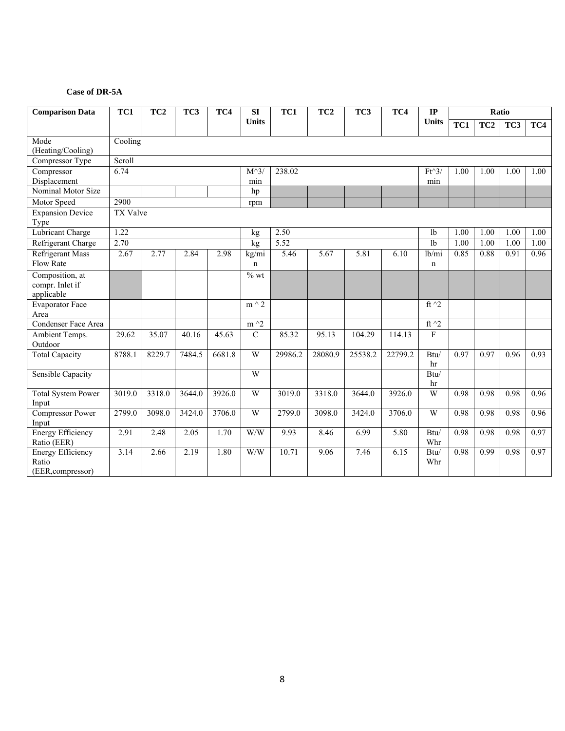#### **Case of DR-5A**

| <b>Comparison Data</b>                                 | TC1<br>TC <sub>2</sub><br>TC3<br>TC4 |        |        |        | SI                   | TC1     | TC <sub>2</sub> | TC3     | TC4     | $\mathbf{IP}$         |      |                 | Ratio |      |
|--------------------------------------------------------|--------------------------------------|--------|--------|--------|----------------------|---------|-----------------|---------|---------|-----------------------|------|-----------------|-------|------|
|                                                        |                                      |        |        |        | <b>Units</b>         |         |                 |         |         | <b>Units</b>          | TC1  | TC <sub>2</sub> | TC3   | TC4  |
| Mode<br>(Heating/Cooling)                              | Cooling                              |        |        |        |                      |         |                 |         |         |                       |      |                 |       |      |
| Compressor Type                                        | Scroll                               |        |        |        |                      |         |                 |         |         |                       |      |                 |       |      |
| Compressor<br>Displacement                             | 6.74                                 |        |        |        | $M^{\wedge}3$<br>min | 238.02  |                 |         |         | $Ft^3$<br>min         | 1.00 | 1.00            | 1.00  | 1.00 |
| Nominal Motor Size                                     |                                      |        |        |        | hp                   |         |                 |         |         |                       |      |                 |       |      |
| Motor Speed                                            | 2900                                 |        |        |        | rpm                  |         |                 |         |         |                       |      |                 |       |      |
| <b>Expansion Device</b><br>Type                        | <b>TX Valve</b>                      |        |        |        |                      |         |                 |         |         |                       |      |                 |       |      |
| <b>Lubricant Charge</b>                                | 1.22                                 |        |        |        | kg                   | 2.50    |                 |         |         | 1 <sub>b</sub>        | 1.00 | 1.00            | 1.00  | 1.00 |
| Refrigerant Charge                                     | 2.70                                 |        |        |        | kg                   | 5.52    |                 |         |         | 1 <sub>b</sub>        | 1.00 | 1.00            | 1.00  | 1.00 |
| <b>Refrigerant Mass</b><br>Flow Rate                   | 2.67                                 | 2.77   | 2.84   | 2.98   | kg/mi<br>n           | 5.46    | 5.67            | 5.81    | 6.10    | 1b/min<br>$\mathbf n$ | 0.85 | 0.88            | 0.91  | 0.96 |
| Composition, at<br>compr. Inlet if<br>applicable       |                                      |        |        |        | $%$ wt               |         |                 |         |         |                       |      |                 |       |      |
| <b>Evaporator Face</b><br>Area                         |                                      |        |        |        | $m \wedge 2$         |         |                 |         |         | ft $^2$               |      |                 |       |      |
| Condenser Face Area                                    |                                      |        |        |        | $m \wedge 2$         |         |                 |         |         | ft $\sqrt{2}$         |      |                 |       |      |
| Ambient Temps.<br>Outdoor                              | 29.62                                | 35.07  | 40.16  | 45.63  | $\mathbf C$          | 85.32   | 95.13           | 104.29  | 114.13  | F                     |      |                 |       |      |
| <b>Total Capacity</b>                                  | 8788.1                               | 8229.7 | 7484.5 | 6681.8 | W                    | 29986.2 | 28080.9         | 25538.2 | 22799.2 | Btu/<br>hr            | 0.97 | 0.97            | 0.96  | 0.93 |
| Sensible Capacity                                      |                                      |        |        |        | W                    |         |                 |         |         | Btu/<br>hr            |      |                 |       |      |
| <b>Total System Power</b><br>Input                     | 3019.0                               | 3318.0 | 3644.0 | 3926.0 | W                    | 3019.0  | 3318.0          | 3644.0  | 3926.0  | W                     | 0.98 | 0.98            | 0.98  | 0.96 |
| <b>Compressor Power</b><br>Input                       | 2799.0                               | 3098.0 | 3424.0 | 3706.0 | W                    | 2799.0  | 3098.0          | 3424.0  | 3706.0  | W                     | 0.98 | 0.98            | 0.98  | 0.96 |
| <b>Energy Efficiency</b><br>Ratio (EER)                | 2.91                                 | 2.48   | 2.05   | 1.70   | W/W                  | 9.93    | 8.46            | 6.99    | 5.80    | Btu/<br>Whr           | 0.98 | 0.98            | 0.98  | 0.97 |
| <b>Energy Efficiency</b><br>Ratio<br>(EER, compressor) | 3.14                                 | 2.66   | 2.19   | 1.80   | W/W                  | 10.71   | 9.06            | 7.46    | 6.15    | $\bar{B}$ tu/<br>Whr  | 0.98 | 0.99            | 0.98  | 0.97 |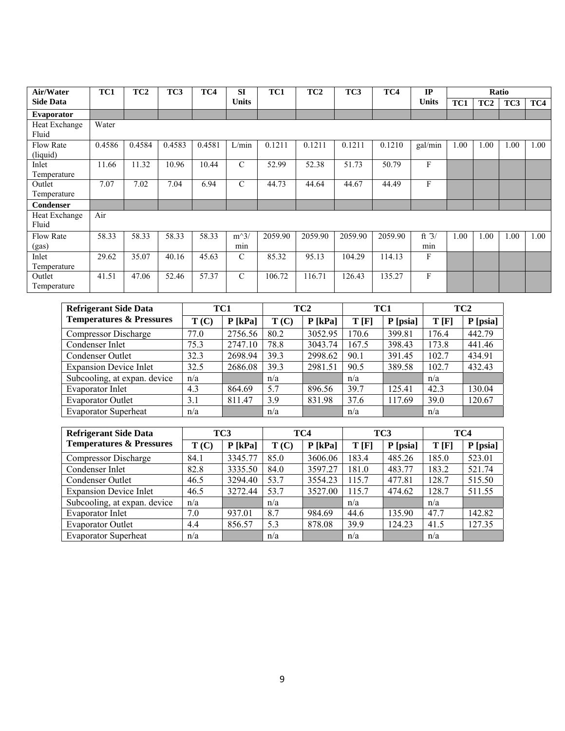| Air/Water        | TC1    | TC <sub>2</sub> | TC3    | TC4    | <b>SI</b>     | TC1     | TC <sub>2</sub> | TC <sub>3</sub> | TC4     | IP           |      |                 | Ratio |      |
|------------------|--------|-----------------|--------|--------|---------------|---------|-----------------|-----------------|---------|--------------|------|-----------------|-------|------|
| <b>Side Data</b> |        |                 |        |        | <b>Units</b>  |         |                 |                 |         | <b>Units</b> | TC1  | TC <sub>2</sub> | TC3   | TC4  |
| Evaporator       |        |                 |        |        |               |         |                 |                 |         |              |      |                 |       |      |
| Heat Exchange    | Water  |                 |        |        |               |         |                 |                 |         |              |      |                 |       |      |
| Fluid            |        |                 |        |        |               |         |                 |                 |         |              |      |                 |       |      |
| <b>Flow Rate</b> | 0.4586 | 0.4584          | 0.4583 | 0.4581 | L/min         | 0.1211  | 0.1211          | 0.1211          | 0.1210  | gal/min      | 1.00 | 1.00            | 1.00  | 1.00 |
| (liquid)         |        |                 |        |        |               |         |                 |                 |         |              |      |                 |       |      |
| Inlet            | 11.66  | 11.32           | 10.96  | 10.44  | $\mathcal{C}$ | 52.99   | 52.38           | 51.73           | 50.79   | F            |      |                 |       |      |
| Temperature      |        |                 |        |        |               |         |                 |                 |         |              |      |                 |       |      |
| Outlet           | 7.07   | 7.02            | 7.04   | 6.94   | $\mathcal{C}$ | 44.73   | 44.64           | 44.67           | 44.49   | F            |      |                 |       |      |
| Temperature      |        |                 |        |        |               |         |                 |                 |         |              |      |                 |       |      |
| Condenser        |        |                 |        |        |               |         |                 |                 |         |              |      |                 |       |      |
| Heat Exchange    | Air    |                 |        |        |               |         |                 |                 |         |              |      |                 |       |      |
| Fluid            |        |                 |        |        |               |         |                 |                 |         |              |      |                 |       |      |
| <b>Flow Rate</b> | 58.33  | 58.33           | 58.33  | 58.33  | $m^3/$        | 2059.90 | 2059.90         | 2059.90         | 2059.90 | ft $3/$      | 1.00 | 1.00            | 1.00  | 1.00 |
| (gas)            |        |                 |        |        | min           |         |                 |                 |         | min          |      |                 |       |      |
| Inlet            | 29.62  | 35.07           | 40.16  | 45.63  | $\mathcal{C}$ | 85.32   | 95.13           | 104.29          | 114.13  | F            |      |                 |       |      |
| Temperature      |        |                 |        |        |               |         |                 |                 |         |              |      |                 |       |      |
| Outlet           | 41.51  | 47.06           | 52.46  | 57.37  | $\mathcal{C}$ | 106.72  | 116.71          | 126.43          | 135.27  | F            |      |                 |       |      |
| Temperature      |        |                 |        |        |               |         |                 |                 |         |              |      |                 |       |      |

| <b>Refrigerant Side Data</b>        | TC1  |           | TC <sub>2</sub> |           | TC1   |          | TC <sub>2</sub> |          |
|-------------------------------------|------|-----------|-----------------|-----------|-------|----------|-----------------|----------|
| <b>Temperatures &amp; Pressures</b> | T(C) | $P$ [kPa] | T(C)            | $P$ [kPa] | T[F]  | P [psia] | T[F]            | P [psia] |
| Compressor Discharge                | 77.0 | 2756.56   | 80.2            | 3052.95   | 170.6 | 399.81   | 176.4           | 442.79   |
| Condenser Inlet                     | 75.3 | 2747.10   | 78.8            | 3043.74   | 167.5 | 398.43   | 173.8           | 441.46   |
| Condenser Outlet                    | 32.3 | 2698.94   | 39.3            | 2998.62   | 90.1  | 391.45   | 102.7           | 434.91   |
| <b>Expansion Device Inlet</b>       | 32.5 | 2686.08   | 39.3            | 2981.51   | 90.5  | 389.58   | 102.7           | 432.43   |
| Subcooling, at expan. device        | n/a  |           | n/a             |           | n/a   |          | n/a             |          |
| <b>Evaporator Inlet</b>             | 4.3  | 864.69    | 5.7             | 896.56    | 39.7  | 125.41   | 42.3            | 130.04   |
| <b>Evaporator Outlet</b>            | 3.1  | 811.47    | 3.9             | 831.98    | 37.6  | 117.69   | 39.0            | 120.67   |
| <b>Evaporator Superheat</b>         | n/a  |           | n/a             |           | n/a   |          | n/a             |          |

| <b>Refrigerant Side Data</b>        |      | TC3       |      | TC4       |       | TC <sub>3</sub> | TC4   |          |
|-------------------------------------|------|-----------|------|-----------|-------|-----------------|-------|----------|
| <b>Temperatures &amp; Pressures</b> | T(C) | $P$ [kPa] | T(C) | $P$ [kPa] | T[F]  | P [psia]        | T[F]  | P [psia] |
| <b>Compressor Discharge</b>         | 84.1 | 3345.77   | 85.0 | 3606.06   | 183.4 | 485.26          | 185.0 | 523.01   |
| Condenser Inlet                     | 82.8 | 3335.50   | 84.0 | 3597.27   | 181.0 | 483.77          | 183.2 | 521.74   |
| Condenser Outlet                    | 46.5 | 3294.40   | 53.7 | 3554.23   | 115.7 | 477.81          | 128.7 | 515.50   |
| <b>Expansion Device Inlet</b>       | 46.5 | 3272.44   | 53.7 | 3527.00   | 115.7 | 474.62          | 128.7 | 511.55   |
| Subcooling, at expan. device        | n/a  |           | n/a  |           | n/a   |                 | n/a   |          |
| <b>Evaporator Inlet</b>             | 7.0  | 937.01    | 8.7  | 984.69    | 44.6  | 135.90          | 47.7  | 142.82   |
| <b>Evaporator Outlet</b>            | 4.4  | 856.57    | 5.3  | 878.08    | 39.9  | 124.23          | 41.5  | 127.35   |
| <b>Evaporator Superheat</b>         | n/a  |           | n/a  |           | n/a   |                 | n/a   |          |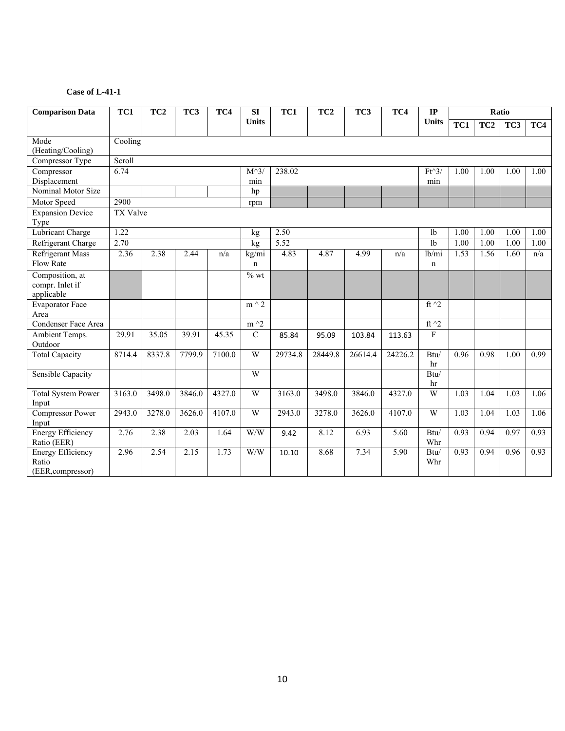| <b>Comparison Data</b>                                 | TC1<br>TC <sub>2</sub><br>TC3<br>TC4 |        |        |        | SI                   | TC1     | TC <sub>2</sub> | TC3     | TC4               | $\mathbf{IP}$  |      |                 | Ratio |      |
|--------------------------------------------------------|--------------------------------------|--------|--------|--------|----------------------|---------|-----------------|---------|-------------------|----------------|------|-----------------|-------|------|
|                                                        |                                      |        |        |        | <b>Units</b>         |         |                 |         |                   | <b>Units</b>   | TC1  | TC <sub>2</sub> | TC3   | TC4  |
| Mode<br>(Heating/Cooling)                              | Cooling                              |        |        |        |                      |         |                 |         |                   |                |      |                 |       |      |
| Compressor Type                                        | Scroll                               |        |        |        |                      |         |                 |         |                   |                |      |                 |       |      |
| Compressor<br>Displacement                             | 6.74                                 |        |        |        | $M^{\wedge}3$<br>min | 238.02  |                 |         |                   | $Ft^3$<br>min  | 1.00 | 1.00            | 1.00  | 1.00 |
| Nominal Motor Size                                     |                                      |        |        |        | hp                   |         |                 |         |                   |                |      |                 |       |      |
| Motor Speed                                            | 2900                                 |        |        |        | rpm                  |         |                 |         |                   |                |      |                 |       |      |
| <b>Expansion Device</b><br>Type                        | <b>TX Valve</b>                      |        |        |        |                      |         |                 |         |                   |                |      |                 |       |      |
| <b>Lubricant Charge</b>                                | 1.22                                 |        |        |        | kg                   | 2.50    |                 |         |                   | 1 <sub>b</sub> | 1.00 | 1.00            | 1.00  | 1.00 |
| Refrigerant Charge                                     | 2.70                                 |        |        |        | kg                   | 5.52    |                 |         |                   | 1 <sub>b</sub> | 1.00 | 1.00            | 1.00  | 1.00 |
| <b>Refrigerant Mass</b><br>Flow Rate                   | 2.36                                 | 2.38   | 2.44   | n/a    | kg/mi<br>n           | 4.83    | 4.87            | 4.99    | n/a               | lb/min<br>n    | 1.53 | 1.56            | 1.60  | n/a  |
| Composition, at<br>compr. Inlet if<br>applicable       |                                      |        |        |        | $%$ wt               |         |                 |         |                   |                |      |                 |       |      |
| <b>Evaporator Face</b><br>Area                         |                                      |        |        |        | $m \wedge 2$         |         |                 |         |                   | ft $^2$        |      |                 |       |      |
| Condenser Face Area                                    |                                      |        |        |        | $m \wedge 2$         |         |                 |         |                   | ft $\sqrt{2}$  |      |                 |       |      |
| Ambient Temps.<br>Outdoor                              | 29.91                                | 35.05  | 39.91  | 45.35  | ${\bf C}$            | 85.84   | 95.09           | 103.84  | 113.63            | ${\bf F}$      |      |                 |       |      |
| <b>Total Capacity</b>                                  | 8714.4                               | 8337.8 | 7799.9 | 7100.0 | W                    | 29734.8 | 28449.8         | 26614.4 | 24226.2           | Btu/<br>hr     | 0.96 | 0.98            | 1.00  | 0.99 |
| Sensible Capacity                                      |                                      |        |        |        | W                    |         |                 |         |                   | Btu/<br>hr     |      |                 |       |      |
| <b>Total System Power</b><br>Input                     | 3163.0                               | 3498.0 | 3846.0 | 4327.0 | W                    | 3163.0  | 3498.0          | 3846.0  | 4327.0            | W              | 1.03 | 1.04            | 1.03  | 1.06 |
| Compressor Power<br>Input                              | 2943.0                               | 3278.0 | 3626.0 | 4107.0 | W                    | 2943.0  | 3278.0          | 3626.0  | 4107.0            | W              | 1.03 | 1.04            | 1.03  | 1.06 |
| <b>Energy Efficiency</b><br>Ratio (EER)                | 2.76                                 | 2.38   | 2.03   | 1.64   | W/W                  | 9.42    | 8.12            | 6.93    | 5.60              | Btu/<br>Whr    | 0.93 | 0.94            | 0.97  | 0.93 |
| <b>Energy Efficiency</b><br>Ratio<br>(EER, compressor) | 2.96                                 | 2.54   | 2.15   | 1.73   | W/W                  | 10.10   | 8.68            | 7.34    | $\overline{5.90}$ | Btu/<br>Whr    | 0.93 | 0.94            | 0.96  | 0.93 |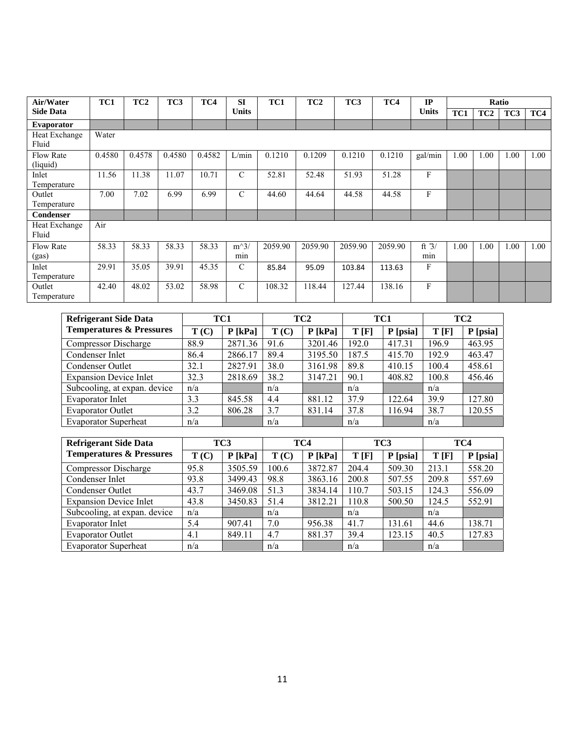| Air/Water                    | TC1    | TC <sub>2</sub> | TC <sub>3</sub> | TC4    | <b>SI</b>     | TC1     | TC <sub>2</sub> | TC3     | TC4     | IP             |      |                 | Ratio |      |
|------------------------------|--------|-----------------|-----------------|--------|---------------|---------|-----------------|---------|---------|----------------|------|-----------------|-------|------|
| <b>Side Data</b>             |        |                 |                 |        | <b>Units</b>  |         |                 |         |         | <b>Units</b>   | TC1  | TC <sub>2</sub> | TC3   | TC4  |
| Evaporator                   |        |                 |                 |        |               |         |                 |         |         |                |      |                 |       |      |
| Heat Exchange<br>Fluid       | Water  |                 |                 |        |               |         |                 |         |         |                |      |                 |       |      |
| <b>Flow Rate</b><br>(liquid) | 0.4580 | 0.4578          | 0.4580          | 0.4582 | L/min         | 0.1210  | 0.1209          | 0.1210  | 0.1210  | gal/min        | 1.00 | 1.00            | 1.00  | 1.00 |
| Inlet<br>Temperature         | 11.56  | 11.38           | 11.07           | 10.71  | C             | 52.81   | 52.48           | 51.93   | 51.28   | F              |      |                 |       |      |
| Outlet<br>Temperature        | 7.00   | 7.02            | 6.99            | 6.99   | $\mathcal{C}$ | 44.60   | 44.64           | 44.58   | 44.58   | F              |      |                 |       |      |
| <b>Condenser</b>             |        |                 |                 |        |               |         |                 |         |         |                |      |                 |       |      |
| Heat Exchange<br>Fluid       | Air    |                 |                 |        |               |         |                 |         |         |                |      |                 |       |      |
| <b>Flow Rate</b><br>(gas)    | 58.33  | 58.33           | 58.33           | 58.33  | $m^3/$<br>min | 2059.90 | 2059.90         | 2059.90 | 2059.90 | ft $3/$<br>min | 1.00 | 1.00            | 1.00  | 1.00 |
| Inlet<br>Temperature         | 29.91  | 35.05           | 39.91           | 45.35  | $\mathcal{C}$ | 85.84   | 95.09           | 103.84  | 113.63  | F              |      |                 |       |      |
| Outlet<br>Temperature        | 42.40  | 48.02           | 53.02           | 58.98  | $\mathcal{C}$ | 108.32  | 118.44          | 127.44  | 138.16  | F              |      |                 |       |      |

| <b>Refrigerant Side Data</b>        | TC1  |           |      | TC <sub>2</sub> | TC1   |          | TC <sub>2</sub> |          |
|-------------------------------------|------|-----------|------|-----------------|-------|----------|-----------------|----------|
| <b>Temperatures &amp; Pressures</b> | T(C) | $P$ [kPa] | T(C) | $P$ [kPa]       | T[F]  | P [psia] | T[F]            | P [psia] |
| <b>Compressor Discharge</b>         | 88.9 | 2871.36   | 91.6 | 3201.46         | 192.0 | 417.31   | 196.9           | 463.95   |
| Condenser Inlet                     | 86.4 | 2866.17   | 89.4 | 3195.50         | 187.5 | 415.70   | 192.9           | 463.47   |
| Condenser Outlet                    | 32.1 | 2827.91   | 38.0 | 3161.98         | 89.8  | 410.15   | 100.4           | 458.61   |
| <b>Expansion Device Inlet</b>       | 32.3 | 2818.69   | 38.2 | 3147.21         | 90.1  | 408.82   | 100.8           | 456.46   |
| Subcooling, at expan. device        | n/a  |           | n/a  |                 | n/a   |          | n/a             |          |
| <b>Evaporator Inlet</b>             | 3.3  | 845.58    | 4.4  | 881.12          | 37.9  | 122.64   | 39.9            | 127.80   |
| <b>Evaporator Outlet</b>            | 3.2  | 806.28    | 3.7  | 831.14          | 37.8  | 116.94   | 38.7            | 120.55   |
| <b>Evaporator Superheat</b>         | n/a  |           | n/a  |                 | n/a   |          | n/a             |          |

| <b>Refrigerant Side Data</b>        | TC <sub>3</sub> |           | TC4   |           | TC <sub>3</sub> |          | TC4   |          |
|-------------------------------------|-----------------|-----------|-------|-----------|-----------------|----------|-------|----------|
| <b>Temperatures &amp; Pressures</b> | T(C)            | $P$ [kPa] | T(C)  | $P$ [kPa] | T[F]            | P [psia] | T[F]  | P [psia] |
| Compressor Discharge                | 95.8            | 3505.59   | 100.6 | 3872.87   | 204.4           | 509.30   | 213.1 | 558.20   |
| Condenser Inlet                     | 93.8            | 3499.43   | 98.8  | 3863.16   | 200.8           | 507.55   | 209.8 | 557.69   |
| Condenser Outlet                    | 43.7            | 3469.08   | 51.3  | 3834.14   | 110.7           | 503.15   | 124.3 | 556.09   |
| <b>Expansion Device Inlet</b>       | 43.8            | 3450.83   | 51.4  | 3812.21   | 110.8           | 500.50   | 124.5 | 552.91   |
| Subcooling, at expan. device        | n/a             |           | n/a   |           | n/a             |          | n/a   |          |
| Evaporator Inlet                    | 5.4             | 907.41    | 7.0   | 956.38    | 41.7            | 131.61   | 44.6  | 138.71   |
| <b>Evaporator Outlet</b>            | 4.1             | 849.11    | 4.7   | 881.37    | 39.4            | 123.15   | 40.5  | 127.83   |
| <b>Evaporator Superheat</b>         | n/a             |           | n/a   |           | n/a             |          | n/a   |          |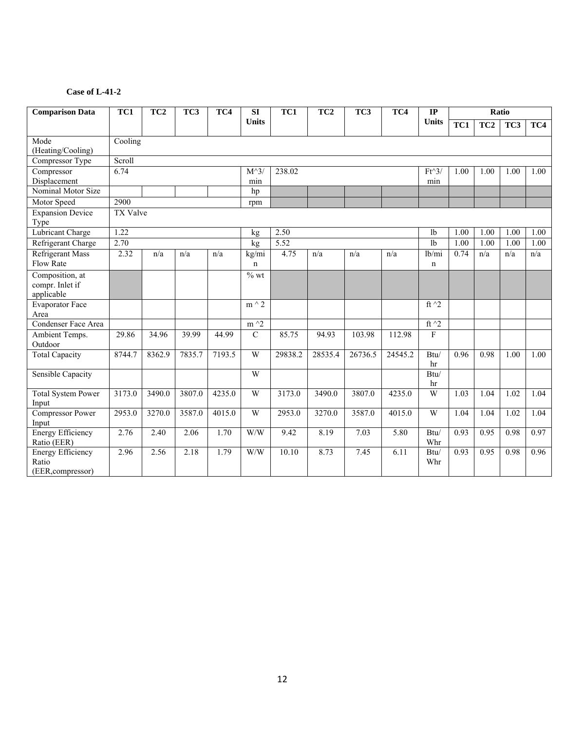| <b>Comparison Data</b>                                 | $\overline{TC1}$ | TC <sub>2</sub>     | TC3    | TC4    | SI                   | $\overline{TC1}$ | TC <sub>2</sub> | TC3     | TC4     | $\mathbf{IP}$        |                  |                 | Ratio |      |
|--------------------------------------------------------|------------------|---------------------|--------|--------|----------------------|------------------|-----------------|---------|---------|----------------------|------------------|-----------------|-------|------|
|                                                        |                  |                     |        |        | <b>Units</b>         |                  |                 |         |         | <b>Units</b>         | $\overline{TC1}$ | TC <sub>2</sub> | TC3   | TC4  |
| Mode<br>(Heating/Cooling)                              | Cooling          |                     |        |        |                      |                  |                 |         |         |                      |                  |                 |       |      |
| Compressor Type                                        | Scroll           |                     |        |        |                      |                  |                 |         |         |                      |                  |                 |       |      |
| Compressor<br>Displacement                             | 6.74             |                     |        |        | $M^{\wedge}3$<br>min | 238.02           |                 |         |         | $Ft^3$<br>min        | 1.00             | 1.00            | 1.00  | 1.00 |
| Nominal Motor Size                                     |                  |                     |        |        | hp                   |                  |                 |         |         |                      |                  |                 |       |      |
| Motor Speed                                            | 2900             |                     |        |        | rpm                  |                  |                 |         |         |                      |                  |                 |       |      |
| <b>Expansion Device</b><br>Type                        | <b>TX Valve</b>  |                     |        |        |                      |                  |                 |         |         |                      |                  |                 |       |      |
| <b>Lubricant Charge</b>                                | 1.22             |                     |        |        | kg                   | 2.50             |                 |         |         | 1 <sub>b</sub>       | 1.00             | 1.00            | 1.00  | 1.00 |
| Refrigerant Charge                                     | 2.70             |                     |        |        | kg                   | 5.52             |                 |         |         | 1 <sub>b</sub>       | 1.00             | 1.00            | 1.00  | 1.00 |
| <b>Refrigerant Mass</b><br>Flow Rate                   | 2.32             | n/a                 | n/a    | n/a    | kg/mi<br>n           | 4.75             | n/a             | n/a     | n/a     | lb/mi<br>$\mathbf n$ | 0.74             | n/a             | n/a   | n/a  |
| Composition, at<br>compr. Inlet if<br>applicable       |                  |                     |        |        | $\frac{6}{10}$ wt    |                  |                 |         |         |                      |                  |                 |       |      |
| <b>Evaporator Face</b><br>Area                         |                  |                     |        |        | $m \wedge 2$         |                  |                 |         |         | ft $\gamma$ 2        |                  |                 |       |      |
| Condenser Face Area                                    |                  |                     |        |        | $m^2$                |                  |                 |         |         | ft $\sqrt{2}$        |                  |                 |       |      |
| Ambient Temps.<br>Outdoor                              | 29.86            | 34.96               | 39.99  | 44.99  | $\mathcal{C}$        | 85.75            | 94.93           | 103.98  | 112.98  | F                    |                  |                 |       |      |
| <b>Total Capacity</b>                                  | 8744.7           | 8362.9              | 7835.7 | 7193.5 | W                    | 29838.2          | 28535.4         | 26736.5 | 24545.2 | Btu/<br>hr           | 0.96             | 0.98            | 1.00  | 1.00 |
| Sensible Capacity                                      |                  |                     |        |        | W                    |                  |                 |         |         | Btu/<br>hr           |                  |                 |       |      |
| <b>Total System Power</b><br>Input                     | 3173.0           | $\overline{3490.0}$ | 3807.0 | 4235.0 | W                    | 3173.0           | 3490.0          | 3807.0  | 4235.0  | W                    | 1.03             | 1.04            | 1.02  | 1.04 |
| <b>Compressor Power</b><br>Input                       | 2953.0           | 3270.0              | 3587.0 | 4015.0 | $\overline{W}$       | 2953.0           | 3270.0          | 3587.0  | 4015.0  | $\overline{W}$       | 1.04             | 1.04            | 1.02  | 1.04 |
| <b>Energy Efficiency</b><br>Ratio (EER)                | 2.76             | 2.40                | 2.06   | 1.70   | W/W                  | 9.42             | 8.19            | 7.03    | 5.80    | Btu/<br>Whr          | 0.93             | 0.95            | 0.98  | 0.97 |
| <b>Energy Efficiency</b><br>Ratio<br>(EER, compressor) | 2.96             | 2.56                | 2.18   | 1.79   | W/W                  | 10.10            | 8.73            | 7.45    | 6.11    | Btu/<br>Whr          | 0.93             | 0.95            | 0.98  | 0.96 |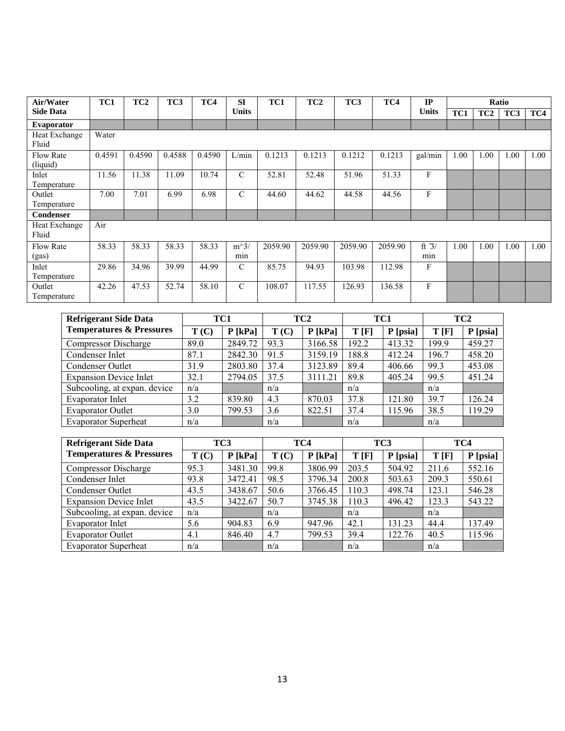| Air/Water                    | TC1    | TC <sub>2</sub> | TC <sub>3</sub> | TC4    | <b>SI</b>     | TC1     | TC <sub>2</sub> | TC3     | TC4     | IP             |      |                 | Ratio |      |
|------------------------------|--------|-----------------|-----------------|--------|---------------|---------|-----------------|---------|---------|----------------|------|-----------------|-------|------|
| <b>Side Data</b>             |        |                 |                 |        | <b>Units</b>  |         |                 |         |         | <b>Units</b>   | TC1  | TC <sub>2</sub> | TC3   | TC4  |
| <b>Evaporator</b>            |        |                 |                 |        |               |         |                 |         |         |                |      |                 |       |      |
| Heat Exchange<br>Fluid       | Water  |                 |                 |        |               |         |                 |         |         |                |      |                 |       |      |
| <b>Flow Rate</b><br>(liquid) | 0.4591 | 0.4590          | 0.4588          | 0.4590 | L/min         | 0.1213  | 0.1213          | 0.1212  | 0.1213  | gal/min        | 1.00 | 1.00            | 1.00  | 1.00 |
| Inlet<br>Temperature         | 11.56  | 11.38           | 11.09           | 10.74  | $\mathcal{C}$ | 52.81   | 52.48           | 51.96   | 51.33   | F              |      |                 |       |      |
| Outlet<br>Temperature        | 7.00   | 7.01            | 6.99            | 6.98   | $\mathcal{C}$ | 44.60   | 44.62           | 44.58   | 44.56   | F              |      |                 |       |      |
| <b>Condenser</b>             |        |                 |                 |        |               |         |                 |         |         |                |      |                 |       |      |
| Heat Exchange<br>Fluid       | Air    |                 |                 |        |               |         |                 |         |         |                |      |                 |       |      |
| <b>Flow Rate</b><br>(gas)    | 58.33  | 58.33           | 58.33           | 58.33  | $m^3/$<br>min | 2059.90 | 2059.90         | 2059.90 | 2059.90 | ft $3/$<br>min | 1.00 | 1.00            | 1.00  | 1.00 |
| Inlet<br>Temperature         | 29.86  | 34.96           | 39.99           | 44.99  | $\mathcal{C}$ | 85.75   | 94.93           | 103.98  | 112.98  | F              |      |                 |       |      |
| Outlet<br>Temperature        | 42.26  | 47.53           | 52.74           | 58.10  | $\mathcal{C}$ | 108.07  | 117.55          | 126.93  | 136.58  | F              |      |                 |       |      |

| <b>Refrigerant Side Data</b>        | TC1  |           | TC <sub>2</sub> |           | TC1   |          | TC <sub>2</sub> |          |
|-------------------------------------|------|-----------|-----------------|-----------|-------|----------|-----------------|----------|
| <b>Temperatures &amp; Pressures</b> | T(C) | $P$ [kPa] | T(C)            | $P$ [kPa] | T[F]  | P [psia] | T[F]            | P [psia] |
| <b>Compressor Discharge</b>         | 89.0 | 2849.72   | 93.3            | 3166.58   | 192.2 | 413.32   | 199.9           | 459.27   |
| Condenser Inlet                     | 87.1 | 2842.30   | 91.5            | 3159.19   | 188.8 | 412.24   | 196.7           | 458.20   |
| Condenser Outlet                    | 31.9 | 2803.80   | 37.4            | 3123.89   | 89.4  | 406.66   | 99.3            | 453.08   |
| <b>Expansion Device Inlet</b>       | 32.1 | 2794.05   | 37.5            | 3111.21   | 89.8  | 405.24   | 99.5            | 451.24   |
| Subcooling, at expan. device        | n/a  |           | n/a             |           | n/a   |          | n/a             |          |
| Evaporator Inlet                    | 3.2  | 839.80    | 4.3             | 870.03    | 37.8  | 121.80   | 39.7            | 126.24   |
| <b>Evaporator Outlet</b>            | 3.0  | 799.53    | 3.6             | 822.51    | 37.4  | 115.96   | 38.5            | 119.29   |
| <b>Evaporator Superheat</b>         | n/a  |           | n/a             |           | n/a   |          | n/a             |          |

| <b>Refrigerant Side Data</b>        | TC3  |           | TC4  |           | TC <sub>3</sub> |          | TC4   |          |
|-------------------------------------|------|-----------|------|-----------|-----------------|----------|-------|----------|
| <b>Temperatures &amp; Pressures</b> | T(C) | $P$ [kPa] | T(C) | $P$ [kPa] | T[F]            | P [psia] | T[F]  | P [psia] |
| <b>Compressor Discharge</b>         | 95.3 | 3481.30   | 99.8 | 3806.99   | 203.5           | 504.92   | 211.6 | 552.16   |
| Condenser Inlet                     | 93.8 | 3472.41   | 98.5 | 3796.34   | 200.8           | 503.63   | 209.3 | 550.61   |
| Condenser Outlet                    | 43.5 | 3438.67   | 50.6 | 3766.45   | 110.3           | 498.74   | 123.1 | 546.28   |
| <b>Expansion Device Inlet</b>       | 43.5 | 3422.67   | 50.7 | 3745.38   | 110.3           | 496.42   | 123.3 | 543.22   |
| Subcooling, at expan. device        | n/a  |           | n/a  |           | n/a             |          | n/a   |          |
| Evaporator Inlet                    | 5.6  | 904.83    | 6.9  | 947.96    | 42.1            | 131.23   | 44.4  | 137.49   |
| <b>Evaporator Outlet</b>            | 4.1  | 846.40    | 4.7  | 799.53    | 39.4            | 122.76   | 40.5  | 115.96   |
| <b>Evaporator Superheat</b>         | n/a  |           | n/a  |           | n/a             |          | n/a   |          |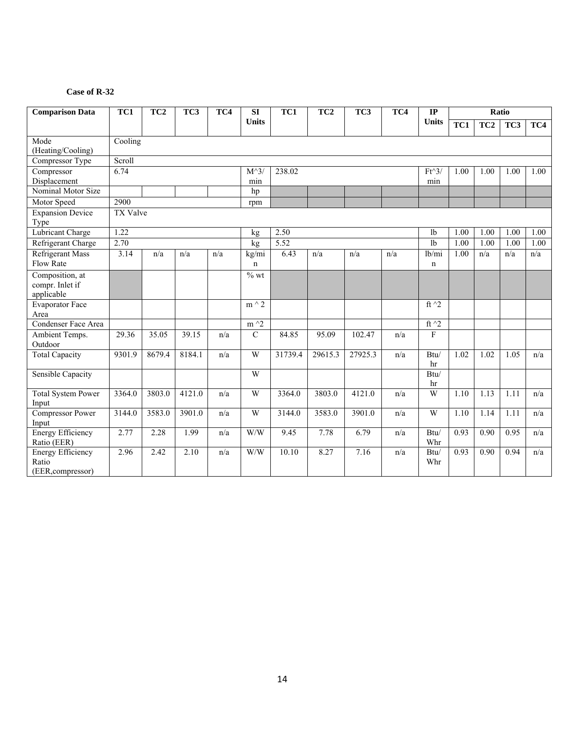# **Case of R-32**

| <b>Comparison Data</b>                                 | TC1      | TC <sub>2</sub> | TC3    | TC4 | SI                   | TC1     | TC <sub>2</sub> | TC3     | TC4 | $\mathbf{IP}$          |                   |                   | Ratio |      |
|--------------------------------------------------------|----------|-----------------|--------|-----|----------------------|---------|-----------------|---------|-----|------------------------|-------------------|-------------------|-------|------|
|                                                        |          |                 |        |     | <b>Units</b>         |         |                 |         |     | <b>Units</b>           | TC1               | TC <sub>2</sub>   | TC3   | TC4  |
| Mode<br>(Heating/Cooling)                              | Cooling  |                 |        |     |                      |         |                 |         |     |                        |                   |                   |       |      |
| Compressor Type                                        | Scroll   |                 |        |     |                      |         |                 |         |     |                        |                   |                   |       |      |
| Compressor<br>Displacement                             | 6.74     |                 |        |     | $M^{\wedge}3$<br>min | 238.02  |                 |         |     | $Ft^{\wedge}3/$<br>min | 1.00              | 1.00              | 1.00  | 1.00 |
| Nominal Motor Size                                     |          |                 |        |     | hp                   |         |                 |         |     |                        |                   |                   |       |      |
| Motor Speed                                            | 2900     |                 |        |     | rpm                  |         |                 |         |     |                        |                   |                   |       |      |
| <b>Expansion Device</b><br>Type                        | TX Valve |                 |        |     |                      |         |                 |         |     |                        |                   |                   |       |      |
| <b>Lubricant Charge</b>                                | 1.22     |                 |        |     | kg                   | 2.50    |                 |         |     | 1 <sub>b</sub>         | $\overline{1.00}$ | 1.00              | 1.00  | 1.00 |
| Refrigerant Charge                                     | 2.70     |                 |        |     | kg                   | 5.52    |                 |         |     | 1 <sub>b</sub>         | 1.00              | 1.00              | 1.00  | 1.00 |
| <b>Refrigerant Mass</b><br>Flow Rate                   | 3.14     | n/a             | n/a    | n/a | kg/mi<br>n           | 6.43    | n/a             | n/a     | n/a | lb/mi<br>$\mathbf n$   | 1.00              | n/a               | n/a   | n/a  |
| Composition, at<br>compr. Inlet if<br>applicable       |          |                 |        |     | $%$ wt               |         |                 |         |     |                        |                   |                   |       |      |
| <b>Evaporator Face</b><br>Area                         |          |                 |        |     | $m \wedge 2$         |         |                 |         |     | ft $\gamma$ 2          |                   |                   |       |      |
| Condenser Face Area                                    |          |                 |        |     | $m \wedge 2$         |         |                 |         |     | ft $\hat{}$ 2          |                   |                   |       |      |
| Ambient Temps.<br>Outdoor                              | 29.36    | 35.05           | 39.15  | n/a | $\mathbf C$          | 84.85   | 95.09           | 102.47  | n/a | F                      |                   |                   |       |      |
| <b>Total Capacity</b>                                  | 9301.9   | 8679.4          | 8184.1 | n/a | W                    | 31739.4 | 29615.3         | 27925.3 | n/a | Btu/<br>hr             | 1.02              | 1.02              | 1.05  | n/a  |
| <b>Sensible Capacity</b>                               |          |                 |        |     | W                    |         |                 |         |     | Btu/<br>hr             |                   |                   |       |      |
| <b>Total System Power</b><br>Input                     | 3364.0   | 3803.0          | 4121.0 | n/a | W                    | 3364.0  | 3803.0          | 4121.0  | n/a | $\overline{W}$         | 1.10              | 1.13              | 1.11  | n/a  |
| <b>Compressor Power</b><br>Input                       | 3144.0   | 3583.0          | 3901.0 | n/a | W                    | 3144.0  | 3583.0          | 3901.0  | n/a | W                      | 1.10              | 1.14              | 1.11  | n/a  |
| <b>Energy Efficiency</b><br>Ratio (EER)                | 2.77     | 2.28            | 1.99   | n/a | W/W                  | 9.45    | 7.78            | 6.79    | n/a | Btu/<br>Whr            | 0.93              | $\overline{0.90}$ | 0.95  | n/a  |
| <b>Energy Efficiency</b><br>Ratio<br>(EER, compressor) | 2.96     | 2.42            | 2.10   | n/a | W/W                  | 10.10   | 8.27            | 7.16    | n/a | Btu/<br>Whr            | 0.93              | 0.90              | 0.94  | n/a  |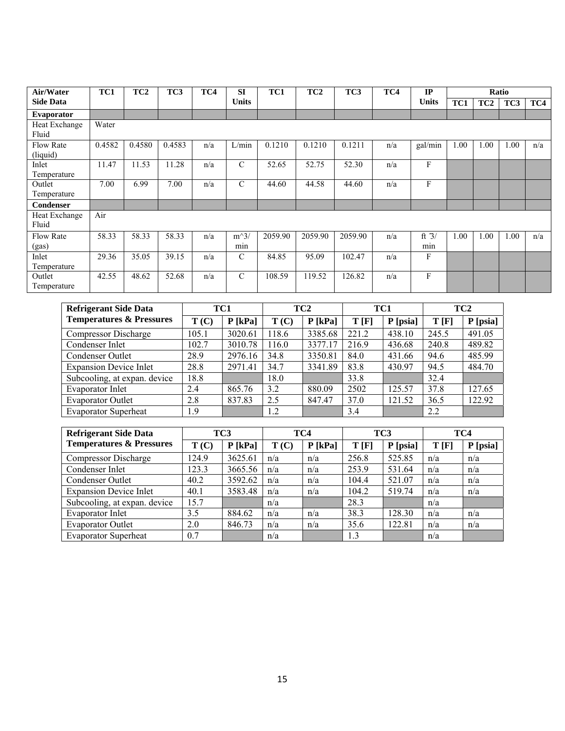| Air/Water                    | TC1    | TC <sub>2</sub> | TC3    | TC4 | <b>SI</b>     | TC1     | TC <sub>2</sub> | TC <sub>3</sub> | TC4 | IP             |      |                 | Ratio |     |
|------------------------------|--------|-----------------|--------|-----|---------------|---------|-----------------|-----------------|-----|----------------|------|-----------------|-------|-----|
| <b>Side Data</b>             |        |                 |        |     | <b>Units</b>  |         |                 |                 |     | Units          | TC1  | TC <sub>2</sub> | TC3   | TC4 |
| <b>Evaporator</b>            |        |                 |        |     |               |         |                 |                 |     |                |      |                 |       |     |
| Heat Exchange<br>Fluid       | Water  |                 |        |     |               |         |                 |                 |     |                |      |                 |       |     |
| <b>Flow Rate</b><br>(liquid) | 0.4582 | 0.4580          | 0.4583 | n/a | L/min         | 0.1210  | 0.1210          | 0.1211          | n/a | gal/min        | 1.00 | 1.00            | 1.00  | n/a |
| Inlet<br>Temperature         | 11.47  | 11.53           | 11.28  | n/a | $\mathcal{C}$ | 52.65   | 52.75           | 52.30           | n/a | F              |      |                 |       |     |
| Outlet<br>Temperature        | 7.00   | 6.99            | 7.00   | n/a | $\mathcal{C}$ | 44.60   | 44.58           | 44.60           | n/a | F              |      |                 |       |     |
| <b>Condenser</b>             |        |                 |        |     |               |         |                 |                 |     |                |      |                 |       |     |
| Heat Exchange<br>Fluid       | Air    |                 |        |     |               |         |                 |                 |     |                |      |                 |       |     |
| <b>Flow Rate</b><br>(gas)    | 58.33  | 58.33           | 58.33  | n/a | $m^3/$<br>min | 2059.90 | 2059.90         | 2059.90         | n/a | ft $3/$<br>min | 1.00 | 1.00            | 1.00  | n/a |
| Inlet<br>Temperature         | 29.36  | 35.05           | 39.15  | n/a | $\mathcal{C}$ | 84.85   | 95.09           | 102.47          | n/a | F              |      |                 |       |     |
| Outlet<br>Temperature        | 42.55  | 48.62           | 52.68  | n/a | $\mathcal{C}$ | 108.59  | 119.52          | 126.82          | n/a | F              |      |                 |       |     |

| <b>Refrigerant Side Data</b>        | TC1   |           | TC <sub>2</sub> |           | TC1   |          | TC <sub>2</sub> |          |
|-------------------------------------|-------|-----------|-----------------|-----------|-------|----------|-----------------|----------|
| <b>Temperatures &amp; Pressures</b> | T(C)  | $P$ [kPa] | T(C)            | $P$ [kPa] | T[F]  | P [psia] | T[F]            | P [psia] |
| Compressor Discharge                | 105.1 | 3020.61   | 118.6           | 3385.68   | 221.2 | 438.10   | 245.5           | 491.05   |
| Condenser Inlet                     | 102.7 | 3010.78   | 116.0           | 3377.17   | 216.9 | 436.68   | 240.8           | 489.82   |
| Condenser Outlet                    | 28.9  | 2976.16   | 34.8            | 3350.81   | 84.0  | 431.66   | 94.6            | 485.99   |
| <b>Expansion Device Inlet</b>       | 28.8  | 2971.41   | 34.7            | 3341.89   | 83.8  | 430.97   | 94.5            | 484.70   |
| Subcooling, at expan. device        | 18.8  |           | 18.0            |           | 33.8  |          | 32.4            |          |
| Evaporator Inlet                    | 2.4   | 865.76    | 3.2             | 880.09    | 2502  | 125.57   | 37.8            | 127.65   |
| <b>Evaporator Outlet</b>            | 2.8   | 837.83    | 2.5             | 847.47    | 37.0  | 121.52   | 36.5            | 122.92   |
| <b>Evaporator Superheat</b>         | 1.9   |           | 1.2             |           | 3.4   |          | 2.2             |          |

| <b>Refrigerant Side Data</b>        |       | TC3       |      | TC4       | TC3   |          |      | TC4      |
|-------------------------------------|-------|-----------|------|-----------|-------|----------|------|----------|
| <b>Temperatures &amp; Pressures</b> | T(C)  | $P$ [kPa] | T(C) | $P$ [kPa] | T[F]  | P [psia] | T[F] | P [psia] |
| <b>Compressor Discharge</b>         | 124.9 | 3625.61   | n/a  | n/a       | 256.8 | 525.85   | n/a  | n/a      |
| Condenser Inlet                     | 123.3 | 3665.56   | n/a  | n/a       | 253.9 | 531.64   | n/a  | n/a      |
| Condenser Outlet                    | 40.2  | 3592.62   | n/a  | n/a       | 104.4 | 521.07   | n/a  | n/a      |
| <b>Expansion Device Inlet</b>       | 40.1  | 3583.48   | n/a  | n/a       | 104.2 | 519.74   | n/a  | n/a      |
| Subcooling, at expan. device        | 15.7  |           | n/a  |           | 28.3  |          | n/a  |          |
| Evaporator Inlet                    | 3.5   | 884.62    | n/a  | n/a       | 38.3  | 128.30   | n/a  | n/a      |
| <b>Evaporator Outlet</b>            | 2.0   | 846.73    | n/a  | n/a       | 35.6  | 122.81   | n/a  | n/a      |
| <b>Evaporator Superheat</b>         | 0.7   |           | n/a  |           | 1.3   |          | n/a  |          |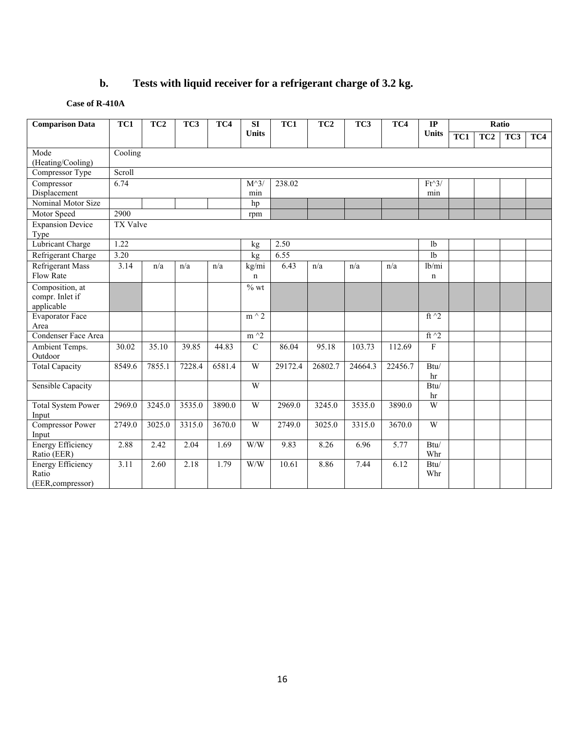# **b. Tests with liquid receiver for a refrigerant charge of 3.2 kg.**

## **Case of R-410A**

| <b>Comparison Data</b>    | TC1             | TC <sub>2</sub> | TC <sub>3</sub> | TC4    | TC <sub>2</sub><br>TC1<br>TC <sub>3</sub><br>TC4<br><b>SI</b> |         |         |         | IP      |                                      | Ratio |                 |                 |     |
|---------------------------|-----------------|-----------------|-----------------|--------|---------------------------------------------------------------|---------|---------|---------|---------|--------------------------------------|-------|-----------------|-----------------|-----|
|                           |                 |                 |                 |        | <b>Units</b>                                                  |         |         |         |         | <b>Units</b>                         | TC1   | TC <sub>2</sub> | TC <sub>3</sub> | TC4 |
| Mode                      | Cooling         |                 |                 |        |                                                               |         |         |         |         |                                      |       |                 |                 |     |
| (Heating/Cooling)         |                 |                 |                 |        |                                                               |         |         |         |         |                                      |       |                 |                 |     |
| Compressor Type           | Scroll          |                 |                 |        |                                                               |         |         |         |         |                                      |       |                 |                 |     |
| Compressor                | 6.74            |                 |                 |        | $M^{\wedge}3$                                                 | 238.02  |         |         |         | $Ft^3$                               |       |                 |                 |     |
| Displacement              |                 |                 |                 |        | min                                                           |         |         |         |         | min                                  |       |                 |                 |     |
| Nominal Motor Size        |                 |                 |                 |        | hp                                                            |         |         |         |         |                                      |       |                 |                 |     |
| Motor Speed               | 2900            |                 |                 |        | rpm                                                           |         |         |         |         |                                      |       |                 |                 |     |
| <b>Expansion Device</b>   | <b>TX Valve</b> |                 |                 |        |                                                               |         |         |         |         |                                      |       |                 |                 |     |
| Type                      |                 |                 |                 |        |                                                               |         |         |         |         |                                      |       |                 |                 |     |
| <b>Lubricant Charge</b>   | 1.22            |                 |                 |        | kg                                                            | 2.50    |         |         |         | 1 <sub>b</sub>                       |       |                 |                 |     |
| Refrigerant Charge        | 3.20            |                 |                 |        | kg                                                            | 6.55    |         |         |         | 1 <sub>b</sub>                       |       |                 |                 |     |
| <b>Refrigerant Mass</b>   | 3.14            | n/a             | n/a             | n/a    | kg/mi                                                         | 6.43    | n/a     | n/a     | n/a     | $\overline{\text{lb}}$ <sub>mi</sub> |       |                 |                 |     |
| Flow Rate                 |                 |                 |                 |        | $\mathbf n$                                                   |         |         |         |         | $\mathbf n$                          |       |                 |                 |     |
| Composition, at           |                 |                 |                 |        | $%$ wt                                                        |         |         |         |         |                                      |       |                 |                 |     |
| compr. Inlet if           |                 |                 |                 |        |                                                               |         |         |         |         |                                      |       |                 |                 |     |
| applicable                |                 |                 |                 |        |                                                               |         |         |         |         |                                      |       |                 |                 |     |
| <b>Evaporator Face</b>    |                 |                 |                 |        | $m \wedge 2$                                                  |         |         |         |         | ft $\hat{2}$                         |       |                 |                 |     |
| Area                      |                 |                 |                 |        |                                                               |         |         |         |         |                                      |       |                 |                 |     |
| Condenser Face Area       |                 |                 |                 |        | $m \, \hat{} \, 2$                                            |         |         |         |         | ft $^{\wedge}2$                      |       |                 |                 |     |
| Ambient Temps.            | 30.02           | 35.10           | 39.85           | 44.83  | $\overline{C}$                                                | 86.04   | 95.18   | 103.73  | 112.69  | F                                    |       |                 |                 |     |
| Outdoor                   |                 |                 |                 |        |                                                               |         |         |         |         |                                      |       |                 |                 |     |
| <b>Total Capacity</b>     | 8549.6          | 7855.1          | 7228.4          | 6581.4 | W                                                             | 29172.4 | 26802.7 | 24664.3 | 22456.7 | Btu/                                 |       |                 |                 |     |
|                           |                 |                 |                 |        |                                                               |         |         |         |         | hr                                   |       |                 |                 |     |
| Sensible Capacity         |                 |                 |                 |        | W                                                             |         |         |         |         | Btu/                                 |       |                 |                 |     |
|                           |                 |                 |                 |        |                                                               |         |         |         |         | hr                                   |       |                 |                 |     |
| <b>Total System Power</b> | 2969.0          | 3245.0          | 3535.0          | 3890.0 | W                                                             | 2969.0  | 3245.0  | 3535.0  | 3890.0  | W                                    |       |                 |                 |     |
| Input                     |                 |                 |                 |        |                                                               |         |         |         |         |                                      |       |                 |                 |     |
| <b>Compressor Power</b>   | 2749.0          | 3025.0          | 3315.0          | 3670.0 | W                                                             | 2749.0  | 3025.0  | 3315.0  | 3670.0  | W                                    |       |                 |                 |     |
| Input                     |                 |                 |                 |        |                                                               |         |         |         |         |                                      |       |                 |                 |     |
| <b>Energy Efficiency</b>  | 2.88            | 2.42            | 2.04            | 1.69   | W/W                                                           | 9.83    | 8.26    | 6.96    | 5.77    | Btu/                                 |       |                 |                 |     |
| Ratio (EER)               |                 |                 |                 |        |                                                               |         |         |         |         | Whr                                  |       |                 |                 |     |
| <b>Energy Efficiency</b>  | 3.11            | 2.60            | 2.18            | 1.79   | W/W                                                           | 10.61   | 8.86    | 7.44    | 6.12    | Btu/                                 |       |                 |                 |     |
| Ratio                     |                 |                 |                 |        |                                                               |         |         |         |         | Whr                                  |       |                 |                 |     |
| (EER, compressor)         |                 |                 |                 |        |                                                               |         |         |         |         |                                      |       |                 |                 |     |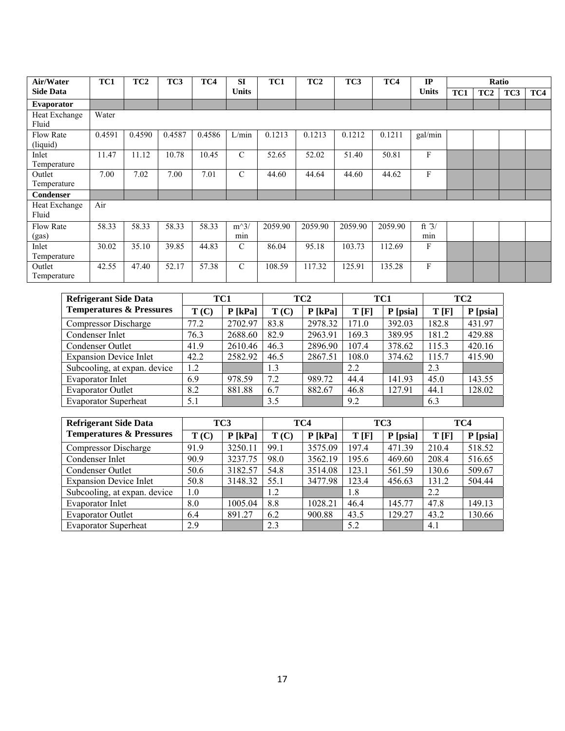| Air/Water         | TC1    | TC <sub>2</sub> | TC3    | TC4    | <b>SI</b>     | TC1     | TC <sub>2</sub> | TC3     | TC4     | IP           |     |                 | Ratio |     |
|-------------------|--------|-----------------|--------|--------|---------------|---------|-----------------|---------|---------|--------------|-----|-----------------|-------|-----|
| <b>Side Data</b>  |        |                 |        |        | <b>Units</b>  |         |                 |         |         | <b>Units</b> | TC1 | TC <sub>2</sub> | TC3   | TC4 |
| <b>Evaporator</b> |        |                 |        |        |               |         |                 |         |         |              |     |                 |       |     |
| Heat Exchange     | Water  |                 |        |        |               |         |                 |         |         |              |     |                 |       |     |
| Fluid             |        |                 |        |        |               |         |                 |         |         |              |     |                 |       |     |
| Flow Rate         | 0.4591 | 0.4590          | 0.4587 | 0.4586 | L/min         | 0.1213  | 0.1213          | 0.1212  | 0.1211  | gal/min      |     |                 |       |     |
| (liquid)          |        |                 |        |        |               |         |                 |         |         |              |     |                 |       |     |
| Inlet             | 11.47  | 11.12           | 10.78  | 10.45  | $\mathcal{C}$ | 52.65   | 52.02           | 51.40   | 50.81   | F            |     |                 |       |     |
| Temperature       |        |                 |        |        |               |         |                 |         |         |              |     |                 |       |     |
| Outlet            | 7.00   | 7.02            | 7.00   | 7.01   | $\mathcal{C}$ | 44.60   | 44.64           | 44.60   | 44.62   | F            |     |                 |       |     |
| Temperature       |        |                 |        |        |               |         |                 |         |         |              |     |                 |       |     |
| <b>Condenser</b>  |        |                 |        |        |               |         |                 |         |         |              |     |                 |       |     |
| Heat Exchange     | Air    |                 |        |        |               |         |                 |         |         |              |     |                 |       |     |
| Fluid             |        |                 |        |        |               |         |                 |         |         |              |     |                 |       |     |
| <b>Flow Rate</b>  | 58.33  | 58.33           | 58.33  | 58.33  | $m^3/$        | 2059.90 | 2059.90         | 2059.90 | 2059.90 | ft $3/$      |     |                 |       |     |
| (gas)             |        |                 |        |        | min           |         |                 |         |         | min          |     |                 |       |     |
| Inlet             | 30.02  | 35.10           | 39.85  | 44.83  | $\mathcal{C}$ | 86.04   | 95.18           | 103.73  | 112.69  | F            |     |                 |       |     |
| Temperature       |        |                 |        |        |               |         |                 |         |         |              |     |                 |       |     |
| Outlet            | 42.55  | 47.40           | 52.17  | 57.38  | $\mathcal{C}$ | 108.59  | 117.32          | 125.91  | 135.28  | F            |     |                 |       |     |
| Temperature       |        |                 |        |        |               |         |                 |         |         |              |     |                 |       |     |

| <b>Refrigerant Side Data</b>        |      | TC1       |      | TC <sub>2</sub> | TC1   |          |       | TC <sub>2</sub> |
|-------------------------------------|------|-----------|------|-----------------|-------|----------|-------|-----------------|
| <b>Temperatures &amp; Pressures</b> | T(C) | $P$ [kPa] | T(C) | $P$ [kPa]       | T[F]  | P [psia] | T[F]  | P [psia]        |
| <b>Compressor Discharge</b>         | 77.2 | 2702.97   | 83.8 | 2978.32         | 171.0 | 392.03   | 182.8 | 431.97          |
| Condenser Inlet                     | 76.3 | 2688.60   | 82.9 | 2963.91         | 169.3 | 389.95   | 181.2 | 429.88          |
| Condenser Outlet                    | 41.9 | 2610.46   | 46.3 | 2896.90         | 107.4 | 378.62   | 115.3 | 420.16          |
| <b>Expansion Device Inlet</b>       | 42.2 | 2582.92   | 46.5 | 2867.51         | 108.0 | 374.62   | 115.7 | 415.90          |
| Subcooling, at expan. device        | 1.2  |           | 1.3  |                 | 2.2   |          | 2.3   |                 |
| Evaporator Inlet                    | 6.9  | 978.59    | 7.2  | 989.72          | 44.4  | 141.93   | 45.0  | 143.55          |
| <b>Evaporator Outlet</b>            | 8.2  | 881.88    | 6.7  | 882.67          | 46.8  | 127.91   | 44.1  | 128.02          |
| <b>Evaporator Superheat</b>         | 5.1  |           | 3.5  |                 | 9.2   |          | 6.3   |                 |

| <b>Refrigerant Side Data</b>        |      | TC3       |      | TC4       | TC <sub>3</sub> |          | TC4   |          |
|-------------------------------------|------|-----------|------|-----------|-----------------|----------|-------|----------|
| <b>Temperatures &amp; Pressures</b> | T(C) | $P$ [kPa] | T(C) | $P$ [kPa] | T[F]            | P [psia] | T[F]  | P [psia] |
| Compressor Discharge                | 91.9 | 3250.11   | 99.1 | 3575.09   | 197.4           | 471.39   | 210.4 | 518.52   |
| Condenser Inlet                     | 90.9 | 3237.75   | 98.0 | 3562.19   | 195.6           | 469.60   | 208.4 | 516.65   |
| Condenser Outlet                    | 50.6 | 3182.57   | 54.8 | 3514.08   | 123.1           | 561.59   | 130.6 | 509.67   |
| <b>Expansion Device Inlet</b>       | 50.8 | 3148.32   | 55.1 | 3477.98   | 123.4           | 456.63   | 131.2 | 504.44   |
| Subcooling, at expan. device        | 1.0  |           | 1.2  |           | 1.8             |          | 2.2   |          |
| Evaporator Inlet                    | 8.0  | 1005.04   | 8.8  | 1028.21   | 46.4            | 145.77   | 47.8  | 149.13   |
| <b>Evaporator Outlet</b>            | 6.4  | 891.27    | 6.2  | 900.88    | 43.5            | 129.27   | 43.2  | 130.66   |
| <b>Evaporator Superheat</b>         | 2.9  |           | 2.3  |           | 5.2             |          | 4.1   |          |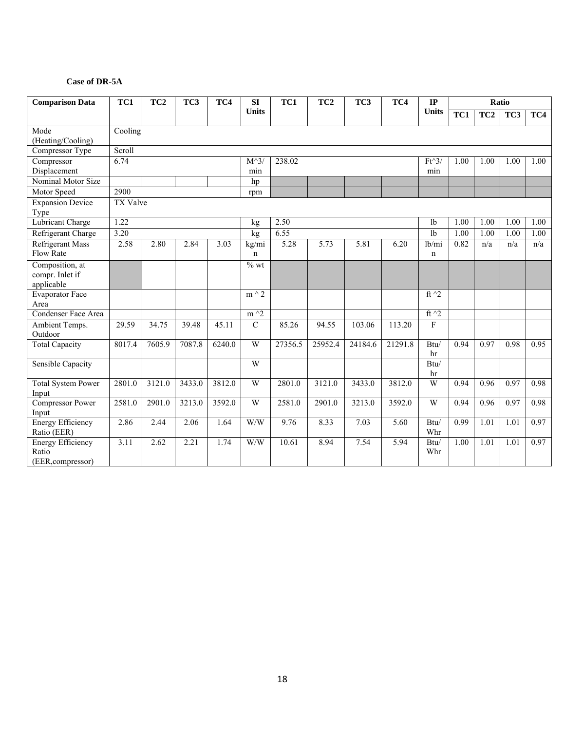#### **Case of DR-5A**

| <b>Comparison Data</b>                                 | TC1<br>TC <sub>2</sub><br>TC3<br>TC4 |        |        |        | SI                   | TC1     | TC <sub>2</sub> | TC3     | TC4     | $\mathbf{IP}$          |      |                 | Ratio |      |
|--------------------------------------------------------|--------------------------------------|--------|--------|--------|----------------------|---------|-----------------|---------|---------|------------------------|------|-----------------|-------|------|
|                                                        |                                      |        |        |        | <b>Units</b>         |         |                 |         |         | <b>Units</b>           | TC1  | TC <sub>2</sub> | TC3   | TC4  |
| Mode<br>(Heating/Cooling)                              | Cooling                              |        |        |        |                      |         |                 |         |         |                        |      |                 |       |      |
| Compressor Type                                        | Scroll                               |        |        |        |                      |         |                 |         |         |                        |      |                 |       |      |
| Compressor<br>Displacement                             | 6.74                                 |        |        |        | $M^{\wedge}3$<br>min | 238.02  |                 |         |         | $Ft^3$<br>min          | 1.00 | 1.00            | 1.00  | 1.00 |
| Nominal Motor Size                                     |                                      |        |        |        | hp                   |         |                 |         |         |                        |      |                 |       |      |
| Motor Speed                                            | 2900                                 |        |        |        | rpm                  |         |                 |         |         |                        |      |                 |       |      |
| <b>Expansion Device</b><br>Type                        | TX Valve                             |        |        |        |                      |         |                 |         |         |                        |      |                 |       |      |
| <b>Lubricant Charge</b>                                | 1.22                                 |        |        |        | kg                   | 2.50    |                 |         |         | 1 <sub>b</sub>         | 1.00 | 1.00            | 1.00  | 1.00 |
| Refrigerant Charge                                     | 3.20                                 |        |        |        | kg                   | 6.55    |                 |         |         | 1 <sub>b</sub>         | 1.00 | 1.00            | 1.00  | 1.00 |
| <b>Refrigerant Mass</b><br>Flow Rate                   | 2.58                                 | 2.80   | 2.84   | 3.03   | kg/mi<br>$\mathbf n$ | 5.28    | 5.73            | 5.81    | 6.20    | 1b/min<br>$\mathbf n$  | 0.82 | n/a             | n/a   | n/a  |
| Composition, at<br>compr. Inlet if<br>applicable       |                                      |        |        |        | $%$ wt               |         |                 |         |         |                        |      |                 |       |      |
| Evaporator Face<br>Area                                |                                      |        |        |        | $m \wedge 2$         |         |                 |         |         | ft $\gamma$ 2          |      |                 |       |      |
| Condenser Face Area                                    |                                      |        |        |        | $m^2$                |         |                 |         |         | ft $\hat{}$ 2          |      |                 |       |      |
| Ambient Temps.<br>Outdoor                              | 29.59                                | 34.75  | 39.48  | 45.11  | $\overline{C}$       | 85.26   | 94.55           | 103.06  | 113.20  | $\mathbf{F}$           |      |                 |       |      |
| <b>Total Capacity</b>                                  | 8017.4                               | 7605.9 | 7087.8 | 6240.0 | W                    | 27356.5 | 25952.4         | 24184.6 | 21291.8 | Btu/<br>hr             | 0.94 | 0.97            | 0.98  | 0.95 |
| Sensible Capacity                                      |                                      |        |        |        | W                    |         |                 |         |         | $\mathbf{Btu} /$<br>hr |      |                 |       |      |
| <b>Total System Power</b><br>Input                     | 2801.0                               | 3121.0 | 3433.0 | 3812.0 | W                    | 2801.0  | 3121.0          | 3433.0  | 3812.0  | W                      | 0.94 | 0.96            | 0.97  | 0.98 |
| <b>Compressor Power</b><br>Input                       | 2581.0                               | 2901.0 | 3213.0 | 3592.0 | W                    | 2581.0  | 2901.0          | 3213.0  | 3592.0  | W                      | 0.94 | 0.96            | 0.97  | 0.98 |
| <b>Energy Efficiency</b><br>Ratio (EER)                | 2.86                                 | 2.44   | 2.06   | 1.64   | W/W                  | 9.76    | 8.33            | 7.03    | 5.60    | Btu/<br>Whr            | 0.99 | 1.01            | 1.01  | 0.97 |
| <b>Energy Efficiency</b><br>Ratio<br>(EER, compressor) | 3.11                                 | 2.62   | 2.21   | 1.74   | W/W                  | 10.61   | 8.94            | 7.54    | 5.94    | Btu/<br>Whr            | 1.00 | 1.01            | 1.01  | 0.97 |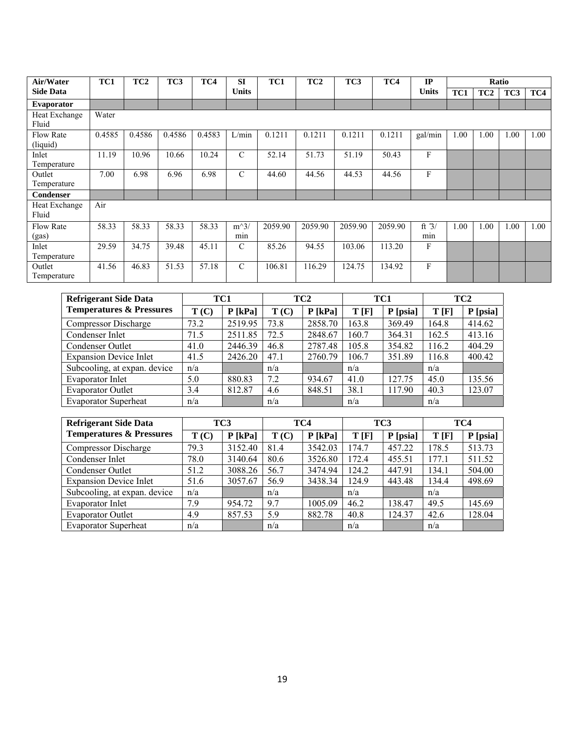| Air/Water         | TC1    | TC <sub>2</sub> | TC3    | TC4    | <b>SI</b>     | TC1     | TC <sub>2</sub> | TC3     | TC4     | IP           |      |                 | Ratio |      |
|-------------------|--------|-----------------|--------|--------|---------------|---------|-----------------|---------|---------|--------------|------|-----------------|-------|------|
| <b>Side Data</b>  |        |                 |        |        | <b>Units</b>  |         |                 |         |         | <b>Units</b> | TC1  | TC <sub>2</sub> | TC3   | TC4  |
| <b>Evaporator</b> |        |                 |        |        |               |         |                 |         |         |              |      |                 |       |      |
| Heat Exchange     | Water  |                 |        |        |               |         |                 |         |         |              |      |                 |       |      |
| Fluid             |        |                 |        |        |               |         |                 |         |         |              |      |                 |       |      |
| <b>Flow Rate</b>  | 0.4585 | 0.4586          | 0.4586 | 0.4583 | L/min         | 0.1211  | 0.1211          | 0.1211  | 0.1211  | gal/min      | 1.00 | 1.00            | 1.00  | 1.00 |
| (liquid)          |        |                 |        |        |               |         |                 |         |         |              |      |                 |       |      |
| Inlet             | 11.19  | 10.96           | 10.66  | 10.24  | $\mathcal{C}$ | 52.14   | 51.73           | 51.19   | 50.43   | F            |      |                 |       |      |
| Temperature       |        |                 |        |        |               |         |                 |         |         |              |      |                 |       |      |
| Outlet            | 7.00   | 6.98            | 6.96   | 6.98   | $\mathcal{C}$ | 44.60   | 44.56           | 44.53   | 44.56   | F            |      |                 |       |      |
| Temperature       |        |                 |        |        |               |         |                 |         |         |              |      |                 |       |      |
| <b>Condenser</b>  |        |                 |        |        |               |         |                 |         |         |              |      |                 |       |      |
| Heat Exchange     | Air    |                 |        |        |               |         |                 |         |         |              |      |                 |       |      |
| Fluid             |        |                 |        |        |               |         |                 |         |         |              |      |                 |       |      |
| <b>Flow Rate</b>  | 58.33  | 58.33           | 58.33  | 58.33  | $m^3/$        | 2059.90 | 2059.90         | 2059.90 | 2059.90 | ft $3/$      | 1.00 | 1.00            | 1.00  | 1.00 |
| (gas)             |        |                 |        |        | min           |         |                 |         |         | min          |      |                 |       |      |
| Inlet             | 29.59  | 34.75           | 39.48  | 45.11  | $\mathcal{C}$ | 85.26   | 94.55           | 103.06  | 113.20  | F            |      |                 |       |      |
| Temperature       |        |                 |        |        |               |         |                 |         |         |              |      |                 |       |      |
| Outlet            | 41.56  | 46.83           | 51.53  | 57.18  | $\mathcal{C}$ | 106.81  | 116.29          | 124.75  | 134.92  | F            |      |                 |       |      |
| Temperature       |        |                 |        |        |               |         |                 |         |         |              |      |                 |       |      |

| <b>Refrigerant Side Data</b>        |      | TC1       |      | TC <sub>2</sub> | TC1   |          |       | TC <sub>2</sub> |
|-------------------------------------|------|-----------|------|-----------------|-------|----------|-------|-----------------|
| <b>Temperatures &amp; Pressures</b> | T(C) | $P$ [kPa] | T(C) | $P$ [kPa]       | T[F]  | P [psia] | T[F]  | P [psia]        |
| <b>Compressor Discharge</b>         | 73.2 | 2519.95   | 73.8 | 2858.70         | 163.8 | 369.49   | 164.8 | 414.62          |
| Condenser Inlet                     | 71.5 | 2511.85   | 72.5 | 2848.67         | 160.7 | 364.31   | 162.5 | 413.16          |
| Condenser Outlet                    | 41.0 | 2446.39   | 46.8 | 2787.48         | 105.8 | 354.82   | 116.2 | 404.29          |
| <b>Expansion Device Inlet</b>       | 41.5 | 2426.20   | 47.1 | 2760.79         | 106.7 | 351.89   | 116.8 | 400.42          |
| Subcooling, at expan. device        | n/a  |           | n/a  |                 | n/a   |          | n/a   |                 |
| Evaporator Inlet                    | 5.0  | 880.83    | 7.2  | 934.67          | 41.0  | 127.75   | 45.0  | 135.56          |
| <b>Evaporator Outlet</b>            | 3.4  | 812.87    | 4.6  | 848.51          | 38.1  | 117.90   | 40.3  | 123.07          |
| <b>Evaporator Superheat</b>         | n/a  |           | n/a  |                 | n/a   |          | n/a   |                 |

| <b>Refrigerant Side Data</b>        |      | TC3       |      | TC4       | TC3   |          |       | TC4      |
|-------------------------------------|------|-----------|------|-----------|-------|----------|-------|----------|
| <b>Temperatures &amp; Pressures</b> | T(C) | $P$ [kPa] | T(C) | $P$ [kPa] | T[F]  | P [psia] | T[F]  | P [psia] |
| <b>Compressor Discharge</b>         | 79.3 | 3152.40   | 81.4 | 3542.03   | 174.7 | 457.22   | 178.5 | 513.73   |
| Condenser Inlet                     | 78.0 | 3140.64   | 80.6 | 3526.80   | 172.4 | 455.51   | 177.1 | 511.52   |
| Condenser Outlet                    | 51.2 | 3088.26   | 56.7 | 3474.94   | 124.2 | 447.91   | 134.1 | 504.00   |
| <b>Expansion Device Inlet</b>       | 51.6 | 3057.67   | 56.9 | 3438.34   | 124.9 | 443.48   | 134.4 | 498.69   |
| Subcooling, at expan. device        | n/a  |           | n/a  |           | n/a   |          | n/a   |          |
| Evaporator Inlet                    | 7.9  | 954.72    | 9.7  | 1005.09   | 46.2  | 138.47   | 49.5  | 145.69   |
| <b>Evaporator Outlet</b>            | 4.9  | 857.53    | 5.9  | 882.78    | 40.8  | 124.37   | 42.6  | 128.04   |
| <b>Evaporator Superheat</b>         | n/a  |           | n/a  |           | n/a   |          | n/a   |          |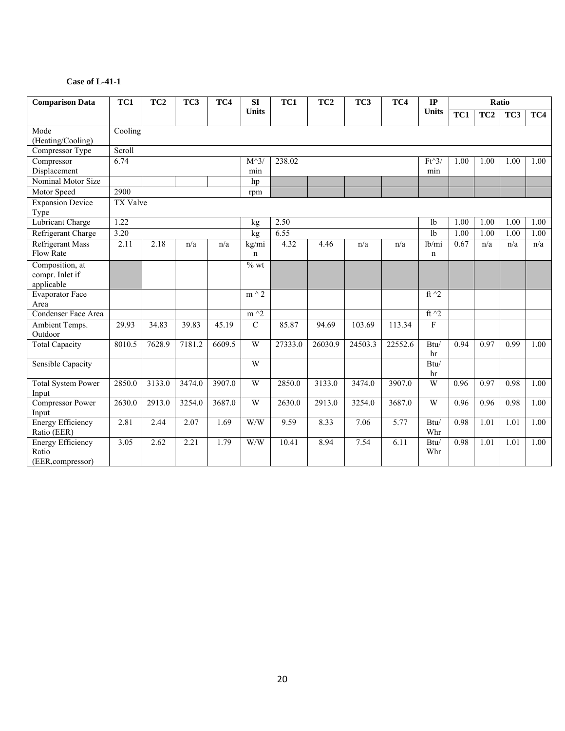| <b>Comparison Data</b>                                 | TC1<br>TC <sub>2</sub><br>TC3<br>TC4 |        |        |        | SI                          | TC1     | TC <sub>2</sub> | TC3     | TC4               | $\mathbf{IP}$        |      |                 | Ratio |      |
|--------------------------------------------------------|--------------------------------------|--------|--------|--------|-----------------------------|---------|-----------------|---------|-------------------|----------------------|------|-----------------|-------|------|
|                                                        |                                      |        |        |        | <b>Units</b>                |         |                 |         |                   | <b>Units</b>         | TC1  | TC <sub>2</sub> | TC3   | TC4  |
| Mode<br>(Heating/Cooling)                              | Cooling                              |        |        |        |                             |         |                 |         |                   |                      |      |                 |       |      |
| Compressor Type                                        | Scroll                               |        |        |        |                             |         |                 |         |                   |                      |      |                 |       |      |
| Compressor<br>Displacement                             | 6.74                                 |        |        |        | $M^{\wedge}3$<br>min        | 238.02  |                 |         |                   | $Ft^3$<br>min        | 1.00 | 1.00            | 1.00  | 1.00 |
| Nominal Motor Size                                     |                                      |        |        |        | hp                          |         |                 |         |                   |                      |      |                 |       |      |
| Motor Speed                                            | 2900                                 |        |        |        | rpm                         |         |                 |         |                   |                      |      |                 |       |      |
| <b>Expansion Device</b><br>Type                        | TX Valve                             |        |        |        |                             |         |                 |         |                   |                      |      |                 |       |      |
| <b>Lubricant Charge</b>                                | 1.22                                 |        |        |        | kg                          | 2.50    |                 |         |                   | 1 <sub>b</sub>       | 1.00 | 1.00            | 1.00  | 1.00 |
| Refrigerant Charge                                     | 3.20                                 |        |        |        | kg                          | 6.55    |                 |         |                   | 1 <sub>b</sub>       | 1.00 | 1.00            | 1.00  | 1.00 |
| <b>Refrigerant Mass</b><br>Flow Rate                   | 2.11                                 | 2.18   | n/a    | n/a    | kg/mi<br>n                  | 4.32    | 4.46            | n/a     | n/a               | lb/mi<br>$\mathbf n$ | 0.67 | n/a             | n/a   | n/a  |
| Composition, at<br>compr. Inlet if<br>applicable       |                                      |        |        |        | $\overline{\frac{9}{6}}$ wt |         |                 |         |                   |                      |      |                 |       |      |
| <b>Evaporator Face</b><br>Area                         |                                      |        |        |        | $m \wedge 2$                |         |                 |         |                   | ft $\gamma$ 2        |      |                 |       |      |
| Condenser Face Area                                    |                                      |        |        |        | $m^2$                       |         |                 |         |                   | ft $\hat{}$ 2        |      |                 |       |      |
| Ambient Temps.<br>Outdoor                              | 29.93                                | 34.83  | 39.83  | 45.19  | $\overline{C}$              | 85.87   | 94.69           | 103.69  | 113.34            | ${\rm F}$            |      |                 |       |      |
| <b>Total Capacity</b>                                  | 8010.5                               | 7628.9 | 7181.2 | 6609.5 | W                           | 27333.0 | 26030.9         | 24503.3 | 22552.6           | Btu/<br>hr           | 0.94 | 0.97            | 0.99  | 1.00 |
| <b>Sensible Capacity</b>                               |                                      |        |        |        | W                           |         |                 |         |                   | Btu/<br>hr           |      |                 |       |      |
| <b>Total System Power</b><br>Input                     | 2850.0                               | 3133.0 | 3474.0 | 3907.0 | W                           | 2850.0  | 3133.0          | 3474.0  | 3907.0            | W                    | 0.96 | 0.97            | 0.98  | 1.00 |
| <b>Compressor Power</b><br>Input                       | 2630.0                               | 2913.0 | 3254.0 | 3687.0 | W                           | 2630.0  | 2913.0          | 3254.0  | 3687.0            | W                    | 0.96 | 0.96            | 0.98  | 1.00 |
| <b>Energy Efficiency</b><br>Ratio (EER)                | 2.81                                 | 2.44   | 2.07   | 1.69   | W/W                         | 9.59    | 8.33            | 7.06    | $\overline{5.77}$ | Btu/<br>Whr          | 0.98 | 1.01            | 1.01  | 1.00 |
| <b>Energy Efficiency</b><br>Ratio<br>(EER, compressor) | 3.05                                 | 2.62   | 2.21   | 1.79   | W/W                         | 10.41   | 8.94            | 7.54    | 6.11              | Btu/<br>Whr          | 0.98 | 1.01            | 1.01  | 1.00 |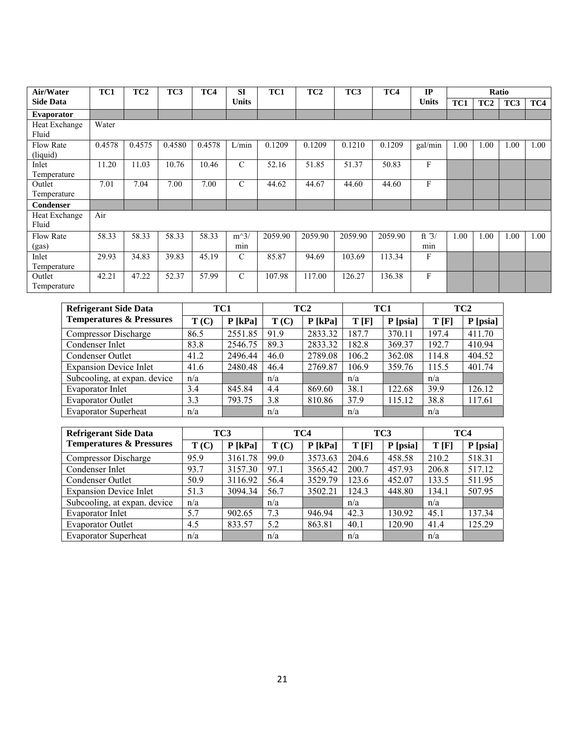| Air/Water                    | TC1    | TC <sub>2</sub> | TC <sub>3</sub> | TC4    | <b>SI</b>     | TC1     | TC <sub>2</sub> | TC3     | TC4     | IP             |      |                 | Ratio |      |
|------------------------------|--------|-----------------|-----------------|--------|---------------|---------|-----------------|---------|---------|----------------|------|-----------------|-------|------|
| <b>Side Data</b>             |        |                 |                 |        | <b>Units</b>  |         |                 |         |         | <b>Units</b>   | TC1  | TC <sub>2</sub> | TC3   | TC4  |
| <b>Evaporator</b>            |        |                 |                 |        |               |         |                 |         |         |                |      |                 |       |      |
| Heat Exchange<br>Fluid       | Water  |                 |                 |        |               |         |                 |         |         |                |      |                 |       |      |
| <b>Flow Rate</b><br>(liquid) | 0.4578 | 0.4575          | 0.4580          | 0.4578 | L/min         | 0.1209  | 0.1209          | 0.1210  | 0.1209  | gal/min        | 1.00 | 1.00            | 1.00  | 1.00 |
| Inlet<br>Temperature         | 11.20  | 11.03           | 10.76           | 10.46  | $\mathcal{C}$ | 52.16   | 51.85           | 51.37   | 50.83   | F              |      |                 |       |      |
| Outlet<br>Temperature        | 7.01   | 7.04            | 7.00            | 7.00   | $\mathcal{C}$ | 44.62   | 44.67           | 44.60   | 44.60   | F              |      |                 |       |      |
| Condenser                    |        |                 |                 |        |               |         |                 |         |         |                |      |                 |       |      |
| Heat Exchange<br>Fluid       | Air    |                 |                 |        |               |         |                 |         |         |                |      |                 |       |      |
| <b>Flow Rate</b><br>(gas)    | 58.33  | 58.33           | 58.33           | 58.33  | $m^3/$<br>min | 2059.90 | 2059.90         | 2059.90 | 2059.90 | ft $3/$<br>min | 1.00 | 1.00            | 1.00  | 1.00 |
| Inlet<br>Temperature         | 29.93  | 34.83           | 39.83           | 45.19  | $\mathcal{C}$ | 85.87   | 94.69           | 103.69  | 113.34  | $\mathbf{F}$   |      |                 |       |      |
| Outlet<br>Temperature        | 42.21  | 47.22           | 52.37           | 57.99  | $\mathcal{C}$ | 107.98  | 117.00          | 126.27  | 136.38  | F              |      |                 |       |      |

| <b>Refrigerant Side Data</b>        |      | TC1       |      | TC <sub>2</sub> | TC1   |          |       | TC <sub>2</sub> |
|-------------------------------------|------|-----------|------|-----------------|-------|----------|-------|-----------------|
| <b>Temperatures &amp; Pressures</b> | T(C) | $P$ [kPa] | T(C) | $P$ [kPa]       | T[F]  | P [psia] | T[F]  | P [psia]        |
| <b>Compressor Discharge</b>         | 86.5 | 2551.85   | 91.9 | 2833.32         | 187.7 | 370.11   | 197.4 | 411.70          |
| Condenser Inlet                     | 83.8 | 2546.75   | 89.3 | 2833.32         | 182.8 | 369.37   | 192.7 | 410.94          |
| Condenser Outlet                    | 41.2 | 2496.44   | 46.0 | 2789.08         | 106.2 | 362.08   | 114.8 | 404.52          |
| <b>Expansion Device Inlet</b>       | 41.6 | 2480.48   | 46.4 | 2769.87         | 106.9 | 359.76   | 115.5 | 401.74          |
| Subcooling, at expan. device        | n/a  |           | n/a  |                 | n/a   |          | n/a   |                 |
| <b>Evaporator Inlet</b>             | 3.4  | 845.84    | 4.4  | 869.60          | 38.1  | 122.68   | 39.9  | 126.12          |
| <b>Evaporator Outlet</b>            | 3.3  | 793.75    | 3.8  | 810.86          | 37.9  | 115.12   | 38.8  | 117.61          |
| <b>Evaporator Superheat</b>         | n/a  |           | n/a  |                 | n/a   |          | n/a   |                 |

| <b>Refrigerant Side Data</b>        |      | TC3       |      | TC4       | TC <sub>3</sub> |          | TC4   |          |
|-------------------------------------|------|-----------|------|-----------|-----------------|----------|-------|----------|
| <b>Temperatures &amp; Pressures</b> | T(C) | $P$ [kPa] | T(C) | $P$ [kPa] | T[F]            | P [psia] | T[F]  | P [psia] |
| <b>Compressor Discharge</b>         | 95.9 | 3161.78   | 99.0 | 3573.63   | 204.6           | 458.58   | 210.2 | 518.31   |
| Condenser Inlet                     | 93.7 | 3157.30   | 97.1 | 3565.42   | 200.7           | 457.93   | 206.8 | 517.12   |
| Condenser Outlet                    | 50.9 | 3116.92   | 56.4 | 3529.79   | 123.6           | 452.07   | 133.5 | 511.95   |
| <b>Expansion Device Inlet</b>       | 51.3 | 3094.34   | 56.7 | 3502.21   | 124.3           | 448.80   | 134.1 | 507.95   |
| Subcooling, at expan. device        | n/a  |           | n/a  |           | n/a             |          | n/a   |          |
| <b>Evaporator Inlet</b>             | 5.7  | 902.65    | 7.3  | 946.94    | 42.3            | 130.92   | 45.1  | 137.34   |
| <b>Evaporator Outlet</b>            | 4.5  | 833.57    | 5.2  | 863.81    | 40.1            | 120.90   | 41.4  | 125.29   |
| <b>Evaporator Superheat</b>         | n/a  |           | n/a  |           | n/a             |          | n/a   |          |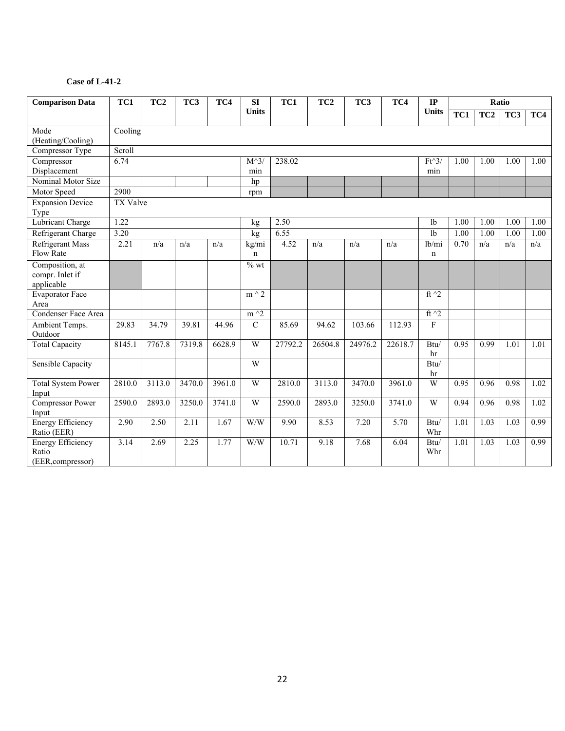| <b>Comparison Data</b>                                 | TC1<br>TC <sub>2</sub><br>TC3<br>TC4 |        |        |        | SI                          | TC1     | TC <sub>2</sub> | TC3     | TC4     | $\mathbf{IP}$          |      |                 | Ratio |      |
|--------------------------------------------------------|--------------------------------------|--------|--------|--------|-----------------------------|---------|-----------------|---------|---------|------------------------|------|-----------------|-------|------|
|                                                        |                                      |        |        |        | <b>Units</b>                |         |                 |         |         | <b>Units</b>           | TC1  | TC <sub>2</sub> | TC3   | TC4  |
| Mode<br>(Heating/Cooling)                              | Cooling                              |        |        |        |                             |         |                 |         |         |                        |      |                 |       |      |
| Compressor Type                                        | Scroll                               |        |        |        |                             |         |                 |         |         |                        |      |                 |       |      |
| Compressor<br>Displacement                             | 6.74                                 |        |        |        | $M^{\wedge}3$<br>min        | 238.02  |                 |         |         | $Ft^3$<br>min          | 1.00 | 1.00            | 1.00  | 1.00 |
| Nominal Motor Size                                     |                                      |        |        |        | hp                          |         |                 |         |         |                        |      |                 |       |      |
| Motor Speed                                            | 2900                                 |        |        |        | rpm                         |         |                 |         |         |                        |      |                 |       |      |
| <b>Expansion Device</b><br>Type                        | TX Valve                             |        |        |        |                             |         |                 |         |         |                        |      |                 |       |      |
| <b>Lubricant Charge</b>                                | 1.22                                 |        |        |        | kg                          | 2.50    |                 |         |         | 1 <sub>b</sub>         | 1.00 | 1.00            | 1.00  | 1.00 |
| Refrigerant Charge                                     | 3.20                                 |        |        |        | kg                          | 6.55    |                 |         |         | 1 <sub>b</sub>         | 1.00 | 1.00            | 1.00  | 1.00 |
| <b>Refrigerant Mass</b><br>Flow Rate                   | 2.21                                 | n/a    | n/a    | n/a    | kg/mi<br>n                  | 4.52    | n/a             | n/a     | n/a     | lb/mi<br>$\mathbf n$   | 0.70 | n/a             | n/a   | n/a  |
| Composition, at<br>compr. Inlet if<br>applicable       |                                      |        |        |        | $\overline{\frac{9}{6}}$ wt |         |                 |         |         |                        |      |                 |       |      |
| <b>Evaporator Face</b><br>Area                         |                                      |        |        |        | $m \wedge 2$                |         |                 |         |         | ft $\gamma$ 2          |      |                 |       |      |
| Condenser Face Area                                    |                                      |        |        |        | $m^2$                       |         |                 |         |         | ft $\hat{}$ 2          |      |                 |       |      |
| Ambient Temps.<br>Outdoor                              | 29.83                                | 34.79  | 39.81  | 44.96  | $\overline{C}$              | 85.69   | 94.62           | 103.66  | 112.93  | ${\rm F}$              |      |                 |       |      |
| <b>Total Capacity</b>                                  | 8145.1                               | 7767.8 | 7319.8 | 6628.9 | W                           | 27792.2 | 26504.8         | 24976.2 | 22618.7 | Btu/<br>hr             | 0.95 | 0.99            | 1.01  | 1.01 |
| <b>Sensible Capacity</b>                               |                                      |        |        |        | W                           |         |                 |         |         | $\mathbf{Btu} /$<br>hr |      |                 |       |      |
| <b>Total System Power</b><br>Input                     | 2810.0                               | 3113.0 | 3470.0 | 3961.0 | W                           | 2810.0  | 3113.0          | 3470.0  | 3961.0  | W                      | 0.95 | 0.96            | 0.98  | 1.02 |
| <b>Compressor Power</b><br>Input                       | 2590.0                               | 2893.0 | 3250.0 | 3741.0 | W                           | 2590.0  | 2893.0          | 3250.0  | 3741.0  | W                      | 0.94 | 0.96            | 0.98  | 1.02 |
| <b>Energy Efficiency</b><br>Ratio (EER)                | 2.90                                 | 2.50   | 2.11   | 1.67   | W/W                         | 9.90    | 8.53            | 7.20    | 5.70    | Btu/<br>Whr            | 1.01 | 1.03            | 1.03  | 0.99 |
| <b>Energy Efficiency</b><br>Ratio<br>(EER, compressor) | 3.14                                 | 2.69   | 2.25   | 1.77   | W/W                         | 10.71   | 9.18            | 7.68    | 6.04    | Btu/<br>Whr            | 1.01 | 1.03            | 1.03  | 0.99 |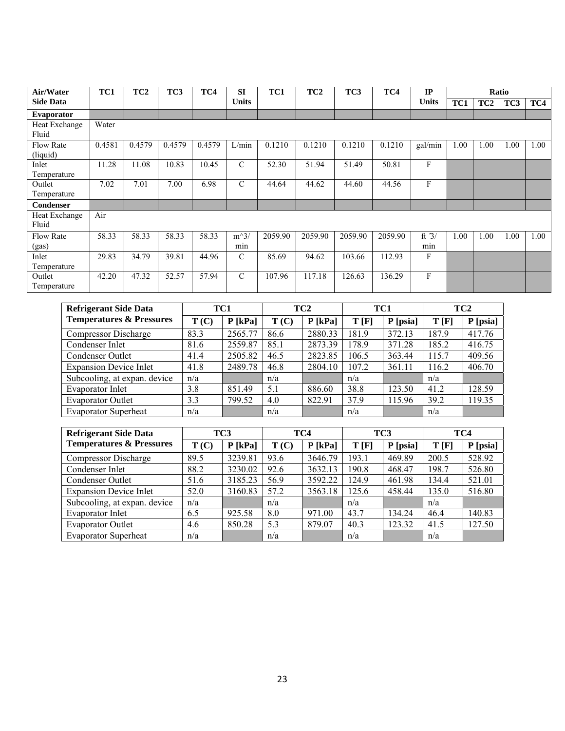| Air/Water        | TC1    | TC <sub>2</sub> | TC3    | TC4    | <b>SI</b>     | TC1     | TC <sub>2</sub> | TC3     | TC4     | IP           |      |                 | Ratio |      |
|------------------|--------|-----------------|--------|--------|---------------|---------|-----------------|---------|---------|--------------|------|-----------------|-------|------|
| <b>Side Data</b> |        |                 |        |        | <b>Units</b>  |         |                 |         |         | <b>Units</b> | TC1  | TC <sub>2</sub> | TC3   | TC4  |
| Evaporator       |        |                 |        |        |               |         |                 |         |         |              |      |                 |       |      |
| Heat Exchange    | Water  |                 |        |        |               |         |                 |         |         |              |      |                 |       |      |
| Fluid            |        |                 |        |        |               |         |                 |         |         |              |      |                 |       |      |
| <b>Flow Rate</b> | 0.4581 | 0.4579          | 0.4579 | 0.4579 | L/min         | 0.1210  | 0.1210          | 0.1210  | 0.1210  | gal/min      | 1.00 | 1.00            | 1.00  | 1.00 |
| (liquid)         |        |                 |        |        |               |         |                 |         |         |              |      |                 |       |      |
| Inlet            | 11.28  | 11.08           | 10.83  | 10.45  | $\mathcal{C}$ | 52.30   | 51.94           | 51.49   | 50.81   | F            |      |                 |       |      |
| Temperature      |        |                 |        |        |               |         |                 |         |         |              |      |                 |       |      |
| Outlet           | 7.02   | 7.01            | 7.00   | 6.98   | $\mathcal{C}$ | 44.64   | 44.62           | 44.60   | 44.56   | F            |      |                 |       |      |
| Temperature      |        |                 |        |        |               |         |                 |         |         |              |      |                 |       |      |
| Condenser        |        |                 |        |        |               |         |                 |         |         |              |      |                 |       |      |
| Heat Exchange    | Air    |                 |        |        |               |         |                 |         |         |              |      |                 |       |      |
| Fluid            |        |                 |        |        |               |         |                 |         |         |              |      |                 |       |      |
| <b>Flow Rate</b> | 58.33  | 58.33           | 58.33  | 58.33  | $m^3/$        | 2059.90 | 2059.90         | 2059.90 | 2059.90 | ft $3/$      | 1.00 | 1.00            | 1.00  | 1.00 |
| (gas)            |        |                 |        |        | min           |         |                 |         |         | min          |      |                 |       |      |
| Inlet            | 29.83  | 34.79           | 39.81  | 44.96  | $\mathcal{C}$ | 85.69   | 94.62           | 103.66  | 112.93  | F            |      |                 |       |      |
| Temperature      |        |                 |        |        |               |         |                 |         |         |              |      |                 |       |      |
| Outlet           | 42.20  | 47.32           | 52.57  | 57.94  | $\mathcal{C}$ | 107.96  | 117.18          | 126.63  | 136.29  | F            |      |                 |       |      |
| Temperature      |        |                 |        |        |               |         |                 |         |         |              |      |                 |       |      |

| <b>Refrigerant Side Data</b>        | TC1  |           |      | TC <sub>2</sub> | TC1   |          |       | TC <sub>2</sub> |
|-------------------------------------|------|-----------|------|-----------------|-------|----------|-------|-----------------|
| <b>Temperatures &amp; Pressures</b> | T(C) | $P$ [kPa] | T(C) | $P$ [kPa]       | T[F]  | P [psia] | T[F]  | P [psia]        |
| <b>Compressor Discharge</b>         | 83.3 | 2565.77   | 86.6 | 2880.33         | 181.9 | 372.13   | 187.9 | 417.76          |
| Condenser Inlet                     | 81.6 | 2559.87   | 85.1 | 2873.39         | 178.9 | 371.28   | 185.2 | 416.75          |
| Condenser Outlet                    | 41.4 | 2505.82   | 46.5 | 2823.85         | 106.5 | 363.44   | 115.7 | 409.56          |
| <b>Expansion Device Inlet</b>       | 41.8 | 2489.78   | 46.8 | 2804.10         | 107.2 | 361.11   | 116.2 | 406.70          |
| Subcooling, at expan. device        | n/a  |           | n/a  |                 | n/a   |          | n/a   |                 |
| <b>Evaporator Inlet</b>             | 3.8  | 851.49    | 5.1  | 886.60          | 38.8  | 123.50   | 41.2  | 128.59          |
| <b>Evaporator Outlet</b>            | 3.3  | 799.52    | 4.0  | 822.91          | 37.9  | 115.96   | 39.2  | 119.35          |
| <b>Evaporator Superheat</b>         | n/a  |           | n/a  |                 | n/a   |          | n/a   |                 |

| <b>Refrigerant Side Data</b>        | TC3  |           |      | TC4       | TC <sub>3</sub> |          | TC4   |          |
|-------------------------------------|------|-----------|------|-----------|-----------------|----------|-------|----------|
| <b>Temperatures &amp; Pressures</b> | T(C) | $P$ [kPa] | T(C) | $P$ [kPa] | T[F]            | P [psia] | T[F]  | P [psia] |
| <b>Compressor Discharge</b>         | 89.5 | 3239.81   | 93.6 | 3646.79   | 193.1           | 469.89   | 200.5 | 528.92   |
| Condenser Inlet                     | 88.2 | 3230.02   | 92.6 | 3632.13   | 190.8           | 468.47   | 198.7 | 526.80   |
| Condenser Outlet                    | 51.6 | 3185.23   | 56.9 | 3592.22   | 124.9           | 461.98   | 134.4 | 521.01   |
| <b>Expansion Device Inlet</b>       | 52.0 | 3160.83   | 57.2 | 3563.18   | 125.6           | 458.44   | 135.0 | 516.80   |
| Subcooling, at expan. device        | n/a  |           | n/a  |           | n/a             |          | n/a   |          |
| Evaporator Inlet                    | 6.5  | 925.58    | 8.0  | 971.00    | 43.7            | 134.24   | 46.4  | 140.83   |
| <b>Evaporator Outlet</b>            | 4.6  | 850.28    | 5.3  | 879.07    | 40.3            | 123.32   | 41.5  | 127.50   |
| <b>Evaporator Superheat</b>         | n/a  |           | n/a  |           | n/a             |          | n/a   |          |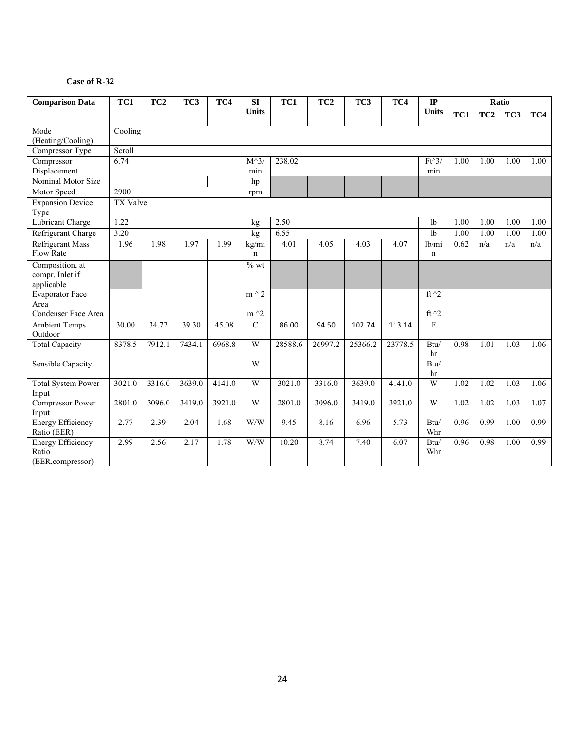#### **Case of R-32**

| <b>Comparison Data</b>                                 | TC1      | TC <sub>2</sub> | TC3    | TC4    | SI                   | TC1     | TC <sub>2</sub> | TC3     | TC4               | $\mathbf{IP}$                   |      |                 | Ratio |      |
|--------------------------------------------------------|----------|-----------------|--------|--------|----------------------|---------|-----------------|---------|-------------------|---------------------------------|------|-----------------|-------|------|
|                                                        |          |                 |        |        | <b>Units</b>         |         |                 |         |                   | <b>Units</b>                    | TC1  | TC <sub>2</sub> | TC3   | TC4  |
| Mode<br>(Heating/Cooling)                              | Cooling  |                 |        |        |                      |         |                 |         |                   |                                 |      |                 |       |      |
| Compressor Type                                        | Scroll   |                 |        |        |                      |         |                 |         |                   |                                 |      |                 |       |      |
| Compressor<br>Displacement                             | 6.74     |                 |        |        | $M^{\wedge}3$<br>min | 238.02  |                 |         |                   | $Ft^3$<br>min                   | 1.00 | 1.00            | 1.00  | 1.00 |
| Nominal Motor Size                                     |          |                 |        |        | hp                   |         |                 |         |                   |                                 |      |                 |       |      |
| Motor Speed                                            | 2900     |                 |        |        | rpm                  |         |                 |         |                   |                                 |      |                 |       |      |
| <b>Expansion Device</b><br>Type                        | TX Valve |                 |        |        |                      |         |                 |         |                   |                                 |      |                 |       |      |
| <b>Lubricant Charge</b>                                | 1.22     |                 |        |        | kg                   | 2.50    |                 |         |                   | 1 <sub>b</sub>                  | 1.00 | 1.00            | 1.00  | 1.00 |
| Refrigerant Charge                                     | 3.20     |                 |        |        | kg                   | 6.55    |                 |         |                   | 1 <sub>b</sub>                  | 1.00 | 1.00            | 1.00  | 1.00 |
| <b>Refrigerant Mass</b><br>Flow Rate                   | 1.96     | 1.98            | 1.97   | 1.99   | kg/mi<br>$\mathbf n$ | 4.01    | 4.05            | 4.03    | 4.07              | 1b/min<br>$\mathbf n$           | 0.62 | n/a             | n/a   | n/a  |
| Composition, at<br>compr. Inlet if<br>applicable       |          |                 |        |        | $%$ wt               |         |                 |         |                   |                                 |      |                 |       |      |
| Evaporator Face<br>Area                                |          |                 |        |        | $m \wedge 2$         |         |                 |         |                   | ft $\gamma$ 2                   |      |                 |       |      |
| Condenser Face Area                                    |          |                 |        |        | $m^2$                |         |                 |         |                   | ft $\hat{}$ 2                   |      |                 |       |      |
| Ambient Temps.<br>Outdoor                              | 30.00    | 34.72           | 39.30  | 45.08  | $\mathcal{C}$        | 86.00   | 94.50           | 102.74  | 113.14            | $\mathbf{F}$                    |      |                 |       |      |
| <b>Total Capacity</b>                                  | 8378.5   | 7912.1          | 7434.1 | 6968.8 | W                    | 28588.6 | 26997.2         | 25366.2 | 23778.5           | Btu/<br>hr                      | 0.98 | 1.01            | 1.03  | 1.06 |
| Sensible Capacity                                      |          |                 |        |        | W                    |         |                 |         |                   | $\mbox{Btu}/% \mathbb{R}$<br>hr |      |                 |       |      |
| <b>Total System Power</b><br>Input                     | 3021.0   | 3316.0          | 3639.0 | 4141.0 | W                    | 3021.0  | 3316.0          | 3639.0  | 4141.0            | W                               | 1.02 | 1.02            | 1.03  | 1.06 |
| <b>Compressor Power</b><br>Input                       | 2801.0   | 3096.0          | 3419.0 | 3921.0 | W                    | 2801.0  | 3096.0          | 3419.0  | 3921.0            | W                               | 1.02 | 1.02            | 1.03  | 1.07 |
| <b>Energy Efficiency</b><br>Ratio (EER)                | 2.77     | 2.39            | 2.04   | 1.68   | W/W                  | 9.45    | 8.16            | 6.96    | $\overline{5.73}$ | Btu/<br>Whr                     | 0.96 | 0.99            | 1.00  | 0.99 |
| <b>Energy Efficiency</b><br>Ratio<br>(EER, compressor) | 2.99     | 2.56            | 2.17   | 1.78   | W/W                  | 10.20   | 8.74            | 7.40    | 6.07              | Btu/<br>Whr                     | 0.96 | 0.98            | 1.00  | 0.99 |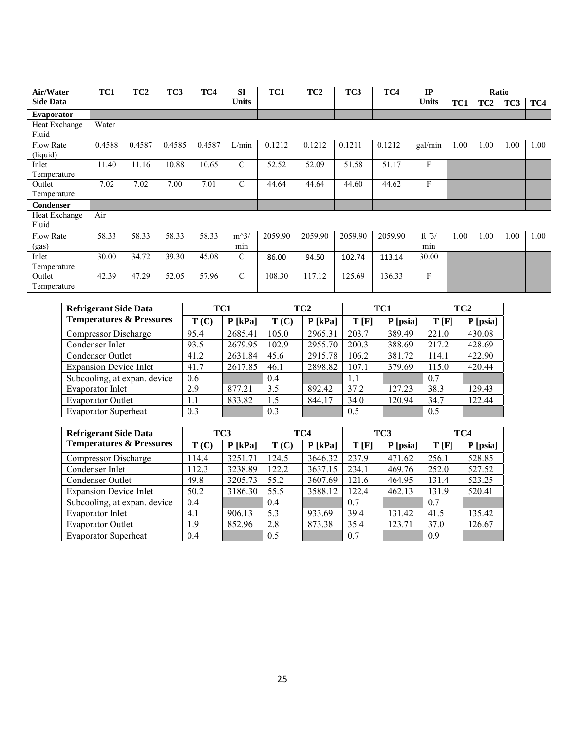| Air/Water        | TC1    | TC <sub>2</sub> | TC3    | TC4    | <b>SI</b>     | TC1     | TC <sub>2</sub> | TC <sub>3</sub> | TC4     | IP           |      |                 | Ratio |      |
|------------------|--------|-----------------|--------|--------|---------------|---------|-----------------|-----------------|---------|--------------|------|-----------------|-------|------|
| <b>Side Data</b> |        |                 |        |        | <b>Units</b>  |         |                 |                 |         | <b>Units</b> | TC1  | TC <sub>2</sub> | TC3   | TC4  |
| Evaporator       |        |                 |        |        |               |         |                 |                 |         |              |      |                 |       |      |
| Heat Exchange    | Water  |                 |        |        |               |         |                 |                 |         |              |      |                 |       |      |
| Fluid            |        |                 |        |        |               |         |                 |                 |         |              |      |                 |       |      |
| <b>Flow Rate</b> | 0.4588 | 0.4587          | 0.4585 | 0.4587 | L/min         | 0.1212  | 0.1212          | 0.1211          | 0.1212  | gal/min      | 1.00 | 1.00            | 1.00  | 1.00 |
| (liquid)         |        |                 |        |        |               |         |                 |                 |         |              |      |                 |       |      |
| Inlet            | 11.40  | 11.16           | 10.88  | 10.65  | $\mathcal{C}$ | 52.52   | 52.09           | 51.58           | 51.17   | F            |      |                 |       |      |
| Temperature      |        |                 |        |        |               |         |                 |                 |         |              |      |                 |       |      |
| Outlet           | 7.02   | 7.02            | 7.00   | 7.01   | $\mathcal{C}$ | 44.64   | 44.64           | 44.60           | 44.62   | F            |      |                 |       |      |
| Temperature      |        |                 |        |        |               |         |                 |                 |         |              |      |                 |       |      |
| Condenser        |        |                 |        |        |               |         |                 |                 |         |              |      |                 |       |      |
| Heat Exchange    | Air    |                 |        |        |               |         |                 |                 |         |              |      |                 |       |      |
| Fluid            |        |                 |        |        |               |         |                 |                 |         |              |      |                 |       |      |
| <b>Flow Rate</b> | 58.33  | 58.33           | 58.33  | 58.33  | $m^3/$        | 2059.90 | 2059.90         | 2059.90         | 2059.90 | ft $3/$      | 1.00 | 1.00            | 1.00  | 1.00 |
| (gas)            |        |                 |        |        | min           |         |                 |                 |         | min          |      |                 |       |      |
| Inlet            | 30.00  | 34.72           | 39.30  | 45.08  | $\mathcal{C}$ | 86.00   | 94.50           | 102.74          | 113.14  | 30.00        |      |                 |       |      |
| Temperature      |        |                 |        |        |               |         |                 |                 |         |              |      |                 |       |      |
| Outlet           | 42.39  | 47.29           | 52.05  | 57.96  | $\mathcal{C}$ | 108.30  | 117.12          | 125.69          | 136.33  | F            |      |                 |       |      |
| Temperature      |        |                 |        |        |               |         |                 |                 |         |              |      |                 |       |      |

| <b>Refrigerant Side Data</b>        | TC1     |           |       | TC <sub>2</sub> | TC1   |          | TC <sub>2</sub> |          |
|-------------------------------------|---------|-----------|-------|-----------------|-------|----------|-----------------|----------|
| <b>Temperatures &amp; Pressures</b> | T(C)    | $P$ [kPa] | T(C)  | $P$ [kPa]       | T[F]  | P [psia] | T[F]            | P [psia] |
| Compressor Discharge                | 95.4    | 2685.41   | 105.0 | 2965.31         | 203.7 | 389.49   | 221.0           | 430.08   |
| Condenser Inlet                     | 93.5    | 2679.95   | 102.9 | 2955.70         | 200.3 | 388.69   | 217.2           | 428.69   |
| Condenser Outlet                    | 41.2    | 2631.84   | 45.6  | 2915.78         | 106.2 | 381.72   | 114.1           | 422.90   |
| <b>Expansion Device Inlet</b>       | 41.7    | 2617.85   | 46.1  | 2898.82         | 107.1 | 379.69   | 115.0           | 420.44   |
| Subcooling, at expan. device        | 0.6     |           | 0.4   |                 | 1.1   |          | 0.7             |          |
| <b>Evaporator Inlet</b>             | 2.9     | 877.21    | 3.5   | 892.42          | 37.2  | 127.23   | 38.3            | 129.43   |
| <b>Evaporator Outlet</b>            | $1.1\,$ | 833.82    | 1.5   | 844.17          | 34.0  | 120.94   | 34.7            | 122.44   |
| <b>Evaporator Superheat</b>         | 0.3     |           | 0.3   |                 | 0.5   |          | 0.5             |          |

| <b>Refrigerant Side Data</b>        | TC3   |           |       | TC4       |       | TC <sub>3</sub> | TC4   |          |
|-------------------------------------|-------|-----------|-------|-----------|-------|-----------------|-------|----------|
| <b>Temperatures &amp; Pressures</b> | T(C)  | $P$ [kPa] | T(C)  | $P$ [kPa] | T[F]  | P [psia]        | T[F]  | P [psia] |
| <b>Compressor Discharge</b>         | 14.4  | 3251.71   | 124.5 | 3646.32   | 237.9 | 471.62          | 256.1 | 528.85   |
| Condenser Inlet                     | 112.3 | 3238.89   | 122.2 | 3637.15   | 234.1 | 469.76          | 252.0 | 527.52   |
| Condenser Outlet                    | 49.8  | 3205.73   | 55.2  | 3607.69   | 121.6 | 464.95          | 131.4 | 523.25   |
| <b>Expansion Device Inlet</b>       | 50.2  | 3186.30   | 55.5  | 3588.12   | 122.4 | 462.13          | 131.9 | 520.41   |
| Subcooling, at expan. device        | 0.4   |           | 0.4   |           | 0.7   |                 | 0.7   |          |
| Evaporator Inlet                    | 4.1   | 906.13    | 5.3   | 933.69    | 39.4  | 131.42          | 41.5  | 135.42   |
| <b>Evaporator Outlet</b>            | 1.9   | 852.96    | 2.8   | 873.38    | 35.4  | 123.71          | 37.0  | 126.67   |
| <b>Evaporator Superheat</b>         | 0.4   |           | 0.5   |           | 0.7   |                 | 0.9   |          |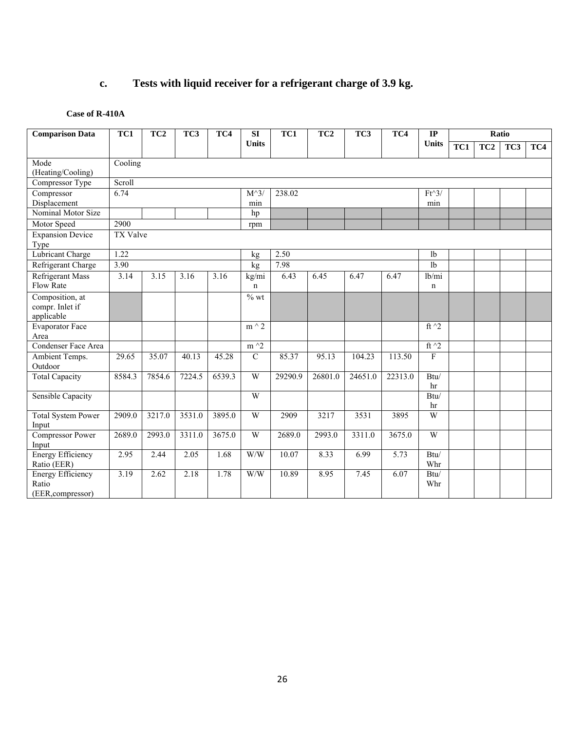# **c. Tests with liquid receiver for a refrigerant charge of 3.9 kg.**

#### **Case of R-410A**

| <b>Comparison Data</b>         | TC1<br>TC3<br>TC1<br>TC3<br>TC <sub>2</sub><br>TC4<br>TC <sub>2</sub><br>TC4<br><b>SI</b> |        |        |        |                     |         | IP      |         |         | Ratio          |     |                 |     |     |
|--------------------------------|-------------------------------------------------------------------------------------------|--------|--------|--------|---------------------|---------|---------|---------|---------|----------------|-----|-----------------|-----|-----|
|                                |                                                                                           |        |        |        | <b>Units</b>        |         |         |         |         | <b>Units</b>   | TC1 | TC <sub>2</sub> | TC3 | TC4 |
| Mode                           | Cooling                                                                                   |        |        |        |                     |         |         |         |         |                |     |                 |     |     |
| (Heating/Cooling)              |                                                                                           |        |        |        |                     |         |         |         |         |                |     |                 |     |     |
| Compressor Type                | Scroll                                                                                    |        |        |        |                     |         |         |         |         |                |     |                 |     |     |
| Compressor                     | 6.74                                                                                      |        |        |        | $M^{\wedge}3$       | 238.02  |         |         |         | $Ft^3$         |     |                 |     |     |
| Displacement                   |                                                                                           |        |        |        | min                 |         |         |         |         | min            |     |                 |     |     |
| Nominal Motor Size             |                                                                                           |        |        |        | hp                  |         |         |         |         |                |     |                 |     |     |
| Motor Speed                    | 2900                                                                                      |        |        |        | rpm                 |         |         |         |         |                |     |                 |     |     |
| <b>Expansion Device</b>        | <b>TX Valve</b>                                                                           |        |        |        |                     |         |         |         |         |                |     |                 |     |     |
| Type                           |                                                                                           |        |        |        |                     |         |         |         |         |                |     |                 |     |     |
| Lubricant Charge               | 1.22                                                                                      |        |        |        | kg                  | 2.50    |         |         |         | 1 <sub>b</sub> |     |                 |     |     |
| Refrigerant Charge             | 3.90                                                                                      |        |        |        | kg                  | 7.98    |         |         |         | 1b             |     |                 |     |     |
| <b>Refrigerant Mass</b>        | 3.14                                                                                      | 3.15   | 3.16   | 3.16   | kg/mi               | 6.43    | 6.45    | 6.47    | 6.47    | lb/mi          |     |                 |     |     |
| Flow Rate                      |                                                                                           |        |        |        | n                   |         |         |         |         | n              |     |                 |     |     |
| Composition, at                |                                                                                           |        |        |        | $%$ wt              |         |         |         |         |                |     |                 |     |     |
| compr. Inlet if                |                                                                                           |        |        |        |                     |         |         |         |         |                |     |                 |     |     |
| applicable                     |                                                                                           |        |        |        |                     |         |         |         |         |                |     |                 |     |     |
| <b>Evaporator Face</b><br>Area |                                                                                           |        |        |        | $m \wedge 2$        |         |         |         |         | ft $\gamma$ 2  |     |                 |     |     |
| Condenser Face Area            |                                                                                           |        |        |        | $m^2$               |         |         |         |         | ft $\hat{2}$   |     |                 |     |     |
| Ambient Temps.                 | 29.65                                                                                     | 35.07  | 40.13  | 45.28  | $\overline{C}$      | 85.37   | 95.13   | 104.23  | 113.50  | $\overline{F}$ |     |                 |     |     |
| Outdoor                        |                                                                                           |        |        |        |                     |         |         |         |         |                |     |                 |     |     |
| <b>Total Capacity</b>          | 8584.3                                                                                    | 7854.6 | 7224.5 | 6539.3 | W                   | 29290.9 | 26801.0 | 24651.0 | 22313.0 | Btu/           |     |                 |     |     |
|                                |                                                                                           |        |        |        |                     |         |         |         |         | hr             |     |                 |     |     |
| <b>Sensible Capacity</b>       |                                                                                           |        |        |        | W                   |         |         |         |         | Btu/           |     |                 |     |     |
|                                |                                                                                           |        |        |        |                     |         |         |         |         | hr             |     |                 |     |     |
| <b>Total System Power</b>      | 2909.0                                                                                    | 3217.0 | 3531.0 | 3895.0 | W                   | 2909    | 3217    | 3531    | 3895    | $\mathbf W$    |     |                 |     |     |
| Input                          |                                                                                           |        |        |        |                     |         |         |         |         |                |     |                 |     |     |
| Compressor Power               | 2689.0                                                                                    | 2993.0 | 3311.0 | 3675.0 | $\overline{W}$      | 2689.0  | 2993.0  | 3311.0  | 3675.0  | $\overline{W}$ |     |                 |     |     |
| Input                          |                                                                                           |        |        |        |                     |         |         |         |         |                |     |                 |     |     |
| <b>Energy Efficiency</b>       | 2.95                                                                                      | 2.44   | 2.05   | 1.68   | $\hbox{W}/\hbox{W}$ | 10.07   | 8.33    | 6.99    | 5.73    | Btu/           |     |                 |     |     |
| Ratio (EER)                    |                                                                                           |        |        |        |                     |         |         |         |         | Whr            |     |                 |     |     |
| <b>Energy Efficiency</b>       | 3.19                                                                                      | 2.62   | 2.18   | 1.78   | W/W                 | 10.89   | 8.95    | 7.45    | 6.07    | Btu/           |     |                 |     |     |
| Ratio<br>(EER, compressor)     |                                                                                           |        |        |        |                     |         |         |         |         | Whr            |     |                 |     |     |
|                                |                                                                                           |        |        |        |                     |         |         |         |         |                |     |                 |     |     |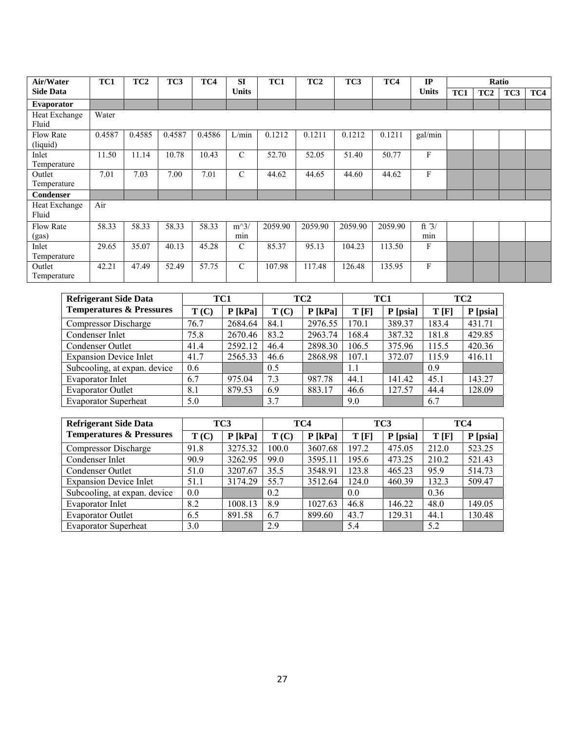| Air/Water                    | TC1    | TC <sub>2</sub> | TC3    | TC4    | <b>SI</b>     | TC1     | TC <sub>2</sub> | TC3     | TC4     | IP             |     |                 | Ratio |     |
|------------------------------|--------|-----------------|--------|--------|---------------|---------|-----------------|---------|---------|----------------|-----|-----------------|-------|-----|
| <b>Side Data</b>             |        |                 |        |        | <b>Units</b>  |         |                 |         |         | <b>Units</b>   | TC1 | TC <sub>2</sub> | TC3   | TC4 |
| Evaporator                   |        |                 |        |        |               |         |                 |         |         |                |     |                 |       |     |
| Heat Exchange<br>Fluid       | Water  |                 |        |        |               |         |                 |         |         |                |     |                 |       |     |
| <b>Flow Rate</b><br>(liquid) | 0.4587 | 0.4585          | 0.4587 | 0.4586 | L/min         | 0.1212  | 0.1211          | 0.1212  | 0.1211  | gal/min        |     |                 |       |     |
| Inlet<br>Temperature         | 11.50  | 11.14           | 10.78  | 10.43  | $\mathcal{C}$ | 52.70   | 52.05           | 51.40   | 50.77   | F              |     |                 |       |     |
| Outlet<br>Temperature        | 7.01   | 7.03            | 7.00   | 7.01   | $\mathcal{C}$ | 44.62   | 44.65           | 44.60   | 44.62   | F              |     |                 |       |     |
| <b>Condenser</b>             |        |                 |        |        |               |         |                 |         |         |                |     |                 |       |     |
| Heat Exchange<br>Fluid       | Air    |                 |        |        |               |         |                 |         |         |                |     |                 |       |     |
| <b>Flow Rate</b><br>(gas)    | 58.33  | 58.33           | 58.33  | 58.33  | $m^3/$<br>min | 2059.90 | 2059.90         | 2059.90 | 2059.90 | ft $3/$<br>min |     |                 |       |     |
| Inlet<br>Temperature         | 29.65  | 35.07           | 40.13  | 45.28  | $\mathcal{C}$ | 85.37   | 95.13           | 104.23  | 113.50  | F              |     |                 |       |     |
| Outlet<br>Temperature        | 42.21  | 47.49           | 52.49  | 57.75  | $\mathcal{C}$ | 107.98  | 117.48          | 126.48  | 135.95  | F              |     |                 |       |     |

| <b>Refrigerant Side Data</b>        |      | TC1       |      | TC <sub>2</sub> |       | TC1      |       | TC <sub>2</sub> |
|-------------------------------------|------|-----------|------|-----------------|-------|----------|-------|-----------------|
| <b>Temperatures &amp; Pressures</b> | T(C) | $P$ [kPa] | T(C) | $P$ [kPa]       | T[F]  | P [psia] | T[F]  | P [psia]        |
| <b>Compressor Discharge</b>         | 76.7 | 2684.64   | 84.1 | 2976.55         | 170.1 | 389.37   | 183.4 | 431.71          |
| Condenser Inlet                     | 75.8 | 2670.46   | 83.2 | 2963.74         | 168.4 | 387.32   | 181.8 | 429.85          |
| Condenser Outlet                    | 41.4 | 2592.12   | 46.4 | 2898.30         | 106.5 | 375.96   | 115.5 | 420.36          |
| <b>Expansion Device Inlet</b>       | 41.7 | 2565.33   | 46.6 | 2868.98         | 107.1 | 372.07   | 115.9 | 416.11          |
| Subcooling, at expan. device        | 0.6  |           | 0.5  |                 | 1.1   |          | 0.9   |                 |
| Evaporator Inlet                    | 6.7  | 975.04    | 7.3  | 987.78          | 44.1  | 141.42   | 45.1  | 143.27          |
| <b>Evaporator Outlet</b>            | 8.1  | 879.53    | 6.9  | 883.17          | 46.6  | 127.57   | 44.4  | 128.09          |
| <b>Evaporator Superheat</b>         | 5.0  |           | 3.7  |                 | 9.0   |          | 6.7   |                 |

| <b>Refrigerant Side Data</b>        |      | TC3       | TC4   |           | TC <sub>3</sub> |          | TC4   |          |
|-------------------------------------|------|-----------|-------|-----------|-----------------|----------|-------|----------|
| <b>Temperatures &amp; Pressures</b> | T(C) | $P$ [kPa] | T(C)  | $P$ [kPa] | T[F]            | P [psia] | T[F]  | P [psia] |
| Compressor Discharge                | 91.8 | 3275.32   | 100.0 | 3607.68   | 197.2           | 475.05   | 212.0 | 523.25   |
| Condenser Inlet                     | 90.9 | 3262.95   | 99.0  | 3595.11   | 195.6           | 473.25   | 210.2 | 521.43   |
| Condenser Outlet                    | 51.0 | 3207.67   | 35.5  | 3548.91   | 123.8           | 465.23   | 95.9  | 514.73   |
| <b>Expansion Device Inlet</b>       | 51.1 | 3174.29   | 55.7  | 3512.64   | 124.0           | 460.39   | 132.3 | 509.47   |
| Subcooling, at expan. device        | 0.0  |           | 0.2   |           | 0.0             |          | 0.36  |          |
| Evaporator Inlet                    | 8.2  | 1008.13   | 8.9   | 1027.63   | 46.8            | 146.22   | 48.0  | 149.05   |
| <b>Evaporator Outlet</b>            | 6.5  | 891.58    | 6.7   | 899.60    | 43.7            | 129.31   | 44.1  | 130.48   |
| <b>Evaporator Superheat</b>         | 3.0  |           | 2.9   |           | 5.4             |          | 5.2   |          |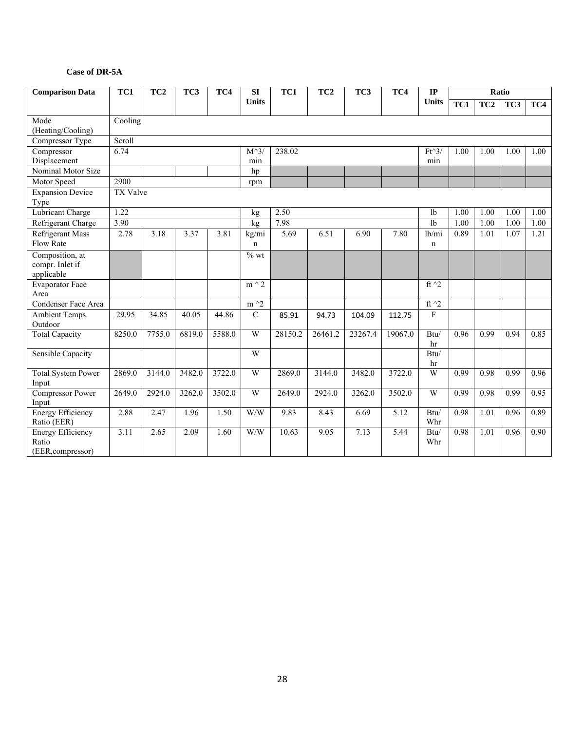#### **Case of DR-5A**

| <b>Comparison Data</b>                                                                                                                                                                                                    | $\overline{TC1}$<br>$\overline{TC3}$<br>TC <sub>2</sub><br>TC4 |                                            |                                            |                                            | SI                        | $\overline{TC1}$                             | $\overline{TC2}$                            | TC3                                         | TC4                                         | $_{\rm IP}$                                  |                                      |                                      | Ratio                                |                                      |
|---------------------------------------------------------------------------------------------------------------------------------------------------------------------------------------------------------------------------|----------------------------------------------------------------|--------------------------------------------|--------------------------------------------|--------------------------------------------|---------------------------|----------------------------------------------|---------------------------------------------|---------------------------------------------|---------------------------------------------|----------------------------------------------|--------------------------------------|--------------------------------------|--------------------------------------|--------------------------------------|
|                                                                                                                                                                                                                           |                                                                |                                            |                                            |                                            | <b>Units</b>              |                                              |                                             |                                             |                                             | <b>Units</b>                                 | TC1                                  | $\overline{TC2}$                     | TC3                                  | TC4                                  |
| Mode                                                                                                                                                                                                                      | Cooling                                                        |                                            |                                            |                                            |                           |                                              |                                             |                                             |                                             |                                              |                                      |                                      |                                      |                                      |
| (Heating/Cooling)                                                                                                                                                                                                         |                                                                |                                            |                                            |                                            |                           |                                              |                                             |                                             |                                             |                                              |                                      |                                      |                                      |                                      |
| Compressor Type                                                                                                                                                                                                           | Scroll                                                         |                                            |                                            |                                            |                           |                                              |                                             |                                             |                                             |                                              |                                      |                                      |                                      |                                      |
| Compressor                                                                                                                                                                                                                | 6.74                                                           |                                            |                                            |                                            | $M^{\wedge}3$             | 238.02                                       |                                             |                                             |                                             | $Ft^3$                                       | 1.00                                 | 1.00                                 | 1.00                                 | 1.00                                 |
| Displacement                                                                                                                                                                                                              |                                                                |                                            |                                            |                                            | min                       |                                              |                                             |                                             |                                             | min                                          |                                      |                                      |                                      |                                      |
| Nominal Motor Size                                                                                                                                                                                                        |                                                                |                                            |                                            |                                            | hp                        |                                              |                                             |                                             |                                             |                                              |                                      |                                      |                                      |                                      |
| Motor Speed                                                                                                                                                                                                               | 2900                                                           |                                            |                                            |                                            | rpm                       |                                              |                                             |                                             |                                             |                                              |                                      |                                      |                                      |                                      |
| <b>Expansion Device</b><br>Type                                                                                                                                                                                           | <b>TX Valve</b>                                                |                                            |                                            |                                            |                           |                                              |                                             |                                             |                                             |                                              |                                      |                                      |                                      |                                      |
| Lubricant Charge                                                                                                                                                                                                          | 1.22                                                           |                                            |                                            |                                            | kg                        | 2.50                                         |                                             |                                             |                                             | 1b                                           | 1.00                                 | 1.00                                 | 1.00                                 | 1.00                                 |
| Refrigerant Charge                                                                                                                                                                                                        | 3.90                                                           |                                            |                                            |                                            | kg                        | 7.98                                         |                                             |                                             |                                             | 1 <sub>b</sub>                               | 1.00                                 | 1.00                                 | $\overline{1.00}$                    | 1.00                                 |
| <b>Refrigerant Mass</b>                                                                                                                                                                                                   | 2.78                                                           | 3.18                                       | 3.37                                       | 3.81                                       | kg/mi                     | 5.69                                         | 6.51                                        | 6.90                                        | 7.80                                        | lb/mi                                        | 0.89                                 | 1.01                                 | 1.07                                 | 1.21                                 |
| <b>Flow Rate</b>                                                                                                                                                                                                          |                                                                |                                            |                                            |                                            | $\mathbf n$               |                                              |                                             |                                             |                                             | n                                            |                                      |                                      |                                      |                                      |
| Composition, at                                                                                                                                                                                                           |                                                                |                                            |                                            |                                            | $%$ wt                    |                                              |                                             |                                             |                                             |                                              |                                      |                                      |                                      |                                      |
| compr. Inlet if                                                                                                                                                                                                           |                                                                |                                            |                                            |                                            |                           |                                              |                                             |                                             |                                             |                                              |                                      |                                      |                                      |                                      |
| applicable                                                                                                                                                                                                                |                                                                |                                            |                                            |                                            |                           |                                              |                                             |                                             |                                             |                                              |                                      |                                      |                                      |                                      |
| <b>Evaporator Face</b>                                                                                                                                                                                                    |                                                                |                                            |                                            |                                            | $m \wedge 2$              |                                              |                                             |                                             |                                             | ft $\sqrt{2}$                                |                                      |                                      |                                      |                                      |
| Area                                                                                                                                                                                                                      |                                                                |                                            |                                            |                                            |                           |                                              |                                             |                                             |                                             |                                              |                                      |                                      |                                      |                                      |
| Condenser Face Area                                                                                                                                                                                                       |                                                                |                                            |                                            |                                            | $m^2$                     |                                              |                                             |                                             |                                             | ft $\sqrt{2}$                                |                                      |                                      |                                      |                                      |
| Ambient Temps.                                                                                                                                                                                                            | 29.95                                                          | 34.85                                      | 40.05                                      | 44.86                                      | $\overline{C}$            | 85.91                                        | 94.73                                       | 104.09                                      | 112.75                                      | $\mathbf F$                                  |                                      |                                      |                                      |                                      |
| Outdoor                                                                                                                                                                                                                   |                                                                |                                            |                                            |                                            |                           |                                              |                                             |                                             |                                             |                                              |                                      |                                      |                                      |                                      |
|                                                                                                                                                                                                                           |                                                                |                                            |                                            |                                            |                           |                                              |                                             |                                             |                                             | hr                                           |                                      |                                      |                                      |                                      |
|                                                                                                                                                                                                                           |                                                                |                                            |                                            |                                            | W                         |                                              |                                             |                                             |                                             | Btu/                                         |                                      |                                      |                                      |                                      |
|                                                                                                                                                                                                                           |                                                                |                                            |                                            |                                            |                           |                                              |                                             |                                             |                                             | hr                                           |                                      |                                      |                                      |                                      |
|                                                                                                                                                                                                                           |                                                                |                                            |                                            |                                            |                           |                                              |                                             |                                             |                                             |                                              |                                      |                                      |                                      |                                      |
|                                                                                                                                                                                                                           |                                                                |                                            |                                            |                                            |                           |                                              |                                             |                                             |                                             |                                              |                                      |                                      |                                      |                                      |
|                                                                                                                                                                                                                           |                                                                |                                            |                                            |                                            |                           |                                              |                                             |                                             |                                             |                                              |                                      |                                      |                                      |                                      |
|                                                                                                                                                                                                                           |                                                                |                                            |                                            |                                            |                           |                                              |                                             |                                             |                                             |                                              |                                      |                                      |                                      |                                      |
|                                                                                                                                                                                                                           |                                                                |                                            |                                            |                                            |                           |                                              |                                             |                                             |                                             |                                              |                                      |                                      |                                      |                                      |
|                                                                                                                                                                                                                           |                                                                |                                            |                                            |                                            |                           |                                              |                                             |                                             |                                             |                                              |                                      |                                      |                                      |                                      |
|                                                                                                                                                                                                                           |                                                                |                                            |                                            |                                            |                           |                                              |                                             |                                             |                                             |                                              |                                      |                                      |                                      |                                      |
|                                                                                                                                                                                                                           |                                                                |                                            |                                            |                                            |                           |                                              |                                             |                                             |                                             |                                              |                                      |                                      |                                      |                                      |
| <b>Total Capacity</b><br>Sensible Capacity<br><b>Total System Power</b><br>Input<br><b>Compressor Power</b><br>Input<br><b>Energy Efficiency</b><br>Ratio (EER)<br><b>Energy Efficiency</b><br>Ratio<br>(EER, compressor) | 8250.0<br>2869.0<br>2649.0<br>2.88<br>3.11                     | 7755.0<br>3144.0<br>2924.0<br>2.47<br>2.65 | 6819.0<br>3482.0<br>3262.0<br>1.96<br>2.09 | 5588.0<br>3722.0<br>3502.0<br>1.50<br>1.60 | W<br>W<br>W<br>W/W<br>W/W | 28150.2<br>2869.0<br>2649.0<br>9.83<br>10.63 | 26461.2<br>3144.0<br>2924.0<br>8.43<br>9.05 | 23267.4<br>3482.0<br>3262.0<br>6.69<br>7.13 | 19067.0<br>3722.0<br>3502.0<br>5.12<br>5.44 | Btu/<br>W<br>W<br>Btu/<br>Whr<br>Btu/<br>Whr | 0.96<br>0.99<br>0.99<br>0.98<br>0.98 | 0.99<br>0.98<br>0.98<br>1.01<br>1.01 | 0.94<br>0.99<br>0.99<br>0.96<br>0.96 | 0.85<br>0.96<br>0.95<br>0.89<br>0.90 |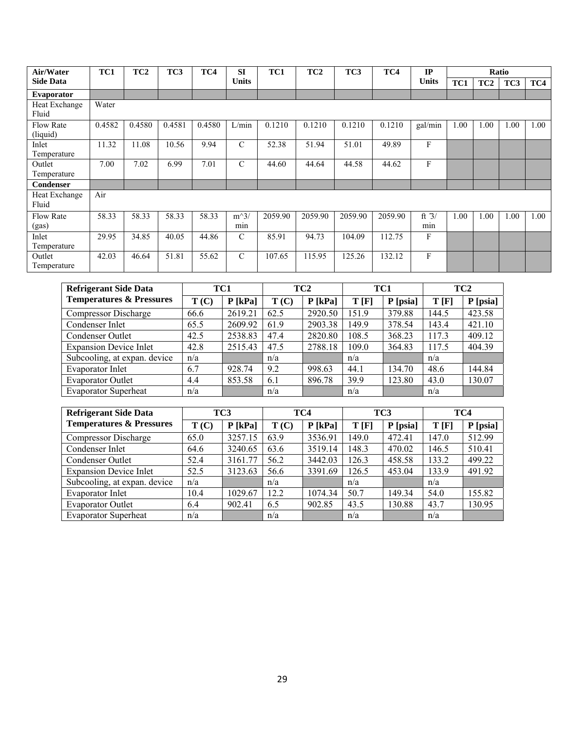| Air/Water                    | TC1    | TC <sub>2</sub> | TC3    | TC4    | <b>SI</b>     | TC1     | TC <sub>2</sub> | TC3     | TC4     | IP             |      |                 | Ratio |      |
|------------------------------|--------|-----------------|--------|--------|---------------|---------|-----------------|---------|---------|----------------|------|-----------------|-------|------|
| <b>Side Data</b>             |        |                 |        |        | <b>Units</b>  |         |                 |         |         | <b>Units</b>   | TC1  | TC <sub>2</sub> | TC3   | TC4  |
| Evaporator                   |        |                 |        |        |               |         |                 |         |         |                |      |                 |       |      |
| Heat Exchange<br>Fluid       | Water  |                 |        |        |               |         |                 |         |         |                |      |                 |       |      |
| <b>Flow Rate</b><br>(liquid) | 0.4582 | 0.4580          | 0.4581 | 0.4580 | L/min         | 0.1210  | 0.1210          | 0.1210  | 0.1210  | gal/min        | 1.00 | 1.00            | 1.00  | 1.00 |
| Inlet<br>Temperature         | 11.32  | 11.08           | 10.56  | 9.94   | $\mathcal{C}$ | 52.38   | 51.94           | 51.01   | 49.89   | F              |      |                 |       |      |
| Outlet<br>Temperature        | 7.00   | 7.02            | 6.99   | 7.01   | $\mathcal{C}$ | 44.60   | 44.64           | 44.58   | 44.62   | F              |      |                 |       |      |
| Condenser                    |        |                 |        |        |               |         |                 |         |         |                |      |                 |       |      |
| Heat Exchange<br>Fluid       | Air    |                 |        |        |               |         |                 |         |         |                |      |                 |       |      |
| <b>Flow Rate</b><br>(gas)    | 58.33  | 58.33           | 58.33  | 58.33  | $m^3/$<br>min | 2059.90 | 2059.90         | 2059.90 | 2059.90 | ft $3/$<br>min | 1.00 | 1.00            | 1.00  | 1.00 |
| Inlet<br>Temperature         | 29.95  | 34.85           | 40.05  | 44.86  | $\mathcal{C}$ | 85.91   | 94.73           | 104.09  | 112.75  | F              |      |                 |       |      |
| Outlet<br>Temperature        | 42.03  | 46.64           | 51.81  | 55.62  | $\mathcal{C}$ | 107.65  | 115.95          | 125.26  | 132.12  | F              |      |                 |       |      |

| <b>Refrigerant Side Data</b>        |      | TC1       |      | TC <sub>2</sub> | TC1   |            |       | TC <sub>2</sub> |
|-------------------------------------|------|-----------|------|-----------------|-------|------------|-------|-----------------|
| <b>Temperatures &amp; Pressures</b> | T(C) | $P$ [kPa] | T(C) | $P$ [kPa]       | T[F]  | $P$ [psia] | T[F]  | P [psia]        |
| Compressor Discharge                | 66.6 | 2619.21   | 62.5 | 2920.50         | 151.9 | 379.88     | 144.5 | 423.58          |
| Condenser Inlet                     | 65.5 | 2609.92   | 61.9 | 2903.38         | 149.9 | 378.54     | 143.4 | 421.10          |
| Condenser Outlet                    | 42.5 | 2538.83   | 47.4 | 2820.80         | 108.5 | 368.23     | 117.3 | 409.12          |
| <b>Expansion Device Inlet</b>       | 42.8 | 2515.43   | 47.5 | 2788.18         | 109.0 | 364.83     | 117.5 | 404.39          |
| Subcooling, at expan. device        | n/a  |           | n/a  |                 | n/a   |            | n/a   |                 |
| Evaporator Inlet                    | 6.7  | 928.74    | 9.2  | 998.63          | 44.1  | 134.70     | 48.6  | 144.84          |
| <b>Evaporator Outlet</b>            | 4.4  | 853.58    | 6.1  | 896.78          | 39.9  | 123.80     | 43.0  | 130.07          |
| <b>Evaporator Superheat</b>         | n/a  |           | n/a  |                 | n/a   |            | n/a   |                 |

| <b>Refrigerant Side Data</b>        |      | TC3       |      | TC4       | TC3   |          |       | TC4      |
|-------------------------------------|------|-----------|------|-----------|-------|----------|-------|----------|
| <b>Temperatures &amp; Pressures</b> | T(C) | $P$ [kPa] | T(C) | $P$ [kPa] | T[F]  | P [psia] | T[F]  | P [psia] |
| <b>Compressor Discharge</b>         | 65.0 | 3257.15   | 63.9 | 3536.91   | 149.0 | 472.41   | 147.0 | 512.99   |
| Condenser Inlet                     | 64.6 | 3240.65   | 63.6 | 3519.14   | 148.3 | 470.02   | 146.5 | 510.41   |
| Condenser Outlet                    | 52.4 | 3161.77   | 56.2 | 3442.03   | 126.3 | 458.58   | 133.2 | 499.22   |
| <b>Expansion Device Inlet</b>       | 52.5 | 3123.63   | 56.6 | 3391.69   | 126.5 | 453.04   | 133.9 | 491.92   |
| Subcooling, at expan. device        | n/a  |           | n/a  |           | n/a   |          | n/a   |          |
| Evaporator Inlet                    | 10.4 | 1029.67   | 12.2 | 1074.34   | 50.7  | 149.34   | 54.0  | 155.82   |
| <b>Evaporator Outlet</b>            | 6.4  | 902.41    | 6.5  | 902.85    | 43.5  | 130.88   | 43.7  | 130.95   |
| <b>Evaporator Superheat</b>         | n/a  |           | n/a  |           | n/a   |          | n/a   |          |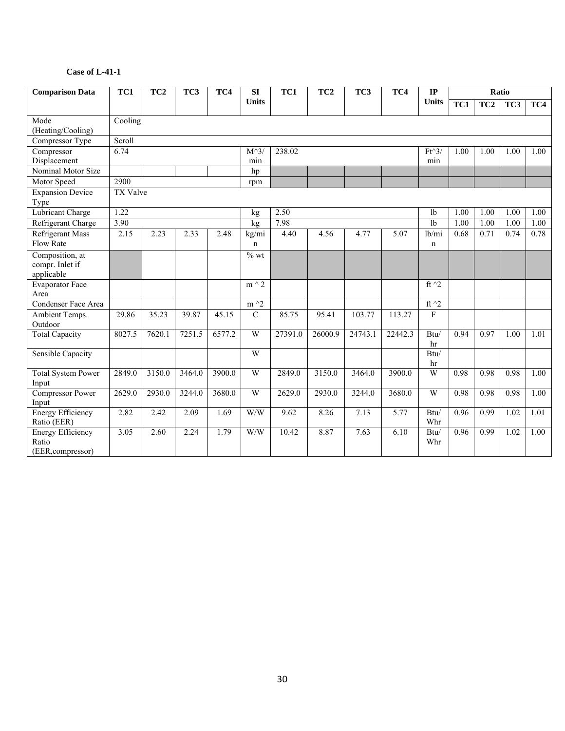| <b>Comparison Data</b>                                 | TC1             | TC <sub>2</sub> | TC3    | TC4    | TC1<br>TC <sub>2</sub><br>TC3<br>TC4<br>SI |         |         |         |         | IP             |                  |      | Ratio |      |
|--------------------------------------------------------|-----------------|-----------------|--------|--------|--------------------------------------------|---------|---------|---------|---------|----------------|------------------|------|-------|------|
|                                                        |                 |                 |        |        | <b>Units</b>                               |         |         |         |         | <b>Units</b>   | $\overline{TC1}$ | TC2  | TC3   | TC4  |
| Mode                                                   | Cooling         |                 |        |        |                                            |         |         |         |         |                |                  |      |       |      |
| (Heating/Cooling)                                      |                 |                 |        |        |                                            |         |         |         |         |                |                  |      |       |      |
| Compressor Type                                        | Scroll          |                 |        |        |                                            |         |         |         |         |                |                  |      |       |      |
| Compressor                                             | 6.74            |                 |        |        | $M^{\wedge}3$                              | 238.02  |         |         |         | $Ft^3$         | 1.00             | 1.00 | 1.00  | 1.00 |
| Displacement                                           |                 |                 |        |        | min                                        |         |         |         |         | min            |                  |      |       |      |
| Nominal Motor Size                                     |                 |                 |        |        | hp                                         |         |         |         |         |                |                  |      |       |      |
| Motor Speed                                            | 2900            |                 |        |        | rpm                                        |         |         |         |         |                |                  |      |       |      |
| <b>Expansion Device</b><br>Type                        | <b>TX Valve</b> |                 |        |        |                                            |         |         |         |         |                |                  |      |       |      |
| Lubricant Charge                                       | 1.22            |                 |        |        | kg                                         | 2.50    |         |         |         | 1 <sub>b</sub> | 1.00             | 1.00 | 1.00  | 1.00 |
| Refrigerant Charge                                     | 3.90            |                 |        |        | kg                                         | 7.98    |         |         |         | 1 <sub>b</sub> | 1.00             | 1.00 | 1.00  | 1.00 |
| <b>Refrigerant Mass</b>                                | 2.15            | 2.23            | 2.33   | 2.48   | kg/mi                                      | 4.40    | 4.56    | 4.77    | 5.07    | lb/mi          | 0.68             | 0.71 | 0.74  | 0.78 |
| Flow Rate                                              |                 |                 |        |        | $\mathbf n$                                |         |         |         |         | $\mathbf n$    |                  |      |       |      |
| Composition, at                                        |                 |                 |        |        | $\frac{1}{2}$ wt                           |         |         |         |         |                |                  |      |       |      |
| compr. Inlet if                                        |                 |                 |        |        |                                            |         |         |         |         |                |                  |      |       |      |
| applicable                                             |                 |                 |        |        |                                            |         |         |         |         |                |                  |      |       |      |
| <b>Evaporator Face</b>                                 |                 |                 |        |        | $m \wedge 2$                               |         |         |         |         | ft $^2$        |                  |      |       |      |
| Area                                                   |                 |                 |        |        |                                            |         |         |         |         |                |                  |      |       |      |
| Condenser Face Area                                    |                 |                 |        |        | $m^2$                                      |         |         |         |         | ft $\hat{}$ 2  |                  |      |       |      |
| Ambient Temps.<br>Outdoor                              | 29.86           | 35.23           | 39.87  | 45.15  | $\overline{C}$                             | 85.75   | 95.41   | 103.77  | 113.27  | F              |                  |      |       |      |
| <b>Total Capacity</b>                                  | 8027.5          | 7620.1          | 7251.5 | 6577.2 | W                                          | 27391.0 | 26000.9 | 24743.1 | 22442.3 | Btu/           | 0.94             | 0.97 | 1.00  | 1.01 |
|                                                        |                 |                 |        |        |                                            |         |         |         |         | hr             |                  |      |       |      |
| <b>Sensible Capacity</b>                               |                 |                 |        |        | W                                          |         |         |         |         | Btu/           |                  |      |       |      |
|                                                        |                 |                 |        |        |                                            |         |         |         |         | hr             |                  |      |       |      |
| <b>Total System Power</b>                              | 2849.0          | 3150.0          | 3464.0 | 3900.0 | W                                          | 2849.0  | 3150.0  | 3464.0  | 3900.0  | W              | 0.98             | 0.98 | 0.98  | 1.00 |
| Input                                                  |                 |                 |        |        |                                            |         |         |         |         |                |                  |      |       |      |
| Compressor Power                                       | 2629.0          | 2930.0          | 3244.0 | 3680.0 | W                                          | 2629.0  | 2930.0  | 3244.0  | 3680.0  | W              | 0.98             | 0.98 | 0.98  | 1.00 |
| Input                                                  |                 |                 |        |        |                                            |         |         |         |         |                |                  |      |       |      |
| <b>Energy Efficiency</b>                               | 2.82            | 2.42            | 2.09   | 1.69   | W/W                                        | 9.62    | 8.26    | 7.13    | 5.77    | Btu/           | 0.96             | 0.99 | 1.02  | 1.01 |
| Ratio (EER)                                            |                 |                 |        |        |                                            |         |         |         |         | Whr            |                  |      |       |      |
|                                                        |                 |                 |        |        |                                            |         |         |         |         |                |                  |      |       |      |
|                                                        |                 |                 |        |        |                                            |         |         |         |         |                |                  |      |       |      |
| <b>Energy Efficiency</b><br>Ratio<br>(EER, compressor) | 3.05            | 2.60            | 2.24   | 1.79   | W/W                                        | 10.42   | 8.87    | 7.63    | 6.10    | Btu/<br>Whr    | 0.96             | 0.99 | 1.02  | 1.00 |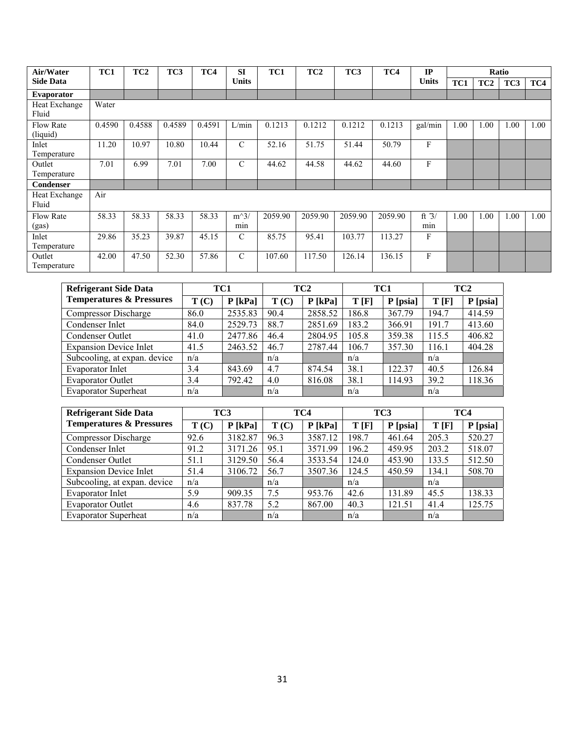| Air/Water                    | TC1    | TC <sub>2</sub> | TC3    | TC4    | <b>SI</b>     | TC1     | TC <sub>2</sub> | TC3     | TC4     | IP             |      |                 | Ratio |      |
|------------------------------|--------|-----------------|--------|--------|---------------|---------|-----------------|---------|---------|----------------|------|-----------------|-------|------|
| <b>Side Data</b>             |        |                 |        |        | <b>Units</b>  |         |                 |         |         | <b>Units</b>   | TC1  | TC <sub>2</sub> | TC3   | TC4  |
| Evaporator                   |        |                 |        |        |               |         |                 |         |         |                |      |                 |       |      |
| Heat Exchange<br>Fluid       | Water  |                 |        |        |               |         |                 |         |         |                |      |                 |       |      |
| <b>Flow Rate</b><br>(liquid) | 0.4590 | 0.4588          | 0.4589 | 0.4591 | L/min         | 0.1213  | 0.1212          | 0.1212  | 0.1213  | gal/min        | 1.00 | 1.00            | 1.00  | 1.00 |
| Inlet<br>Temperature         | 11.20  | 10.97           | 10.80  | 10.44  | $\mathcal{C}$ | 52.16   | 51.75           | 51.44   | 50.79   | F              |      |                 |       |      |
| Outlet<br>Temperature        | 7.01   | 6.99            | 7.01   | 7.00   | $\mathcal{C}$ | 44.62   | 44.58           | 44.62   | 44.60   | F              |      |                 |       |      |
| Condenser                    |        |                 |        |        |               |         |                 |         |         |                |      |                 |       |      |
| Heat Exchange<br>Fluid       | Air    |                 |        |        |               |         |                 |         |         |                |      |                 |       |      |
| <b>Flow Rate</b><br>(gas)    | 58.33  | 58.33           | 58.33  | 58.33  | $m^3/$<br>min | 2059.90 | 2059.90         | 2059.90 | 2059.90 | ft $3/$<br>min | 1.00 | 1.00            | 1.00  | 1.00 |
| Inlet<br>Temperature         | 29.86  | 35.23           | 39.87  | 45.15  | $\mathcal{C}$ | 85.75   | 95.41           | 103.77  | 113.27  | F              |      |                 |       |      |
| Outlet<br>Temperature        | 42.00  | 47.50           | 52.30  | 57.86  | $\mathcal{C}$ | 107.60  | 117.50          | 126.14  | 136.15  | F              |      |                 |       |      |

| <b>Refrigerant Side Data</b>        |      | TC1       |      | TC <sub>2</sub> | TC1   |          |       | TC <sub>2</sub> |
|-------------------------------------|------|-----------|------|-----------------|-------|----------|-------|-----------------|
| <b>Temperatures &amp; Pressures</b> | T(C) | $P$ [kPa] | T(C) | $P$ [kPa]       | T[F]  | P [psia] | T[F]  | P [psia]        |
| Compressor Discharge                | 86.0 | 2535.83   | 90.4 | 2858.52         | 186.8 | 367.79   | 194.7 | 414.59          |
| Condenser Inlet                     | 84.0 | 2529.73   | 88.7 | 2851.69         | 183.2 | 366.91   | 191.7 | 413.60          |
| Condenser Outlet                    | 41.0 | 2477.86   | 46.4 | 2804.95         | 105.8 | 359.38   | 115.5 | 406.82          |
| <b>Expansion Device Inlet</b>       | 41.5 | 2463.52   | 46.7 | 2787.44         | 106.7 | 357.30   | 116.1 | 404.28          |
| Subcooling, at expan. device        | n/a  |           | n/a  |                 | n/a   |          | n/a   |                 |
| <b>Evaporator Inlet</b>             | 3.4  | 843.69    | 4.7  | 874.54          | 38.1  | 122.37   | 40.5  | 126.84          |
| <b>Evaporator Outlet</b>            | 3.4  | 792.42    | 4.0  | 816.08          | 38.1  | 114.93   | 39.2  | 118.36          |
| <b>Evaporator Superheat</b>         | n/a  |           | n/a  |                 | n/a   |          | n/a   |                 |

| <b>Refrigerant Side Data</b>        |      | TC3       |      | TC4       | TC <sub>3</sub> |          | TC4   |          |
|-------------------------------------|------|-----------|------|-----------|-----------------|----------|-------|----------|
| <b>Temperatures &amp; Pressures</b> | T(C) | $P$ [kPa] | T(C) | $P$ [kPa] | T[F]            | P [psia] | T[F]  | P [psia] |
| Compressor Discharge                | 92.6 | 3182.87   | 96.3 | 3587.12   | 198.7           | 461.64   | 205.3 | 520.27   |
| Condenser Inlet                     | 91.2 | 3171.26   | 95.1 | 3571.99   | 196.2           | 459.95   | 203.2 | 518.07   |
| Condenser Outlet                    | 51.1 | 3129.50   | 56.4 | 3533.54   | 124.0           | 453.90   | 133.5 | 512.50   |
| <b>Expansion Device Inlet</b>       | 51.4 | 3106.72   | 56.7 | 3507.36   | 124.5           | 450.59   | 134.1 | 508.70   |
| Subcooling, at expan. device        | n/a  |           | n/a  |           | n/a             |          | n/a   |          |
| Evaporator Inlet                    | 5.9  | 909.35    | 7.5  | 953.76    | 42.6            | 131.89   | 45.5  | 138.33   |
| <b>Evaporator Outlet</b>            | 4.6  | 837.78    | 5.2  | 867.00    | 40.3            | 121.51   | 41.4  | 125.75   |
| <b>Evaporator Superheat</b>         | n/a  |           | n/a  |           | n/a             |          | n/a   |          |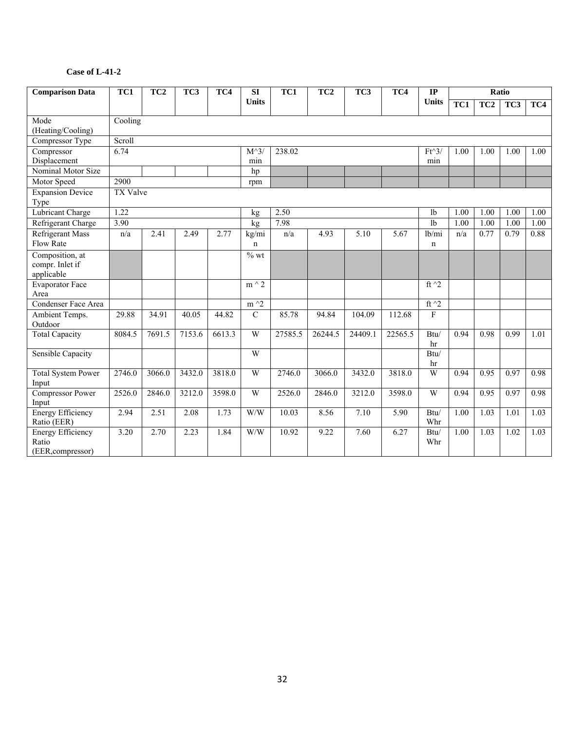| <b>Comparison Data</b>          | TC1      | TC3<br>TC <sub>2</sub><br>TC4<br>SI |        |        |                | $\overline{TC1}$ | TC <sub>2</sub> | TC3     | TC4     | $\mathbf{IP}$  |                   |      | Ratio |      |
|---------------------------------|----------|-------------------------------------|--------|--------|----------------|------------------|-----------------|---------|---------|----------------|-------------------|------|-------|------|
|                                 |          |                                     |        |        | <b>Units</b>   |                  |                 |         |         | <b>Units</b>   | TC1               | TC2  | TC3   | TC4  |
| Mode                            | Cooling  |                                     |        |        |                |                  |                 |         |         |                |                   |      |       |      |
| (Heating/Cooling)               |          |                                     |        |        |                |                  |                 |         |         |                |                   |      |       |      |
| Compressor Type                 | Scroll   |                                     |        |        |                |                  |                 |         |         |                |                   |      |       |      |
| Compressor                      | 6.74     |                                     |        |        | $M^{\wedge}3$  | 238.02           |                 |         |         | $Ft^3$         | 1.00              | 1.00 | 1.00  | 1.00 |
| Displacement                    |          |                                     |        |        | min            |                  |                 |         |         | min            |                   |      |       |      |
| Nominal Motor Size              |          |                                     |        |        | hp             |                  |                 |         |         |                |                   |      |       |      |
| Motor Speed                     | 2900     |                                     |        |        | rpm            |                  |                 |         |         |                |                   |      |       |      |
| <b>Expansion Device</b><br>Type | TX Valve |                                     |        |        |                |                  |                 |         |         |                |                   |      |       |      |
| <b>Lubricant Charge</b>         | 1.22     |                                     |        |        | kg             | 2.50             |                 |         |         | 1 <sub>b</sub> | 1.00              | 1.00 | 1.00  | 1.00 |
| Refrigerant Charge              | 3.90     |                                     |        |        | kg             | 7.98             |                 |         |         | 1 <sub>b</sub> | 1.00              | 1.00 | 1.00  | 1.00 |
| <b>Refrigerant Mass</b>         | n/a      | 2.41                                | 2.49   | 2.77   | kg/mi          | n/a              | 4.93            | 5.10    | 5.67    | lb/mi          | n/a               | 0.77 | 0.79  | 0.88 |
| Flow Rate                       |          |                                     |        |        | $\mathbf n$    |                  |                 |         |         | $\mathbf n$    |                   |      |       |      |
| Composition, at                 |          |                                     |        |        | $%$ wt         |                  |                 |         |         |                |                   |      |       |      |
| compr. Inlet if                 |          |                                     |        |        |                |                  |                 |         |         |                |                   |      |       |      |
| applicable                      |          |                                     |        |        |                |                  |                 |         |         |                |                   |      |       |      |
| <b>Evaporator Face</b>          |          |                                     |        |        | $m \wedge 2$   |                  |                 |         |         | ft $^2$        |                   |      |       |      |
| Area                            |          |                                     |        |        |                |                  |                 |         |         |                |                   |      |       |      |
| Condenser Face Area             |          |                                     |        |        | $m \wedge 2$   |                  |                 |         |         | ft $\sqrt{2}$  |                   |      |       |      |
| Ambient Temps.<br>Outdoor       | 29.88    | 34.91                               | 40.05  | 44.82  | $\overline{C}$ | 85.78            | 94.84           | 104.09  | 112.68  | F              |                   |      |       |      |
| <b>Total Capacity</b>           | 8084.5   | 7691.5                              | 7153.6 | 6613.3 | W              | 27585.5          | 26244.5         | 24409.1 | 22565.5 | Btu/           | 0.94              | 0.98 | 0.99  | 1.01 |
|                                 |          |                                     |        |        |                |                  |                 |         |         | hr             |                   |      |       |      |
| Sensible Capacity               |          |                                     |        |        | W              |                  |                 |         |         | Btu/           |                   |      |       |      |
|                                 |          |                                     |        |        |                |                  |                 |         |         | hr             |                   |      |       |      |
| <b>Total System Power</b>       | 2746.0   | 3066.0                              | 3432.0 | 3818.0 | W              | 2746.0           | 3066.0          | 3432.0  | 3818.0  | W              | 0.94              | 0.95 | 0.97  | 0.98 |
| Input                           |          |                                     |        |        |                |                  |                 |         |         |                |                   |      |       |      |
| Compressor Power                | 2526.0   | 2846.0                              | 3212.0 | 3598.0 | W              | 2526.0           | 2846.0          | 3212.0  | 3598.0  | W              | 0.94              | 0.95 | 0.97  | 0.98 |
| Input                           |          |                                     |        |        |                |                  |                 |         |         |                |                   |      |       |      |
| <b>Energy Efficiency</b>        | 2.94     | 2.51                                | 2.08   | 1.73   | W/W            | 10.03            | 8.56            | 7.10    | 5.90    | Btu/           | 1.00              | 1.03 | 1.01  | 1.03 |
| Ratio (EER)                     |          |                                     |        |        |                |                  |                 |         |         | Whr            |                   |      |       |      |
| <b>Energy Efficiency</b>        | 3.20     | 2.70                                | 2.23   | 1.84   | W/W            | 10.92            | 9.22            | 7.60    | 6.27    | Btu/           | $\overline{1.00}$ | 1.03 | 1.02  | 1.03 |
| Ratio                           |          |                                     |        |        |                |                  |                 |         |         | Whr            |                   |      |       |      |
| (EER, compressor)               |          |                                     |        |        |                |                  |                 |         |         |                |                   |      |       |      |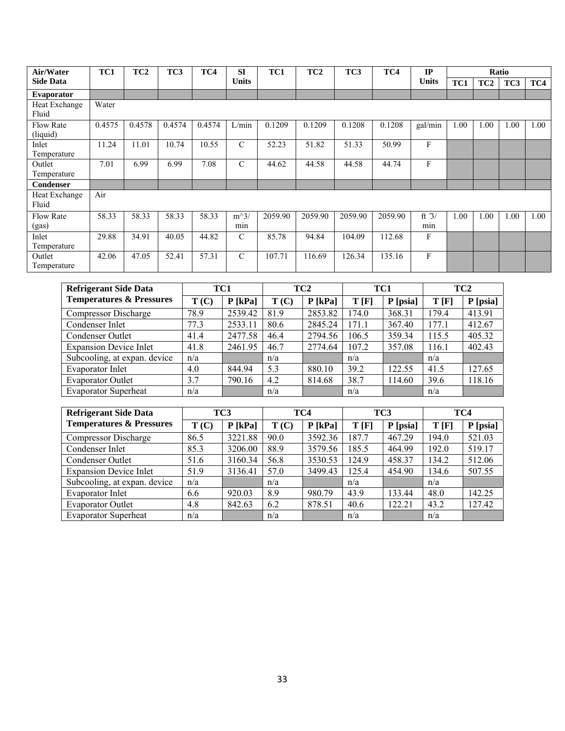| Air/Water                    | TC1    | TC <sub>2</sub> | TC3    | TC4    | <b>SI</b>     | TC1     | TC <sub>2</sub> | TC3     | TC4     | IP             |      |                 | Ratio |      |
|------------------------------|--------|-----------------|--------|--------|---------------|---------|-----------------|---------|---------|----------------|------|-----------------|-------|------|
| <b>Side Data</b>             |        |                 |        |        | <b>Units</b>  |         |                 |         |         | <b>Units</b>   | TC1  | TC <sub>2</sub> | TC3   | TC4  |
| Evaporator                   |        |                 |        |        |               |         |                 |         |         |                |      |                 |       |      |
| Heat Exchange<br>Fluid       | Water  |                 |        |        |               |         |                 |         |         |                |      |                 |       |      |
| <b>Flow Rate</b><br>(liquid) | 0.4575 | 0.4578          | 0.4574 | 0.4574 | L/min         | 0.1209  | 0.1209          | 0.1208  | 0.1208  | gal/min        | 1.00 | 1.00            | 1.00  | 1.00 |
| Inlet<br>Temperature         | 11.24  | 11.01           | 10.74  | 10.55  | $\mathcal{C}$ | 52.23   | 51.82           | 51.33   | 50.99   | F              |      |                 |       |      |
| Outlet<br>Temperature        | 7.01   | 6.99            | 6.99   | 7.08   | $\mathcal{C}$ | 44.62   | 44.58           | 44.58   | 44.74   | F              |      |                 |       |      |
| Condenser                    |        |                 |        |        |               |         |                 |         |         |                |      |                 |       |      |
| Heat Exchange<br>Fluid       | Air    |                 |        |        |               |         |                 |         |         |                |      |                 |       |      |
| <b>Flow Rate</b><br>(gas)    | 58.33  | 58.33           | 58.33  | 58.33  | $m^3/$<br>min | 2059.90 | 2059.90         | 2059.90 | 2059.90 | ft $3/$<br>min | 1.00 | 1.00            | 1.00  | 1.00 |
| Inlet<br>Temperature         | 29.88  | 34.91           | 40.05  | 44.82  | $\mathcal{C}$ | 85.78   | 94.84           | 104.09  | 112.68  | F              |      |                 |       |      |
| Outlet<br>Temperature        | 42.06  | 47.05           | 52.41  | 57.31  | $\mathcal{C}$ | 107.71  | 116.69          | 126.34  | 135.16  | F              |      |                 |       |      |

| <b>Refrigerant Side Data</b>        |      | TC1       |      | TC <sub>2</sub> | TC1   |          |       | TC <sub>2</sub> |
|-------------------------------------|------|-----------|------|-----------------|-------|----------|-------|-----------------|
| <b>Temperatures &amp; Pressures</b> | T(C) | $P$ [kPa] | T(C) | $P$ [kPa]       | T[F]  | P [psia] | T[F]  | P [psia]        |
| Compressor Discharge                | 78.9 | 2539.42   | 81.9 | 2853.82         | 174.0 | 368.31   | 179.4 | 413.91          |
| Condenser Inlet                     | 77.3 | 2533.11   | 80.6 | 2845.24         | 171.1 | 367.40   | 177.1 | 412.67          |
| Condenser Outlet                    | 41.4 | 2477.58   | 46.4 | 2794.56         | 106.5 | 359.34   | 115.5 | 405.32          |
| <b>Expansion Device Inlet</b>       | 41.8 | 2461.95   | 46.7 | 2774.64         | 107.2 | 357.08   | 116.1 | 402.43          |
| Subcooling, at expan. device        | n/a  |           | n/a  |                 | n/a   |          | n/a   |                 |
| Evaporator Inlet                    | 4.0  | 844.94    | 5.3  | 880.10          | 39.2  | 122.55   | 41.5  | 127.65          |
| <b>Evaporator Outlet</b>            | 3.7  | 790.16    | 4.2  | 814.68          | 38.7  | 114.60   | 39.6  | 118.16          |
| <b>Evaporator Superheat</b>         | n/a  |           | n/a  |                 | n/a   |          | n/a   |                 |

| <b>Refrigerant Side Data</b>        |      | TC3       |      | TC4       | TC <sub>3</sub> |          | TC4   |          |
|-------------------------------------|------|-----------|------|-----------|-----------------|----------|-------|----------|
| <b>Temperatures &amp; Pressures</b> | T(C) | $P$ [kPa] | T(C) | $P$ [kPa] | T[F]            | P [psia] | T[F]  | P [psia] |
| <b>Compressor Discharge</b>         | 86.5 | 3221.88   | 90.0 | 3592.36   | 187.7           | 467.29   | 194.0 | 521.03   |
| Condenser Inlet                     | 85.3 | 3206.00   | 88.9 | 3579.56   | 185.5           | 464.99   | 192.0 | 519.17   |
| Condenser Outlet                    | 51.6 | 3160.34   | 56.8 | 3530.53   | 124.9           | 458.37   | 134.2 | 512.06   |
| <b>Expansion Device Inlet</b>       | 51.9 | 3136.41   | 57.0 | 3499.43   | 125.4           | 454.90   | 134.6 | 507.55   |
| Subcooling, at expan. device        | n/a  |           | n/a  |           | n/a             |          | n/a   |          |
| Evaporator Inlet                    | 6.6  | 920.03    | 8.9  | 980.79    | 43.9            | 133.44   | 48.0  | 142.25   |
| <b>Evaporator Outlet</b>            | 4.8  | 842.63    | 6.2  | 878.51    | 40.6            | 122.21   | 43.2  | 127.42   |
| <b>Evaporator Superheat</b>         | n/a  |           | n/a  |           | n/a             |          | n/a   |          |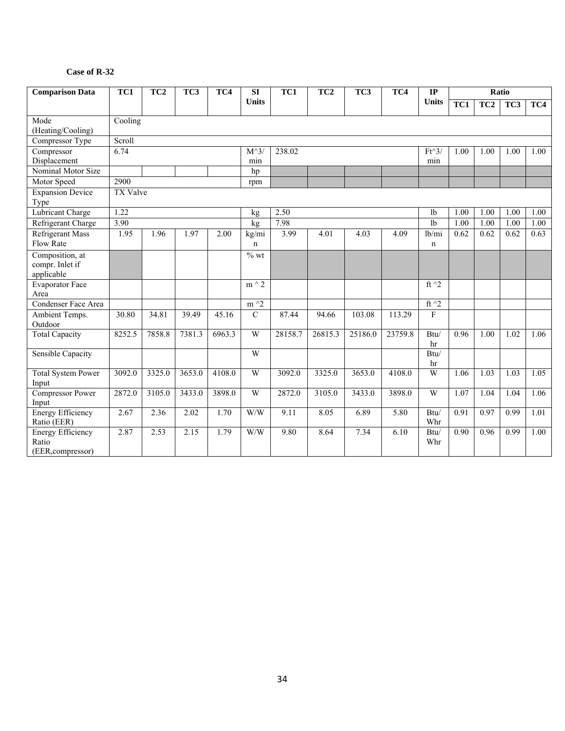#### **Case of R-32**

| <b>Comparison Data</b>            | TC1             | TC <sub>2</sub> | TC3    | TC4    | SI                          | TC1<br>TC <sub>2</sub><br>TC3<br>TC4 |         |         |         | $\mathbf{IP}$  |      |      | Ratio           |      |
|-----------------------------------|-----------------|-----------------|--------|--------|-----------------------------|--------------------------------------|---------|---------|---------|----------------|------|------|-----------------|------|
|                                   |                 |                 |        |        | <b>Units</b>                |                                      |         |         |         | <b>Units</b>   | TC1  | TC2  | TC <sub>3</sub> | TC4  |
| Mode                              | Cooling         |                 |        |        |                             |                                      |         |         |         |                |      |      |                 |      |
| (Heating/Cooling)                 |                 |                 |        |        |                             |                                      |         |         |         |                |      |      |                 |      |
| Compressor Type                   | Scroll          |                 |        |        |                             |                                      |         |         |         |                |      |      |                 |      |
| Compressor                        | 6.74            |                 |        |        | $M^{\wedge}3$               | 238.02                               |         |         |         | $Ft^3$         | 1.00 | 1.00 | 1.00            | 1.00 |
| Displacement                      |                 |                 |        |        | min                         |                                      |         |         |         | min            |      |      |                 |      |
| Nominal Motor Size                |                 |                 |        |        | hp                          |                                      |         |         |         |                |      |      |                 |      |
| Motor Speed                       | 2900            |                 |        |        | rpm                         |                                      |         |         |         |                |      |      |                 |      |
| <b>Expansion Device</b><br>Type   | <b>TX</b> Valve |                 |        |        |                             |                                      |         |         |         |                |      |      |                 |      |
| Lubricant Charge                  | 1.22            |                 |        |        | kg                          | 2.50                                 |         |         |         | 1 <sub>b</sub> | 1.00 | 1.00 | 1.00            | 1.00 |
| Refrigerant Charge                | 3.90            |                 |        |        | kg                          | 7.98                                 |         |         |         | 1 <sub>b</sub> | 1.00 | 1.00 | 1.00            | 1.00 |
| <b>Refrigerant Mass</b>           | 1.95            | 1.96            | 1.97   | 2.00   | kg/mi                       | 3.99                                 | 4.01    | 4.03    | 4.09    | lb/mi          | 0.62 | 0.62 | 0.62            | 0.63 |
| Flow Rate                         |                 |                 |        |        | $\mathbf n$                 |                                      |         |         |         | $\mathbf n$    |      |      |                 |      |
| Composition, at                   |                 |                 |        |        | $\overline{\frac{9}{6}}$ wt |                                      |         |         |         |                |      |      |                 |      |
| compr. Inlet if                   |                 |                 |        |        |                             |                                      |         |         |         |                |      |      |                 |      |
| applicable                        |                 |                 |        |        |                             |                                      |         |         |         |                |      |      |                 |      |
| <b>Evaporator Face</b>            |                 |                 |        |        | $m \wedge 2$                |                                      |         |         |         | ft $\sqrt{2}$  |      |      |                 |      |
| Area                              |                 |                 |        |        |                             |                                      |         |         |         |                |      |      |                 |      |
| Condenser Face Area               |                 |                 |        |        | $m \, \hat{} \, 2$          |                                      |         |         |         | ft $\sqrt{2}$  |      |      |                 |      |
| Ambient Temps.                    | 30.80           | 34.81           | 39.49  | 45.16  | $\overline{C}$              | 87.44                                | 94.66   | 103.08  | 113.29  | F              |      |      |                 |      |
| Outdoor                           |                 |                 |        |        |                             |                                      |         |         |         |                |      |      |                 |      |
| <b>Total Capacity</b>             | 8252.5          | 7858.8          | 7381.3 | 6963.3 | W                           | 28158.7                              | 26815.3 | 25186.0 | 23759.8 | Btu/<br>hr     | 0.96 | 1.00 | 1.02            | 1.06 |
| <b>Sensible Capacity</b>          |                 |                 |        |        | W                           |                                      |         |         |         | Btu/           |      |      |                 |      |
|                                   |                 |                 |        |        |                             |                                      |         |         |         | hr             |      |      |                 |      |
| <b>Total System Power</b>         | 3092.0          | 3325.0          | 3653.0 | 4108.0 | W                           | 3092.0                               | 3325.0  | 3653.0  | 4108.0  | W              | 1.06 | 1.03 | 1.03            | 1.05 |
| Input                             |                 |                 |        |        |                             |                                      |         |         |         |                |      |      |                 |      |
| Compressor Power                  | 2872.0          | 3105.0          | 3433.0 | 3898.0 | W                           | 2872.0                               | 3105.0  | 3433.0  | 3898.0  | W              | 1.07 | 1.04 | 1.04            | 1.06 |
| Input                             |                 |                 |        |        |                             |                                      |         |         |         |                |      |      |                 |      |
| <b>Energy Efficiency</b>          | 2.67            | 2.36            | 2.02   | 1.70   | $\overline{W}/W$            | 9.11                                 | 8.05    | 6.89    | 5.80    | Btu/           | 0.91 | 0.97 | 0.99            | 1.01 |
| Ratio (EER)                       |                 |                 |        |        |                             |                                      |         |         |         | Whr            |      |      |                 |      |
| <b>Energy Efficiency</b><br>Ratio | 2.87            | 2.53            | 2.15   | 1.79   | W/W                         | 9.80                                 | 8.64    | 7.34    | 6.10    | Btu/           | 0.90 | 0.96 | 0.99            | 1.00 |
|                                   |                 |                 |        |        |                             |                                      |         |         |         | Whr            |      |      |                 |      |
| (EER, compressor)                 |                 |                 |        |        |                             |                                      |         |         |         |                |      |      |                 |      |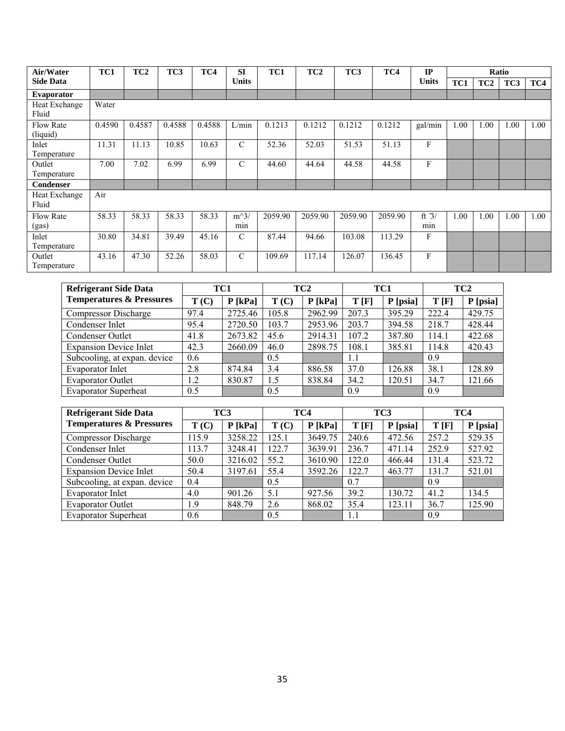| Air/Water                    | TC1    | TC <sub>2</sub> | TC3    | TC4    | <b>SI</b>     | TC1     | TC <sub>2</sub> | TC3     | TC4     | IP             |      |                 | Ratio |      |
|------------------------------|--------|-----------------|--------|--------|---------------|---------|-----------------|---------|---------|----------------|------|-----------------|-------|------|
| <b>Side Data</b>             |        |                 |        |        | <b>Units</b>  |         |                 |         |         | <b>Units</b>   | TC1  | TC <sub>2</sub> | TC3   | TC4  |
| <b>Evaporator</b>            |        |                 |        |        |               |         |                 |         |         |                |      |                 |       |      |
| Heat Exchange<br>Fluid       | Water  |                 |        |        |               |         |                 |         |         |                |      |                 |       |      |
| <b>Flow Rate</b><br>(liquid) | 0.4590 | 0.4587          | 0.4588 | 0.4588 | L/min         | 0.1213  | 0.1212          | 0.1212  | 0.1212  | gal/min        | 1.00 | 1.00            | 1.00  | 1.00 |
| Inlet<br>Temperature         | 11.31  | 11.13           | 10.85  | 10.63  | C             | 52.36   | 52.03           | 51.53   | 51.13   | F              |      |                 |       |      |
| Outlet<br>Temperature        | 7.00   | 7.02            | 6.99   | 6.99   | $\mathcal{C}$ | 44.60   | 44.64           | 44.58   | 44.58   | F              |      |                 |       |      |
| Condenser                    |        |                 |        |        |               |         |                 |         |         |                |      |                 |       |      |
| Heat Exchange<br>Fluid       | Air    |                 |        |        |               |         |                 |         |         |                |      |                 |       |      |
| <b>Flow Rate</b><br>(gas)    | 58.33  | 58.33           | 58.33  | 58.33  | $m^3/$<br>min | 2059.90 | 2059.90         | 2059.90 | 2059.90 | ft $3/$<br>min | 1.00 | 1.00            | 1.00  | 1.00 |
| Inlet<br>Temperature         | 30.80  | 34.81           | 39.49  | 45.16  | $\mathcal{C}$ | 87.44   | 94.66           | 103.08  | 113.29  | F              |      |                 |       |      |
| Outlet<br>Temperature        | 43.16  | 47.30           | 52.26  | 58.03  | $\mathcal{C}$ | 109.69  | 117.14          | 126.07  | 136.45  | F              |      |                 |       |      |

| <b>Refrigerant Side Data</b>        |      | TC1       |       | TC <sub>2</sub> | TC1   |          |       | TC <sub>2</sub> |
|-------------------------------------|------|-----------|-------|-----------------|-------|----------|-------|-----------------|
| <b>Temperatures &amp; Pressures</b> | T(C) | $P$ [kPa] | T(C)  | $P$ [kPa]       | T[F]  | P [psia] | T[F]  | P [psia]        |
| Compressor Discharge                | 97.4 | 2725.46   | 105.8 | 2962.99         | 207.3 | 395.29   | 222.4 | 429.75          |
| Condenser Inlet                     | 95.4 | 2720.50   | 103.7 | 2953.96         | 203.7 | 394.58   | 218.7 | 428.44          |
| Condenser Outlet                    | 41.8 | 2673.82   | 45.6  | 2914.31         | 107.2 | 387.80   | 114.1 | 422.68          |
| <b>Expansion Device Inlet</b>       | 42.3 | 2660.09   | 46.0  | 2898.75         | 108.1 | 385.81   | 114.8 | 420.43          |
| Subcooling, at expan. device        | 0.6  |           | 0.5   |                 | 1.1   |          | 0.9   |                 |
| Evaporator Inlet                    | 2.8  | 874.84    | 3.4   | 886.58          | 37.0  | 126.88   | 38.1  | 128.89          |
| <b>Evaporator Outlet</b>            | 1.2  | 830.87    | 1.5   | 838.84          | 34.2  | 120.51   | 34.7  | 121.66          |
| <b>Evaporator Superheat</b>         | 0.5  |           | 0.5   |                 | 0.9   |          | 0.9   |                 |

| <b>Refrigerant Side Data</b><br><b>Temperatures &amp; Pressures</b> | TC3   |           | TC4   |           | TC3   |          | TC4   |          |
|---------------------------------------------------------------------|-------|-----------|-------|-----------|-------|----------|-------|----------|
|                                                                     | T(C)  | $P$ [kPa] | T(C)  | $P$ [kPa] | T[F]  | P [psia] | T[F]  | P [psia] |
| Compressor Discharge                                                | 115.9 | 3258.22   | 125.1 | 3649.75   | 240.6 | 472.56   | 257.2 | 529.35   |
| Condenser Inlet                                                     | 113.7 | 3248.41   | 122.7 | 3639.91   | 236.7 | 471.14   | 252.9 | 527.92   |
| Condenser Outlet                                                    | 50.0  | 3216.02   | 55.2  | 3610.90   | 122.0 | 466.44   | 131.4 | 523.72   |
| <b>Expansion Device Inlet</b>                                       | 50.4  | 3197.61   | 55.4  | 3592.26   | 122.7 | 463.77   | 131.7 | 521.01   |
| Subcooling, at expan. device                                        | 0.4   |           | 0.5   |           | 0.7   |          | 0.9   |          |
| Evaporator Inlet                                                    | 4.0   | 901.26    | 5.1   | 927.56    | 39.2  | 130.72   | 41.2  | 134.5    |
| <b>Evaporator Outlet</b>                                            | 1.9   | 848.79    | 2.6   | 868.02    | 35.4  | 123.11   | 36.7  | 125.90   |
| <b>Evaporator Superheat</b>                                         | 0.6   |           | 0.5   |           | 1.1   |          | 0.9   |          |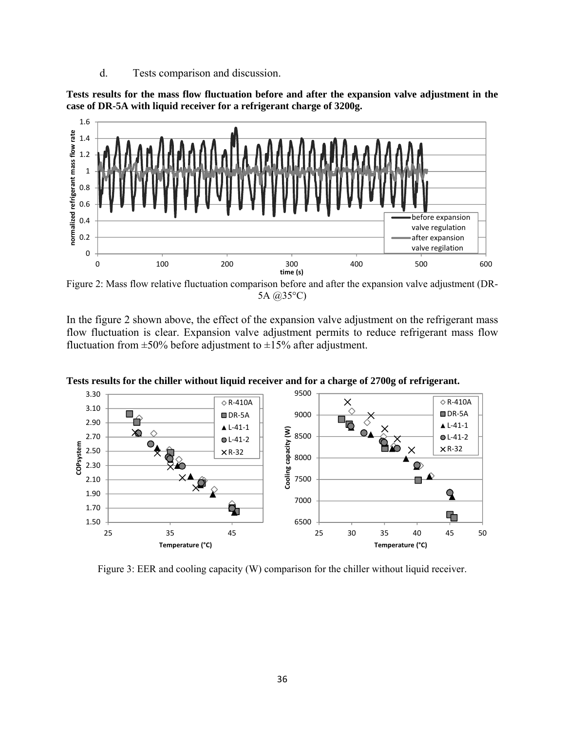d. Tests comparison and discussion.

**Tests results for the mass flow fluctuation before and after the expansion valve adjustment in the case of DR-5A with liquid receiver for a refrigerant charge of 3200g.** 



Figure 2: Mass flow relative fluctuation comparison before and after the expansion valve adjustment (DR-5A @35°C)

In the figure 2 shown above, the effect of the expansion valve adjustment on the refrigerant mass flow fluctuation is clear. Expansion valve adjustment permits to reduce refrigerant mass flow fluctuation from  $\pm 50\%$  before adjustment to  $\pm 15\%$  after adjustment.



**Tests results for the chiller without liquid receiver and for a charge of 2700g of refrigerant.** 

Figure 3: EER and cooling capacity (W) comparison for the chiller without liquid receiver.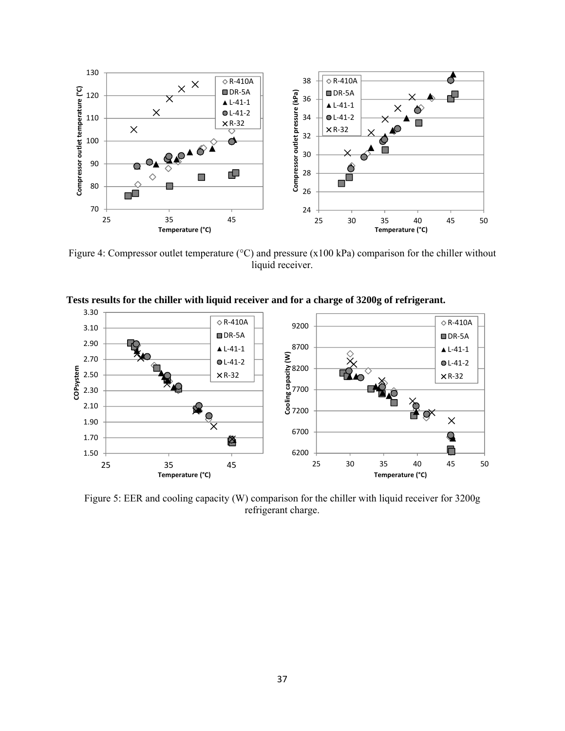

Figure 4: Compressor outlet temperature (°C) and pressure (x100 kPa) comparison for the chiller without liquid receiver.



**Tests results for the chiller with liquid receiver and for a charge of 3200g of refrigerant.** 

Figure 5: EER and cooling capacity (W) comparison for the chiller with liquid receiver for 3200g refrigerant charge.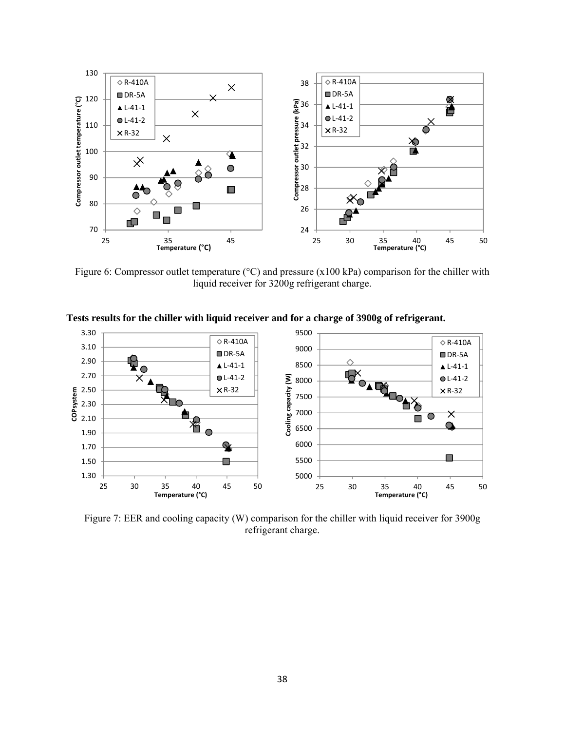

Figure 6: Compressor outlet temperature (°C) and pressure (x100 kPa) comparison for the chiller with liquid receiver for 3200g refrigerant charge.



**Tests results for the chiller with liquid receiver and for a charge of 3900g of refrigerant.** 

Figure 7: EER and cooling capacity (W) comparison for the chiller with liquid receiver for 3900g refrigerant charge.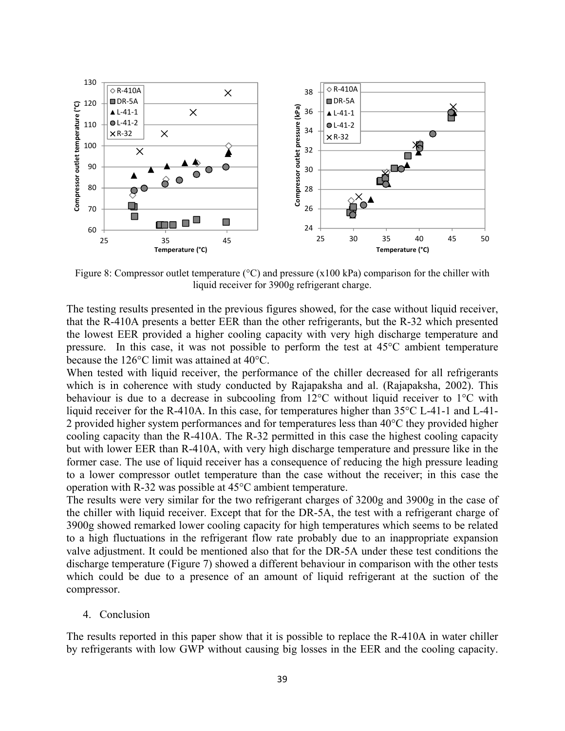

Figure 8: Compressor outlet temperature ( $\degree$ C) and pressure (x100 kPa) comparison for the chiller with liquid receiver for 3900g refrigerant charge.

The testing results presented in the previous figures showed, for the case without liquid receiver, that the R-410A presents a better EER than the other refrigerants, but the R-32 which presented the lowest EER provided a higher cooling capacity with very high discharge temperature and pressure. In this case, it was not possible to perform the test at 45°C ambient temperature because the 126°C limit was attained at 40°C.

When tested with liquid receiver, the performance of the chiller decreased for all refrigerants which is in coherence with study conducted by Rajapaksha and al. (Rajapaksha, 2002). This behaviour is due to a decrease in subcooling from 12°C without liquid receiver to 1°C with liquid receiver for the R-410A. In this case, for temperatures higher than 35°C L-41-1 and L-41- 2 provided higher system performances and for temperatures less than 40°C they provided higher cooling capacity than the R-410A. The R-32 permitted in this case the highest cooling capacity but with lower EER than R-410A, with very high discharge temperature and pressure like in the former case. The use of liquid receiver has a consequence of reducing the high pressure leading to a lower compressor outlet temperature than the case without the receiver; in this case the operation with R-32 was possible at 45°C ambient temperature.

The results were very similar for the two refrigerant charges of 3200g and 3900g in the case of the chiller with liquid receiver. Except that for the DR-5A, the test with a refrigerant charge of 3900g showed remarked lower cooling capacity for high temperatures which seems to be related to a high fluctuations in the refrigerant flow rate probably due to an inappropriate expansion valve adjustment. It could be mentioned also that for the DR-5A under these test conditions the discharge temperature (Figure 7) showed a different behaviour in comparison with the other tests which could be due to a presence of an amount of liquid refrigerant at the suction of the compressor.

#### 4. Conclusion

The results reported in this paper show that it is possible to replace the R-410A in water chiller by refrigerants with low GWP without causing big losses in the EER and the cooling capacity.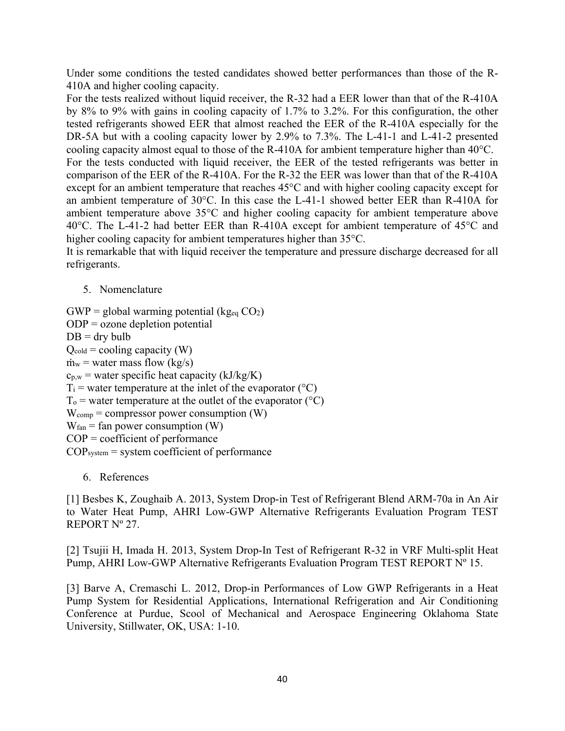Under some conditions the tested candidates showed better performances than those of the R-410A and higher cooling capacity.

For the tests realized without liquid receiver, the R-32 had a EER lower than that of the R-410A by 8% to 9% with gains in cooling capacity of 1.7% to 3.2%. For this configuration, the other tested refrigerants showed EER that almost reached the EER of the R-410A especially for the DR-5A but with a cooling capacity lower by 2.9% to 7.3%. The L-41-1 and L-41-2 presented cooling capacity almost equal to those of the R-410A for ambient temperature higher than 40°C.

For the tests conducted with liquid receiver, the EER of the tested refrigerants was better in comparison of the EER of the R-410A. For the R-32 the EER was lower than that of the R-410A except for an ambient temperature that reaches 45°C and with higher cooling capacity except for an ambient temperature of 30°C. In this case the L-41-1 showed better EER than R-410A for ambient temperature above 35°C and higher cooling capacity for ambient temperature above 40°C. The L-41-2 had better EER than R-410A except for ambient temperature of 45°C and higher cooling capacity for ambient temperatures higher than 35°C.

It is remarkable that with liquid receiver the temperature and pressure discharge decreased for all refrigerants.

5. Nomenclature

 $GWP =$  global warming potential (kg<sub>eq</sub>  $CO<sub>2</sub>$ ) ODP = ozone depletion potential  $DB = dry$  bulb  $Q_{cold} = cooling capacity (W)$  $\dot{m}_w$  = water mass flow (kg/s)  $c_{p,w}$  = water specific heat capacity (kJ/kg/K)  $T_i$  = water temperature at the inlet of the evaporator ( ${}^{\circ}C$ )  $T_0$  = water temperature at the outlet of the evaporator ( ${}^{\circ}C$ )  $W_{\text{comp}}$  = compressor power consumption (W)  $W_{fan}$  = fan power consumption (W) COP = coefficient of performance  $COP<sub>system</sub>$  = system coefficient of performance

6. References

[1] Besbes K, Zoughaib A. 2013, System Drop-in Test of Refrigerant Blend ARM-70a in An Air to Water Heat Pump, AHRI Low-GWP Alternative Refrigerants Evaluation Program TEST REPORT Nº 27.

[2] Tsujii H, Imada H. 2013, System Drop-In Test of Refrigerant R-32 in VRF Multi-split Heat Pump, AHRI Low-GWP Alternative Refrigerants Evaluation Program TEST REPORT Nº 15.

[3] Barve A, Cremaschi L. 2012, Drop-in Performances of Low GWP Refrigerants in a Heat Pump System for Residential Applications, International Refrigeration and Air Conditioning Conference at Purdue, Scool of Mechanical and Aerospace Engineering Oklahoma State University, Stillwater, OK, USA: 1-10.